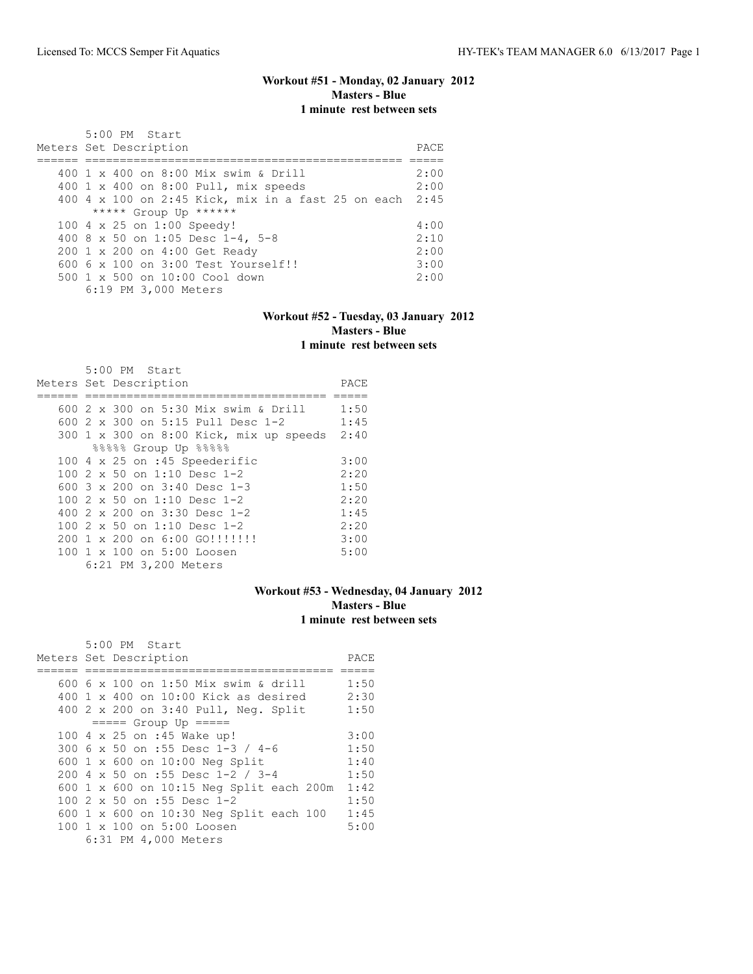# **Workout #51 - Monday, 02 January 2012 Masters - Blue 1 minute rest between sets**

| 5:00 PM Start<br>Meters Set Description              | PACE. |
|------------------------------------------------------|-------|
| 400 1 x 400 on 8:00 Mix swim & Drill                 | 2:00  |
| 400 1 x 400 on 8:00 Pull, mix speeds                 | 2:00  |
| $400$ 4 x 100 on 2:45 Kick, mix in a fast 25 on each | 2:45  |
| ***** Group Up ******                                |       |
| 100 4 x 25 on 1:00 Speedy!                           | 4:00  |
| 400 8 x 50 on 1:05 Desc 1-4, 5-8                     | 2:10  |
| 200 1 x 200 on 4:00 Get Ready                        | 2:00  |
| $6006 \times 100$ on $3:00$ Test Yourself!!          | 3:00  |
| 500 1 x 500 on 10:00 Cool down                       | 2:00  |
| 6:19 PM 3,000 Meters                                 |       |

#### **Workout #52 - Tuesday, 03 January 2012 Masters - Blue 1 minute rest between sets**

|  | $5:00$ PM Start                          |      |
|--|------------------------------------------|------|
|  | Meters Set Description                   | PACE |
|  |                                          |      |
|  | 600 2 x 300 on 5:30 Mix swim & Drill     | 1:50 |
|  | 600 $2 \times 300$ on 5:15 Pull Desc 1-2 | 1:45 |
|  | 300 1 x 300 on 8:00 Kick, mix up speeds  | 2:40 |
|  | $88888$ Group Up $88888$                 |      |
|  | 100 $4 \times 25$ on :45 Speederific     | 3:00 |
|  | 100 $2 \times 50$ on 1:10 Desc 1-2       | 2:20 |
|  | 600 3 x 200 on 3:40 Desc 1-3             | 1:50 |
|  | 100 $2 \times 50$ on 1:10 Desc 1-2       | 2:20 |
|  | 400 2 x 200 on 3:30 Desc 1-2             | 1:45 |
|  | 100 2 x 50 on 1:10 Desc 1-2              | 2:20 |
|  | 200 1 x 200 on 6:00 GO!!!!!!!!           | 3:00 |
|  | 100 1 x 100 on 5:00 Loosen               | 5:00 |
|  | 6:21 PM 3,200 Meters                     |      |

# **Workout #53 - Wednesday, 04 January 2012 Masters - Blue 1 minute rest between sets**

| $5:00$ PM Start                          |      |
|------------------------------------------|------|
| Meters Set Description                   | PACE |
|                                          |      |
| 600 6 x 100 on 1:50 Mix swim & drill     | 1:50 |
| 400 1 x 400 on $10:00$ Kick as desired   | 2:30 |
| 400 2 x 200 on 3:40 Pull, Neg. Split     | 1:50 |
| $====$ Group Up $====$                   |      |
| 100 4 x 25 on :45 Wake up!               | 3:00 |
| 300 6 x 50 on :55 Desc 1-3 / 4-6         | 1:50 |
| 600 1 x 600 on 10:00 Neg Split           | 1:40 |
| 200 4 x 50 on :55 Desc 1-2 / 3-4         | 1:50 |
| 600 1 x 600 on 10:15 Neg Split each 200m | 1:42 |
| 100 $2 \times 50$ on :55 Desc 1-2        | 1:50 |
| 600 1 x 600 on 10:30 Neg Split each 100  | 1:45 |
| 100 1 x 100 on 5:00 Loosen               | 5:00 |
| 6:31 PM 4,000 Meters                     |      |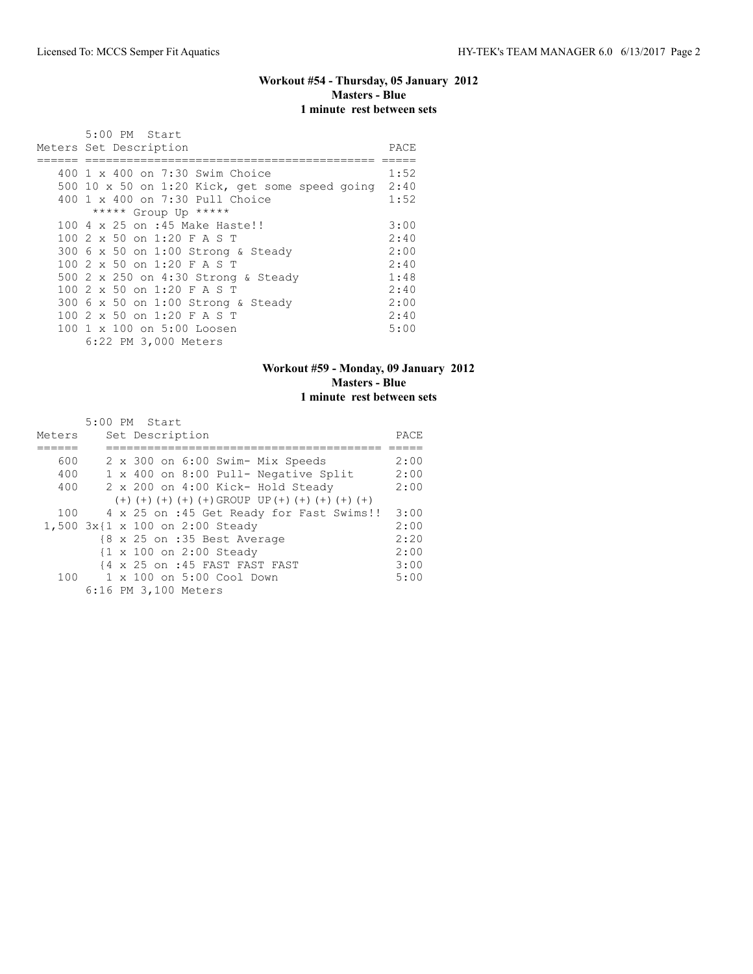# **Workout #54 - Thursday, 05 January 2012 Masters - Blue 1 minute rest between sets**

| 5:00 PM Start                                                                                                                                                                                                                               |                                                      |
|---------------------------------------------------------------------------------------------------------------------------------------------------------------------------------------------------------------------------------------------|------------------------------------------------------|
| Meters Set Description                                                                                                                                                                                                                      | PACE                                                 |
| 400 1 x 400 on 7:30 Swim Choice<br>500 10 x 50 on 1:20 Kick, get some speed going<br>400 1 x 400 on 7:30 Pull Choice<br>***** Group Up *****                                                                                                | 1:52<br>2:40<br>1:52                                 |
| 100 4 x 25 on :45 Make Haste!!<br>100 2 x 50 on 1:20 F A S T<br>300 6 x 50 on 1:00 Strong & Steady<br>100 2 x 50 on 1:20 F A S T<br>500 2 x 250 on 4:30 Strong & Steady<br>100 2 x 50 on 1:20 F A S T<br>300 6 x 50 on 1:00 Strong & Steady | 3:00<br>2:40<br>2:00<br>2:40<br>1:48<br>2:40<br>2:00 |
| 100 2 x 50 on 1:20 F A S T<br>100 1 x 100 on 5:00 Loosen<br>6:22 PM 3,000 Meters                                                                                                                                                            | 2:40<br>5:00                                         |

# **Workout #59 - Monday, 09 January 2012 Masters - Blue 1 minute rest between sets**

| Meters | $5:00$ PM Start<br>Set Description                                           | PACE |
|--------|------------------------------------------------------------------------------|------|
|        |                                                                              |      |
|        |                                                                              |      |
| 600    | 2 x 300 on 6:00 Swim- Mix Speeds                                             | 2:00 |
| 400    | 1 x 400 on 8:00 Pull- Negative Split                                         | 2:00 |
| 400    | 2 x 200 on 4:00 Kick- Hold Steady                                            | 2:00 |
|        | $(+)$ $(+)$ $(+)$ $(+)$ $(+)$ $(\pm)$ GROUP UP $(+)$ $(+)$ $(+)$ $(+)$ $(+)$ |      |
| 100    | 4 x 25 on :45 Get Ready for Fast Swims!!                                     | 3:00 |
|        | 1,500 3x{1 x 100 on 2:00 Steady                                              | 2:00 |
|        | {8 x 25 on :35 Best Average                                                  | 2:20 |
|        | {1 x 100 on 2:00 Steady                                                      | 2:00 |
|        | {4 x 25 on :45 FAST FAST FAST                                                | 3:00 |
|        | 100 1 x 100 on 5:00 Cool Down                                                | 5:00 |
|        | 6:16 PM 3,100 Meters                                                         |      |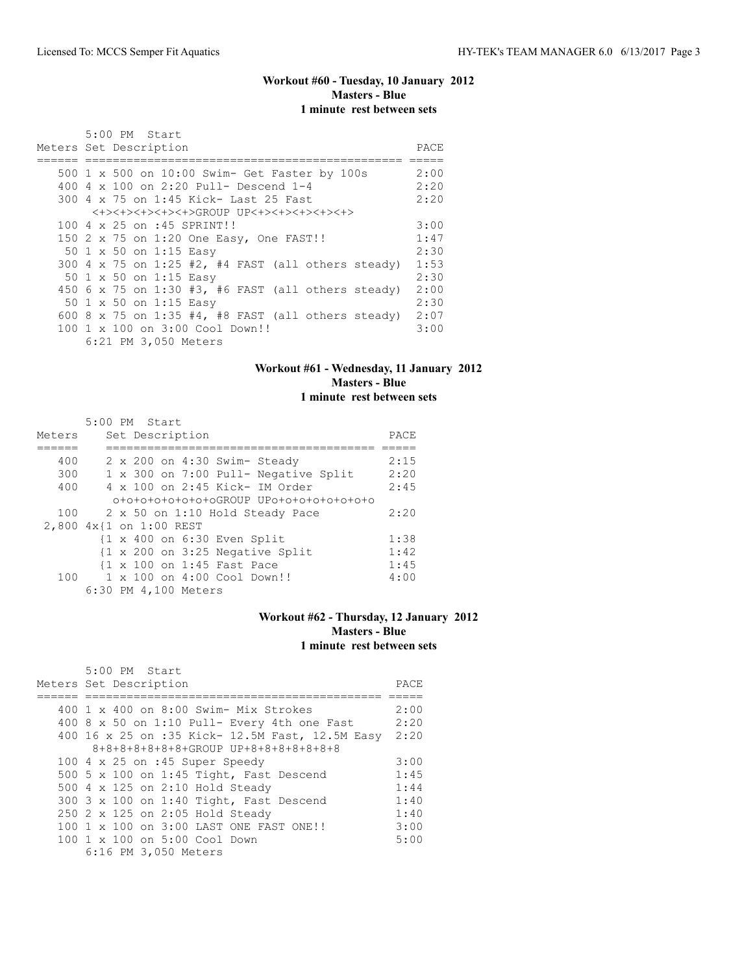# **Workout #60 - Tuesday, 10 January 2012 Masters - Blue 1 minute rest between sets**

| 5:00 PM Start<br>Meters Set Description            | PACE |
|----------------------------------------------------|------|
| 500 1 x 500 on 10:00 Swim- Get Faster by 100s      | 2:00 |
| 400 4 x 100 on 2:20 Pull- Descend 1-4              | 2:20 |
| 300 4 x 75 on 1:45 Kick- Last 25 Fast              | 2:20 |
| <+><+><+><+><+><+><+>GROUP UP<+><+><+><+><+>       |      |
| 100 4 x 25 on :45 SPRINT!!                         | 3:00 |
|                                                    |      |
| 150 2 x 75 on 1:20 One Easy, One FAST!!            | 1:47 |
| 50 1 x 50 on 1:15 Easy                             | 2:30 |
| 300 4 x 75 on 1:25 #2, #4 FAST (all others steady) | 1:53 |
| 50 1 x 50 on 1:15 Easy                             | 2:30 |
| 450 6 x 75 on 1:30 #3, #6 FAST (all others steady) | 2:00 |
| 50 1 x 50 on 1:15 Easy                             | 2:30 |
| 600 8 x 75 on 1:35 #4, #8 FAST (all others steady) | 2:07 |
| 100 1 x 100 on 3:00 Cool Down!!                    | 3:00 |
| 6:21 PM 3,050 Meters                               |      |

## **Workout #61 - Wednesday, 11 January 2012 Masters - Blue 1 minute rest between sets**

|        | 5:00 PM Start                                              |      |
|--------|------------------------------------------------------------|------|
| Meters | Set Description                                            | PACE |
|        |                                                            |      |
| 400    | 2 x 200 on 4:30 Swim- Steady                               | 2:15 |
| 300    | 1 x 300 on 7:00 Pull- Negative Split                       | 2:20 |
| 400    | $4 \times 100$ on 2:45 Kick- IM Order                      | 2:45 |
|        | 0+0+0+0+0+0+0+0GROUP UP0+0+0+0+0+0+0+0                     |      |
| 100    | 2 x 50 on 1:10 Hold Steady Pace                            | 2:20 |
|        | 2,800 4x{1 on 1:00 REST                                    |      |
|        | $\{1 \times 400 \text{ on } 6:30 \text{ Even Split}\}$     | 1:38 |
|        | $\{1 \times 200 \text{ on } 3:25 \text{ Negative Split}\}$ | 1:42 |
|        | {1 x 100 on 1:45 Fast Pace                                 | 1:45 |
|        | 100 1 x 100 on 4:00 Cool Down!!                            | 4:00 |
|        | 6:30 PM 4,100 Meters                                       |      |

## **Workout #62 - Thursday, 12 January 2012 Masters - Blue 1 minute rest between sets**

| $5:00$ PM Start<br>Meters Set Description            | PACE |
|------------------------------------------------------|------|
|                                                      |      |
| 400 1 x 400 on 8:00 Swim- Mix Strokes                | 2:00 |
| 400 8 x 50 on 1:10 Pull- Every 4th one Fast          | 2:20 |
| 400 16 x 25 on :35 Kick- 12.5M Fast, 12.5M Easy 2:20 |      |
| 8+8+8+8+8+8+8+GROUP UP+8+8+8+8+8+8+8                 |      |
| 100 $4 \times 25$ on :45 Super Speedy                | 3:00 |
| 500 5 x 100 on 1:45 Tight, Fast Descend              | 1:45 |
| 500 4 x 125 on 2:10 Hold Steady                      | 1:44 |
| 300 3 x 100 on 1:40 Tight, Fast Descend              | 1:40 |
| 250 2 x 125 on 2:05 Hold Steady                      | 1:40 |
| 100 1 x 100 on 3:00 LAST ONE FAST ONE!!              | 3:00 |
| 100 1 x 100 on 5:00 Cool Down                        | 5:00 |
| 6:16 PM 3,050 Meters                                 |      |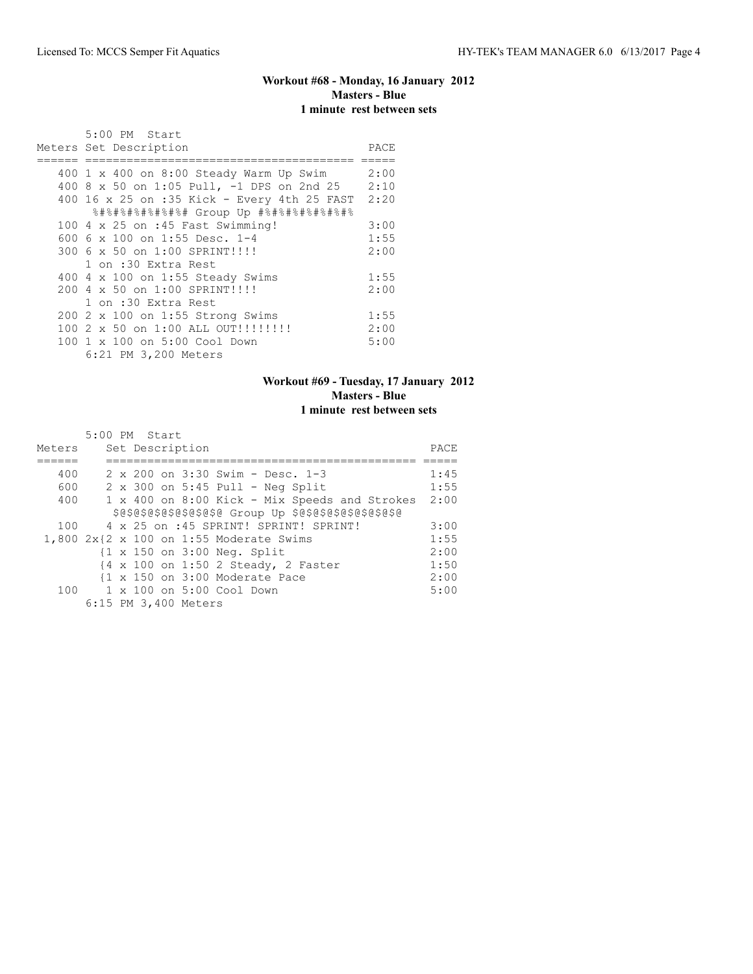# **Workout #68 - Monday, 16 January 2012 Masters - Blue 1 minute rest between sets**

| 5:00 PM Start                               |      |
|---------------------------------------------|------|
| Meters Set Description                      | PACE |
|                                             |      |
| 400 1 x 400 on 8:00 Steady Warm Up Swim     | 2:00 |
| 400 8 x 50 on 1:05 Pull, -1 DPS on 2nd 25   | 2:10 |
| 400 16 x 25 on :35 Kick - Every 4th 25 FAST | 2:20 |
| 8#8#8#8#8#8#8#8# Group Up #8#8#8#8#8#8#8    |      |
| 100 4 x 25 on :45 Fast Swimming!            | 3:00 |
| 600 6 x 100 on 1:55 Desc. 1-4               | 1:55 |
| 300 6 x 50 on 1:00 SPRINT!!!!               | 2:00 |
| 1 on :30 Extra Rest                         |      |
| 400 4 x 100 on 1:55 Steady Swims            | 1:55 |
| 200 4 x 50 on 1:00 SPRINT!!!!               | 2:00 |
| 1 on :30 Extra Rest                         |      |
| 200 2 x 100 on 1:55 Strong Swims            | 1:55 |
| 100 2 x 50 on 1:00 ALL OUT!!!!!!!!!         | 2:00 |
| 100 1 x 100 on 5:00 Cool Down               | 5:00 |
| 6:21 PM 3,200 Meters                        |      |

## **Workout #69 - Tuesday, 17 January 2012 Masters - Blue 1 minute rest between sets**

|        | 5:00 PM Start                                              |      |
|--------|------------------------------------------------------------|------|
| Meters | Set Description                                            | PACE |
|        |                                                            |      |
| 400    | $2 \times 200$ on $3:30$ Swim - Desc. 1-3                  | 1:45 |
| 600    | $2 \times 300$ on $5:45$ Pull - Neg Split                  | 1:55 |
| 400    | 1 x 400 on 8:00 Kick - Mix Speeds and Strokes              | 2:00 |
|        | \$@\$@\$@\$@\$@\$@\$@\$@ Group Up \$@\$@\$@\$@\$@\$@\$@\$@ |      |
| 100    | 4 x 25 on :45 SPRINT! SPRINT! SPRINT!                      | 3:00 |
|        | 1,800 2x{2 x 100 on 1:55 Moderate Swims                    | 1:55 |
|        | {1 x 150 on 3:00 Neq. Split                                | 2:00 |
|        | {4 x 100 on 1:50 2 Steady, 2 Faster                        | 1:50 |
|        | $\{1 \times 150 \text{ on } 3:00 \text{ Moderate Face}$    | 2:00 |
|        | 100 1 x 100 on 5:00 Cool Down                              | 5:00 |
|        | 6:15 PM 3,400 Meters                                       |      |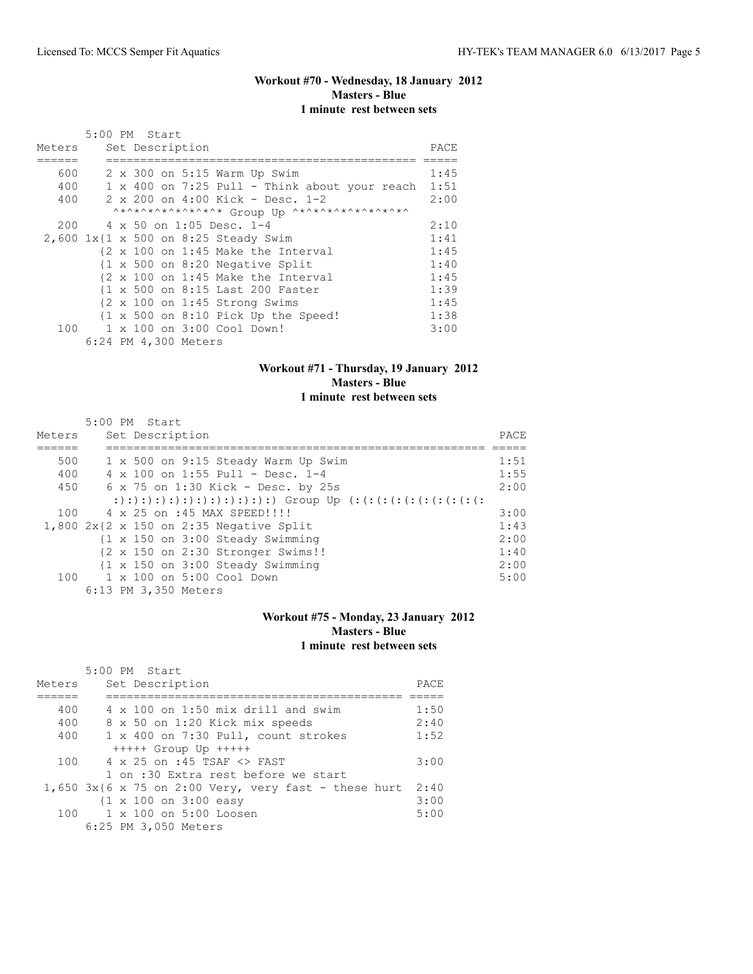# **Workout #70 - Wednesday, 18 January 2012 Masters - Blue 1 minute rest between sets**

|        |  | 5:00 PM Start        |                                                                 |       |
|--------|--|----------------------|-----------------------------------------------------------------|-------|
| Meters |  | Set Description      |                                                                 | PACE. |
|        |  |                      |                                                                 |       |
| 600    |  |                      | 2 x 300 on 5:15 Warm Up Swim                                    | 1:45  |
| 400    |  |                      | $1 \times 400$ on $7:25$ Pull - Think about your reach          | 1:51  |
| 400    |  |                      | 2 x 200 on 4:00 Kick - Desc. 1-2                                | 2:00  |
|        |  |                      | ^*^*^*^*^*^*^*^* Group Up ^*^*^*^*^*^*^*^*^*^                   |       |
| 200    |  |                      | 4 x 50 on 1:05 Desc. 1-4                                        | 2:10  |
|        |  |                      | 2,600 1x{1 x 500 on 8:25 Steady Swim                            | 1:41  |
|        |  |                      | {2 x 100 on 1:45 Make the Interval                              | 1:45  |
|        |  |                      | $\{1 \times 500$ on 8:20 Negative Split                         | 1:40  |
|        |  |                      | {2 x 100 on 1:45 Make the Interval                              | 1:45  |
|        |  |                      | {1 x 500 on 8:15 Last 200 Faster                                | 1:39  |
|        |  |                      | $\{2 \times 100 \text{ on } 1:45 \text{ Strong} \text{Swims}\}$ | 1:45  |
|        |  |                      | $\{1 \times 500$ on 8:10 Pick Up the Speed!                     | 1:38  |
| 100    |  |                      | 1 x 100 on 3:00 Cool Down!                                      | 3:00  |
|        |  | 6:24 PM 4,300 Meters |                                                                 |       |

## **Workout #71 - Thursday, 19 January 2012 Masters - Blue 1 minute rest between sets**

| Meters | 5:00 PM Start<br>Set Description                            | PACE |
|--------|-------------------------------------------------------------|------|
| 500    | 1 x 500 on 9:15 Steady Warm Up Swim                         | 1:51 |
| 400    | 4 x 100 on 1:55 Pull - Desc. 1-4                            | 1:55 |
| 450    | 6 x 75 on 1:30 Kick - Desc. by 25s                          | 2:00 |
|        |                                                             |      |
| 100    | 4 x 25 on :45 MAX SPEED!!!!                                 | 3:00 |
|        | $1,800$ 2x{2 x 150 on 2:35 Negative Split                   | 1:43 |
|        | $\{1 \times 150 \text{ on } 3:00 \text{ Steady Swimming}\}$ | 2:00 |
|        | {2 x 150 on 2:30 Stronger Swims!!                           | 1:40 |
|        | $\{1 \times 150 \text{ on } 3:00 \text{ Steady Swimming}\}$ | 2:00 |
| 100    | 1 x 100 on 5:00 Cool Down                                   | 5:00 |
|        | 6:13 PM 3,350 Meters                                        |      |

# **Workout #75 - Monday, 23 January 2012 Masters - Blue 1 minute rest between sets**

|        | 5:00 PM Start                                          |      |
|--------|--------------------------------------------------------|------|
| Meters | Set Description                                        | PACE |
|        |                                                        |      |
| 400    | $4 \times 100$ on 1:50 mix drill and swim              | 1:50 |
| 400    | 8 x 50 on 1:20 Kick mix speeds                         | 2:40 |
| 400    | 1 x 400 on 7:30 Pull, count strokes                    | 1:52 |
|        | $++++$ Group Up $++++$                                 |      |
| 100    | 4 x 25 on :45 TSAF <> FAST                             | 3:00 |
|        | 1 on :30 Extra rest before we start                    |      |
|        | $1,650$ 3x{6 x 75 on 2:00 Very, very fast - these hurt | 2:40 |
|        | $\{1 \times 100 \text{ on } 3:00 \text{ easy}\}$       | 3:00 |
|        | $100 \t 1 \times 100$ on $5:00$ Loosen                 | 5:00 |
|        | 6:25 PM 3,050 Meters                                   |      |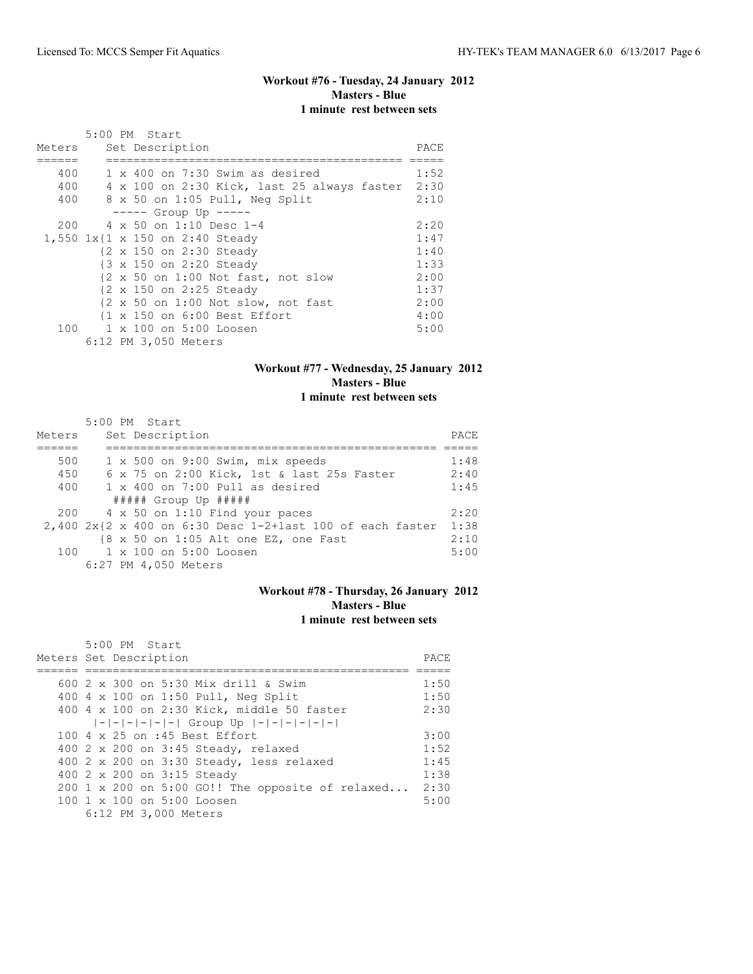# **Workout #76 - Tuesday, 24 January 2012 Masters - Blue 1 minute rest between sets**

|        | 5:00 PM Start                                    |      |
|--------|--------------------------------------------------|------|
| Meters | Set Description                                  | PACE |
|        |                                                  |      |
| 400    | $1 \times 400$ on 7:30 Swim as desired           | 1:52 |
| 400    | 4 x 100 on 2:30 Kick, last 25 always faster 2:30 |      |
| 400    | 8 x 50 on 1:05 Pull, Neg Split                   | 2:10 |
|        | $--- $ Group Up $--- $                           |      |
| 200    | 4 x 50 on 1:10 Desc 1-4                          | 2:20 |
|        | 1,550 1x{1 x 150 on 2:40 Steady                  | 1:47 |
|        | {2 x 150 on 2:30 Steady                          | 1:40 |
|        | {3 x 150 on 2:20 Steady                          | 1:33 |
|        | {2 x 50 on 1:00 Not fast, not slow               | 2:00 |
|        | {2 x 150 on 2:25 Steady                          | 1:37 |
|        | {2 x 50 on 1:00 Not slow, not fast               | 2:00 |
|        | {1 x 150 on 6:00 Best Effort                     | 4:00 |
| 100    | 1 x 100 on 5:00 Loosen                           | 5:00 |
|        | 6:12 PM 3,050 Meters                             |      |

## **Workout #77 - Wednesday, 25 January 2012 Masters - Blue 1 minute rest between sets**

| Meters | 5:00 PM Start<br>Set Description                               | PACE |
|--------|----------------------------------------------------------------|------|
|        |                                                                |      |
| 500    | 1 x 500 on 9:00 Swim, mix speeds                               | 1:48 |
| 450    | 6 x 75 on 2:00 Kick, 1st & last 25s Faster                     | 2:40 |
| 400    | $1 \times 400$ on 7:00 Pull as desired                         | 1:45 |
|        | $\#$ #### Group Up $\#$ ####                                   |      |
|        | 200 4 x 50 on 1:10 Find your paces                             | 2:20 |
|        | $2,400$ $2x$ $2x$ 400 on 6:30 Desc 1-2+last 100 of each faster | 1:38 |
|        | {8 x 50 on 1:05 Alt one EZ, one Fast                           | 2:10 |
|        | 100 1 x 100 on 5:00 Loosen                                     | 5:00 |
|        | 6:27 PM 4,050 Meters                                           |      |

## **Workout #78 - Thursday, 26 January 2012 Masters - Blue 1 minute rest between sets**

| 5:00 PM Start<br>Meters Set Description                | PACE. |
|--------------------------------------------------------|-------|
| 600 2 x 300 on 5:30 Mix drill & Swim                   | 1:50  |
| 400 4 x 100 on 1:50 Pull, Neg Split                    | 1:50  |
| 400 4 x 100 on 2:30 Kick, middle 50 faster             | 2:30  |
| $ - - - - - $ Group Up $ - - - - - - $                 |       |
| 100 4 x 25 on :45 Best Effort                          | 3:00  |
| 400 2 x 200 on 3:45 Steady, relaxed                    | 1:52  |
| 400 2 x 200 on 3:30 Steady, less relaxed               | 1:45  |
| 400 2 x 200 on 3:15 Steady                             | 1:38  |
| 200 1 x 200 on 5:00 GO!! The opposite of relaxed       | 2:30  |
| $100 \text{ 1 x } 100 \text{ on } 5:00 \text{ Loosen}$ | 5:00  |
| 6:12 PM 3,000 Meters                                   |       |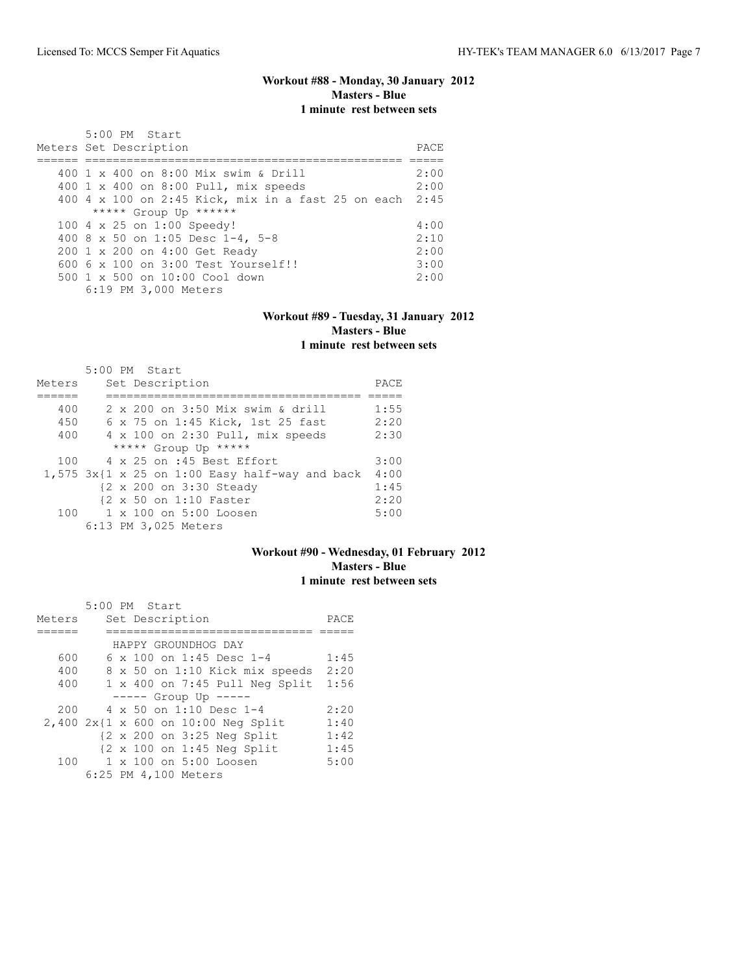# **Workout #88 - Monday, 30 January 2012 Masters - Blue 1 minute rest between sets**

| 5:00 PM Start<br>Meters Set Description                 | PACE. |
|---------------------------------------------------------|-------|
| 400 1 x 400 on 8:00 Mix swim & Drill                    | 2:00  |
| 400 1 x 400 on 8:00 Pull, mix speeds                    | 2:00  |
| 400 4 x 100 on 2:45 Kick, mix in a fast 25 on each 2:45 |       |
| ***** Group Up ******                                   |       |
| 100 4 x 25 on 1:00 Speedy!                              | 4:00  |
| 400 8 x 50 on 1:05 Desc 1-4, 5-8                        | 2:10  |
| 200 1 x 200 on 4:00 Get Ready                           | 2:00  |
| $6006 \times 100$ on $3:00$ Test Yourself!!             | 3:00  |
| $500 \t 1 \t x \t 500$ on $10:00$ Cool down             | 2:00  |
| 6:19 PM 3,000 Meters                                    |       |

#### **Workout #89 - Tuesday, 31 January 2012 Masters - Blue 1 minute rest between sets**

|        | $5:00$ PM Start                                         |      |
|--------|---------------------------------------------------------|------|
| Meters | Set Description                                         | PACE |
|        |                                                         |      |
| 400    | 2 x 200 on 3:50 Mix swim & drill                        | 1:55 |
| 450    | 6 x 75 on 1:45 Kick, 1st 25 fast                        | 2:20 |
| 400    | 4 x 100 on 2:30 Pull, mix speeds                        | 2:30 |
|        | ***** Group Up *****                                    |      |
| 100    | 4 x 25 on :45 Best Effort                               | 3:00 |
|        | $1,575$ $3x(1 \times 25$ on 1:00 Easy half-way and back | 4:00 |
|        | {2 x 200 on 3:30 Steady                                 | 1:45 |
|        | {2 x 50 on 1:10 Faster                                  | 2:20 |
| 100    | 1 x 100 on 5:00 Loosen                                  | 5:00 |
|        | 6:13 PM 3,025 Meters                                    |      |

## **Workout #90 - Wednesday, 01 February 2012 Masters - Blue 1 minute rest between sets**

|        | 5:00 PM Start                                         |      |
|--------|-------------------------------------------------------|------|
| Meters | Set Description                                       | PACE |
|        |                                                       |      |
|        | HAPPY GROUNDHOG DAY                                   |      |
| 600    | $6 \times 100$ on 1:45 Desc 1-4                       | 1:45 |
| 400    | 8 x 50 on 1:10 Kick mix speeds                        | 2:20 |
| 400    | $1 \times 400$ on 7:45 Pull Neg Split                 | 1:56 |
|        | $--- $ Group Up $---$                                 |      |
| 200    | $4 \times 50$ on 1:10 Desc 1-4                        | 2:20 |
|        | 2,400 2x{1 x 600 on 10:00 Neg Split                   | 1:40 |
|        | {2 x 200 on 3:25 Neg Split                            | 1:42 |
|        | $\{2 \times 100 \text{ on } 1:45 \text{ Neq Split}\}$ | 1:45 |
| 100    | 1 x 100 on 5:00 Loosen                                | 5:00 |
|        | 6:25 PM 4,100 Meters                                  |      |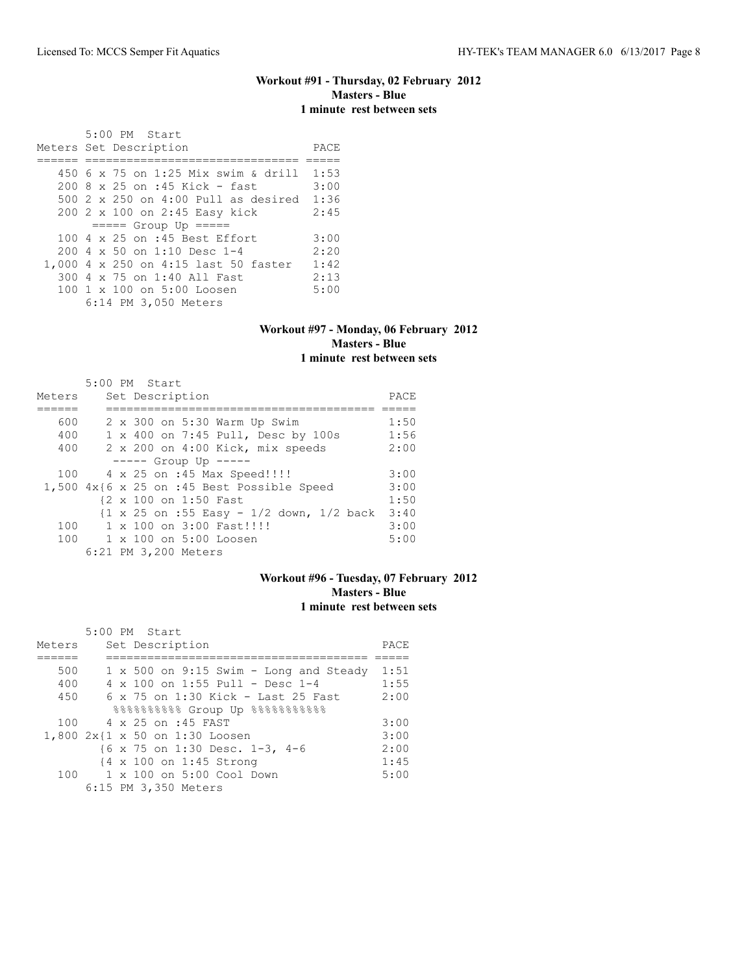# **Workout #91 - Thursday, 02 February 2012 Masters - Blue 1 minute rest between sets**

 5:00 PM Start Meters Set Description PACE ====== =============================== ===== 450 6 x 75 on 1:25 Mix swim & drill 1:53 200 8 x 25 on :45 Kick - fast 3:00 500 2 x 250 on 4:00 Pull as desired 1:36 200 2 x 100 on 2:45 Easy kick 2:45 ===== Group Up ===== 100 4 x 25 on :45 Best Effort 3:00 200 4 x 50 on 1:10 Desc 1-4 2:20 1,000 4 x 250 on 4:15 last 50 faster 1:42<br>300 4 x 75 on 1:40 All Fast 2:13 300 4 x 75 on 1:40 All Fast 2:13 100 1 x 100 on 5:00 Loosen 6:14 PM 3,050 Meters

#### **Workout #97 - Monday, 06 February 2012 Masters - Blue 1 minute rest between sets**

|        | 5:00 PM Start                                                                         |      |
|--------|---------------------------------------------------------------------------------------|------|
| Meters | Set Description                                                                       | PACE |
|        |                                                                                       |      |
| 600    | 2 x 300 on 5:30 Warm Up Swim                                                          | 1:50 |
| 400    | 1 x 400 on 7:45 Pull, Desc by 100s                                                    | 1:56 |
| 400    | 2 x 200 on 4:00 Kick, mix speeds                                                      | 2:00 |
|        | $--- $ Group Up $--- $                                                                |      |
| 100    | 4 x 25 on :45 Max Speed!!!!                                                           | 3:00 |
|        | $1,500$ $4x$ {6 x 25 on :45 Best Possible Speed                                       | 3:00 |
|        | {2 x 100 on 1:50 Fast                                                                 | 1:50 |
|        | $\{1 \times 25 \text{ on } : 55 \text{ Easy } -1/2 \text{ down, } 1/2 \text{ back}\}$ | 3:40 |
| 100    | $1 \times 100$ on $3:00$ Fast!!!!                                                     | 3:00 |
|        | 100 1 x 100 on 5:00 Loosen                                                            | 5:00 |
|        | 6:21 PM 3,200 Meters                                                                  |      |

## **Workout #96 - Tuesday, 07 February 2012 Masters - Blue 1 minute rest between sets**

|        | 5:00 PM Start                                            |      |
|--------|----------------------------------------------------------|------|
| Meters | Set Description                                          | PACE |
|        |                                                          |      |
| 500    | $1 \times 500$ on 9:15 Swim - Long and Steady            | 1:51 |
| 400    | $4 \times 100$ on 1:55 Pull - Desc 1-4                   | 1:55 |
| 450    | 6 x 75 on 1:30 Kick - Last 25 Fast                       | 2:00 |
|        | 88888888888 Group Up 888888888888                        |      |
| 100    | 4 x 25 on :45 FAST                                       | 3:00 |
|        | 1,800 2x{1 x 50 on 1:30 Loosen                           | 3:00 |
|        | $\{6 \times 75 \text{ on } 1:30 \text{ Desc. } 1-3, 4-6$ | 2:00 |
|        | {4 x 100 on 1:45 Strong                                  | 1:45 |
| 100    | 1 x 100 on 5:00 Cool Down                                | 5:00 |
|        | 6:15 PM 3,350 Meters                                     |      |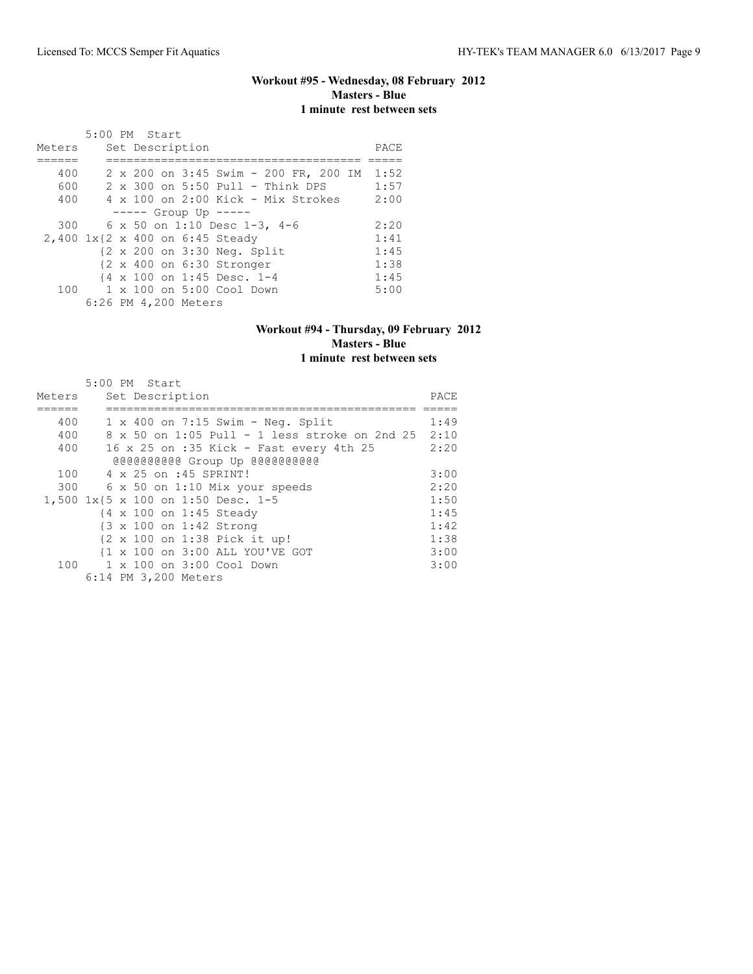# **Workout #95 - Wednesday, 08 February 2012 Masters - Blue 1 minute rest between sets**

|        |  | 5:00 PM Start          |                                                      |      |
|--------|--|------------------------|------------------------------------------------------|------|
| Meters |  | Set Description        |                                                      | PACE |
|        |  |                        |                                                      |      |
| 400    |  |                        | 2 x 200 on 3:45 Swim - 200 FR, 200 IM                | 1:52 |
| 600    |  |                        | 2 x 300 on 5:50 Pull - Think DPS                     | 1:57 |
| 400    |  |                        | $4 \times 100$ on 2:00 Kick - Mix Strokes            | 2:00 |
|        |  | $--- $ Group Up $--- $ |                                                      |      |
| 300    |  |                        | 6 x 50 on 1:10 Desc 1-3, 4-6                         | 2:20 |
|        |  |                        | 2,400 1x{2 x 400 on 6:45 Steady                      | 1:41 |
|        |  |                        | {2 x 200 on 3:30 Neq. Split                          | 1:45 |
|        |  |                        | $\{2 \times 400 \text{ on } 6:30 \text{ stronger}\}$ | 1:38 |
|        |  |                        | {4 x 100 on 1:45 Desc. 1-4                           | 1:45 |
| 100    |  |                        | $1 \times 100$ on $5:00$ Cool Down                   | 5:00 |
|        |  | 6:26 PM 4,200 Meters   |                                                      |      |

#### **Workout #94 - Thursday, 09 February 2012 Masters - Blue 1 minute rest between sets**

|        | 5:00 PM Start                                 |      |
|--------|-----------------------------------------------|------|
| Meters | Set Description                               | PACE |
|        |                                               |      |
| 400    | $1 \times 400$ on 7:15 Swim - Neq. Split      | 1:49 |
| 400    | 8 x 50 on 1:05 Pull - 1 less stroke on 2nd 25 | 2:10 |
| 400    | 16 x 25 on :35 Kick - Fast every 4th 25       | 2:20 |
|        | @@@@@@@@@@Group Up @@@@@@@@@@@                |      |
| 100    | 4 x 25 on :45 SPRINT!                         | 3:00 |
| 300    | 6 x 50 on 1:10 Mix your speeds                | 2:20 |
|        | 1,500 1x{5 x 100 on 1:50 Desc. 1-5            | 1:50 |
|        | {4 x 100 on 1:45 Steady                       | 1:45 |
|        | {3 x 100 on 1:42 Strong                       | 1:42 |
|        | {2 x 100 on 1:38 Pick it up!                  | 1:38 |
|        | {1 x 100 on 3:00 ALL YOU'VE GOT               | 3:00 |
|        | 100 1 x 100 on 3:00 Cool Down                 | 3:00 |
|        | 6:14 PM 3,200 Meters                          |      |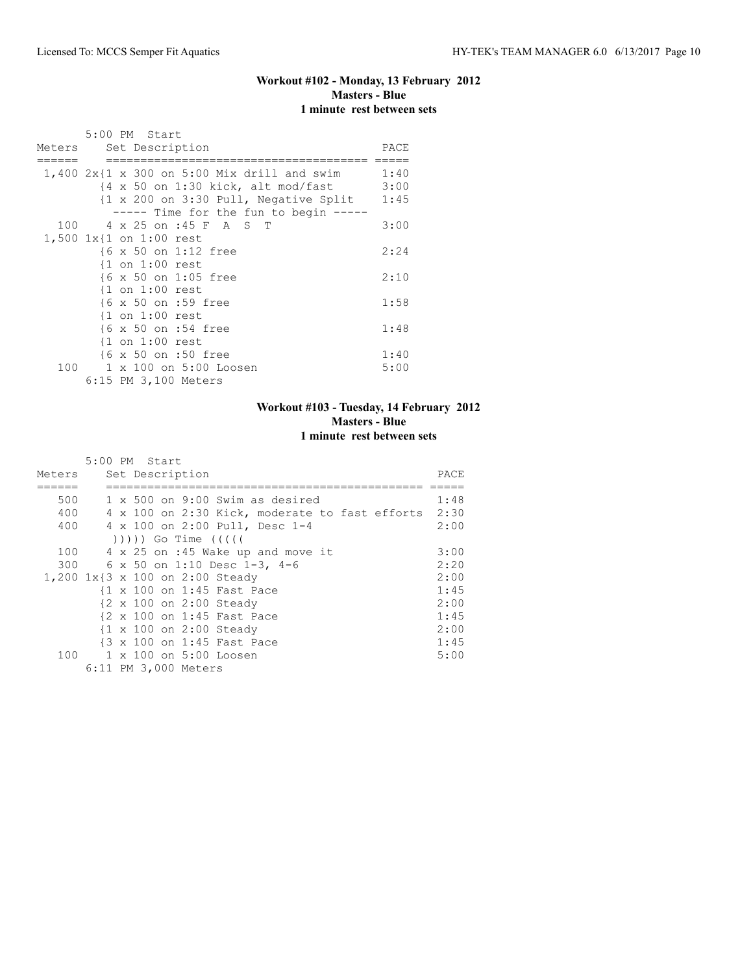# **Workout #102 - Monday, 13 February 2012 Masters - Blue 1 minute rest between sets**

|  | 5:00 PM Start                                                                   |      |
|--|---------------------------------------------------------------------------------|------|
|  | Meters Set Description                                                          | PACE |
|  | $1,400$ $2x\{1 \times 300 \text{ on } 5:00 \text{ Mix drill and swim} 1:40$     |      |
|  | $\{4 \times 50 \text{ on } 1:30 \text{ kick}, \text{ alt mod/fast} \qquad 3:00$ |      |
|  | $\{1 \times 200 \text{ on } 3:30 \text{ Pull}, \text{ Negative Split } 1:45\}$  |      |
|  | ----- Time for the fun to begin -----                                           |      |
|  | 100 4 x 25 on :45 F A S T                                                       | 3:00 |
|  | 1,500 1x{1 on 1:00 rest                                                         |      |
|  | {6 x 50 on 1:12 free                                                            | 2:24 |
|  | $\{1$ on $1:00$ rest                                                            |      |
|  | {6 x 50 on 1:05 free                                                            | 2:10 |
|  | $\{1$ on $1:00$ rest                                                            |      |
|  | {6 x 50 on :59 free                                                             | 1:58 |
|  | $\{1$ on $1:00$ rest                                                            |      |
|  | {6 x 50 on :54 free                                                             | 1:48 |
|  | $\{1$ on $1:00$ rest                                                            |      |
|  | {6 x 50 on :50 free                                                             | 1:40 |
|  | 100 1 x 100 on 5:00 Loosen                                                      | 5:00 |
|  | 6:15 PM 3,100 Meters                                                            |      |

# **Workout #103 - Tuesday, 14 February 2012 Masters - Blue 1 minute rest between sets**

|        | 5:00 PM Start                                      |       |
|--------|----------------------------------------------------|-------|
| Meters | Set Description                                    | PACE. |
|        |                                                    |       |
| 500    | $1 \times 500$ on 9:00 Swim as desired             | 1:48  |
| 400    | 4 x 100 on 2:30 Kick, moderate to fast efforts     | 2:30  |
| 400    | 4 x 100 on 2:00 Pull, Desc 1-4                     | 2:00  |
|        | ( ( ( ( )                                          |       |
| 100    | 4 x 25 on :45 Wake up and move it                  | 3:00  |
|        | 300 6 x 50 on 1:10 Desc 1-3, 4-6                   | 2:20  |
|        | 1,200 1x{3 x 100 on 2:00 Steady                    | 2:00  |
|        | {1 x 100 on 1:45 Fast Pace                         | 1:45  |
|        | {2 x 100 on 2:00 Steady                            | 2:00  |
|        | {2 x 100 on 1:45 Fast Pace                         | 1:45  |
|        | $\{1 \times 100 \text{ on } 2:00 \text{ Steadv}\}$ | 2:00  |
|        | {3 x 100 on 1:45 Fast Pace                         | 1:45  |
|        | 100 1 x 100 on 5:00 Loosen                         | 5:00  |
|        | 6:11 PM 3,000 Meters                               |       |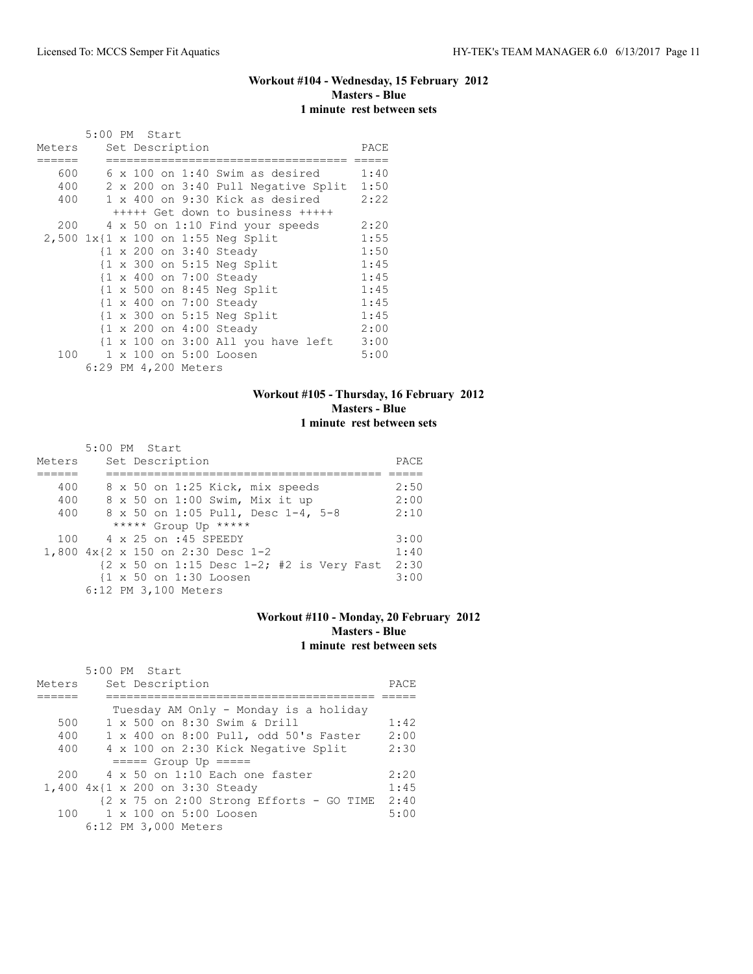# **Workout #104 - Wednesday, 15 February 2012 Masters - Blue 1 minute rest between sets**

|        | 5:00 PM Start |  |                      |                                                               |      |
|--------|---------------|--|----------------------|---------------------------------------------------------------|------|
| Meters |               |  | Set Description      |                                                               | PACE |
|        |               |  |                      |                                                               |      |
| 600    |               |  |                      | $6 \times 100$ on 1:40 Swim as desired                        | 1:40 |
| 400    |               |  |                      | 2 x 200 on 3:40 Pull Negative Split                           | 1:50 |
| 400    |               |  |                      | 1 x 400 on 9:30 Kick as desired                               | 2:22 |
|        |               |  |                      | +++++ Get down to business +++++                              |      |
| 200    |               |  |                      | 4 x 50 on 1:10 Find your speeds                               | 2:20 |
|        |               |  |                      | 2,500 1x{1 x 100 on 1:55 Neg Split                            | 1:55 |
|        |               |  |                      | {1 x 200 on 3:40 Steady                                       | 1:50 |
|        |               |  |                      | $\{1 \times 300 \text{ on } 5:15 \text{ Neg Split}\}$         | 1:45 |
|        |               |  |                      | {1 x 400 on 7:00 Steady                                       | 1:45 |
|        |               |  |                      | $\{1 \times 500$ on 8:45 Neg Split                            | 1:45 |
|        |               |  |                      | {1 x 400 on 7:00 Steady                                       | 1:45 |
|        |               |  |                      | $\{1 \times 300 \text{ on } 5:15 \text{ Neg Split}\}$         | 1:45 |
|        |               |  |                      | {1 x 200 on 4:00 Steady                                       | 2:00 |
|        |               |  |                      | $\{1 \times 100 \text{ on } 3:00 \text{ All you have left}\}$ | 3:00 |
| 100    | 1             |  |                      | x 100 on 5:00 Loosen                                          | 5:00 |
|        |               |  | 6:29 PM 4,200 Meters |                                                               |      |

## **Workout #105 - Thursday, 16 February 2012 Masters - Blue 1 minute rest between sets**

|        | $5:00$ PM Start                                                                |      |
|--------|--------------------------------------------------------------------------------|------|
| Meters | Set Description                                                                | PACE |
|        |                                                                                |      |
| 400    | 8 x 50 on 1:25 Kick, mix speeds                                                | 2:50 |
| 400    | 8 x 50 on 1:00 Swim, Mix it up                                                 | 2:00 |
| 400    | 8 x 50 on 1:05 Pull, Desc 1-4, 5-8                                             | 2:10 |
|        | ***** Group Up *****                                                           |      |
| 100    | 4 x 25 on :45 SPEEDY                                                           | 3:00 |
|        | 1,800 4x{2 x 150 on 2:30 Desc 1-2                                              | 1:40 |
|        | $\{2 \times 50 \text{ on } 1:15 \text{ Desc } 1-2; #2 \text{ is Very Fast} \}$ | 2:30 |
|        | {1 x 50 on 1:30 Loosen                                                         | 3:00 |
|        | 6:12 PM 3,100 Meters                                                           |      |

## **Workout #110 - Monday, 20 February 2012 Masters - Blue 1 minute rest between sets**

|        | 5:00 PM Start                                                     |      |
|--------|-------------------------------------------------------------------|------|
| Meters | Set Description                                                   | PACE |
|        |                                                                   |      |
|        | Tuesday AM Only - Monday is a holiday                             |      |
| 500    | 1 x 500 on 8:30 Swim & Drill                                      | 1:42 |
| 400    | 1 x 400 on 8:00 Pull, odd 50's Faster                             | 2:00 |
| 400    | 4 x 100 on 2:30 Kick Negative Split                               | 2:30 |
|        | $====$ Group Up $====$                                            |      |
| 200    | $4 \times 50$ on 1:10 Each one faster                             | 2:20 |
|        | 1,400 4x{1 x 200 on 3:30 Steady                                   | 1:45 |
|        | $\{2 \times 75 \text{ on } 2:00 \text{ Strong Efforts} - GO TIME$ | 2:40 |
| 100    | $1 \times 100$ on $5:00$ Loosen                                   | 5:00 |
|        | 6:12 PM 3,000 Meters                                              |      |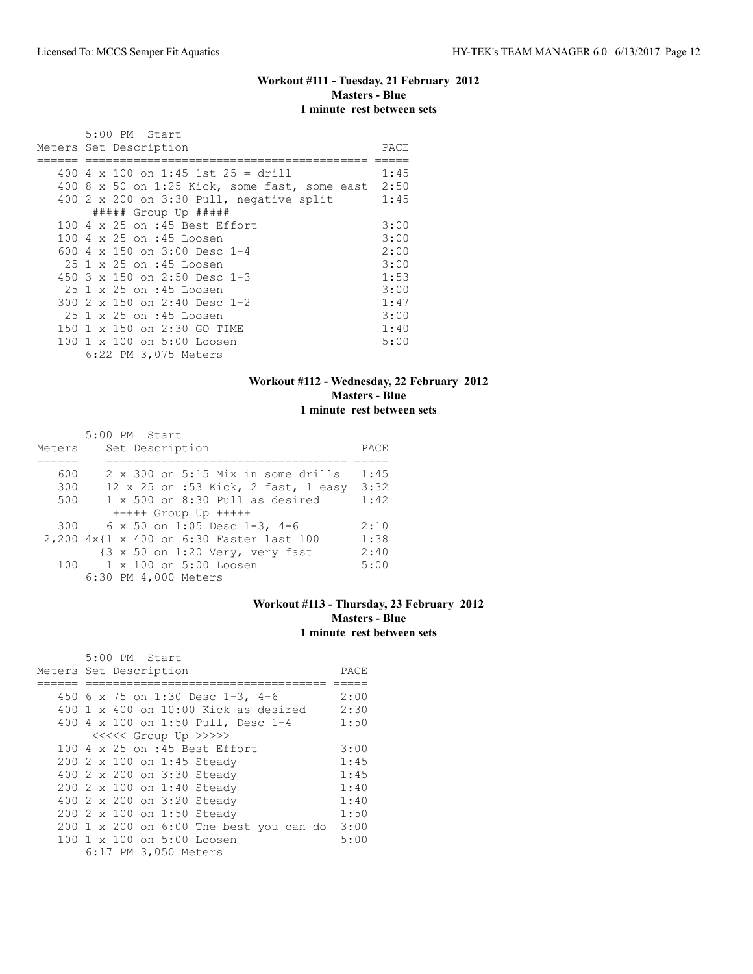# **Workout #111 - Tuesday, 21 February 2012 Masters - Blue 1 minute rest between sets**

| 5:00 PM Start                                      |      |
|----------------------------------------------------|------|
| Meters Set Description                             | PACE |
|                                                    |      |
| 400 4 x 100 on 1:45 1st 25 = drill                 | 1:45 |
| 400 8 x 50 on 1:25 Kick, some fast, some east 2:50 |      |
| 400 $2 \times 200$ on 3:30 Pull, negative split    | 1:45 |
| ##### Group Up #####                               |      |
| 100 4 x 25 on :45 Best Effort                      | 3:00 |
| 100 4 x 25 on :45 Loosen                           | 3:00 |
| 600 4 x 150 on 3:00 Desc 1-4                       | 2:00 |
| 25 1 x 25 on :45 Loosen                            | 3:00 |
| 450 $3 \times 150$ on 2:50 Desc 1-3                | 1:53 |
| 25 1 x 25 on :45 Loosen                            | 3:00 |
| 300 $2 \times 150$ on $2:40$ Desc 1-2              | 1:47 |
| 25 1 x 25 on :45 Loosen                            | 3:00 |
| 150 1 x 150 on 2:30 GO TIME                        | 1:40 |
| 100 1 x 100 on 5:00 Loosen                         | 5:00 |
| 6:22 PM 3,075 Meters                               |      |

## **Workout #112 - Wednesday, 22 February 2012 Masters - Blue 1 minute rest between sets**

|        | 5:00 PM Start                                              |      |
|--------|------------------------------------------------------------|------|
| Meters | Set Description                                            | PACE |
|        |                                                            |      |
| 600    | 2 x 300 on 5:15 Mix in some drills                         | 1:45 |
| 300    | 12 x 25 on :53 Kick, 2 fast, 1 easy                        | 3:32 |
| 500    | $1 \times 500$ on $8:30$ Pull as desired                   | 1:42 |
|        | $++++$ Group Up $++++$                                     |      |
| 300    | 6 x 50 on 1:05 Desc 1-3, 4-6                               | 2:10 |
|        | 2,200 4x{1 x 400 on 6:30 Faster last 100                   | 1:38 |
|        | $\{3 \times 50 \text{ on } 1:20 \text{ Very, very fast}\}$ | 2:40 |
| 100    | 1 x 100 on 5:00 Loosen                                     | 5:00 |
|        | 6:30 PM 4,000 Meters                                       |      |

# **Workout #113 - Thursday, 23 February 2012 Masters - Blue 1 minute rest between sets**

| 5:00 PM Start                              |      |
|--------------------------------------------|------|
| Meters Set Description                     | PACE |
|                                            |      |
| 450 6 x 75 on 1:30 Desc 1-3, 4-6           | 2:00 |
| $400$ 1 x $400$ on $10:00$ Kick as desired | 2:30 |
| 400 4 x 100 on 1:50 Pull, Desc 1-4         | 1:50 |
| <<<<<< Group Up >>>>>                      |      |
| 100 4 x 25 on :45 Best Effort              | 3:00 |
| 200 2 x 100 on 1:45 Steady                 | 1:45 |
| 400 2 x 200 on 3:30 Steady                 | 1:45 |
| 200 2 x 100 on 1:40 Steady                 | 1:40 |
| 400 2 x 200 on 3:20 Steady                 | 1:40 |
| 200 2 x 100 on 1:50 Steady                 | 1:50 |
| 200 1 x 200 on 6:00 The best you can do    | 3:00 |
| 100 1 x 100 on 5:00 Loosen                 | 5:00 |
| 6:17 PM 3,050 Meters                       |      |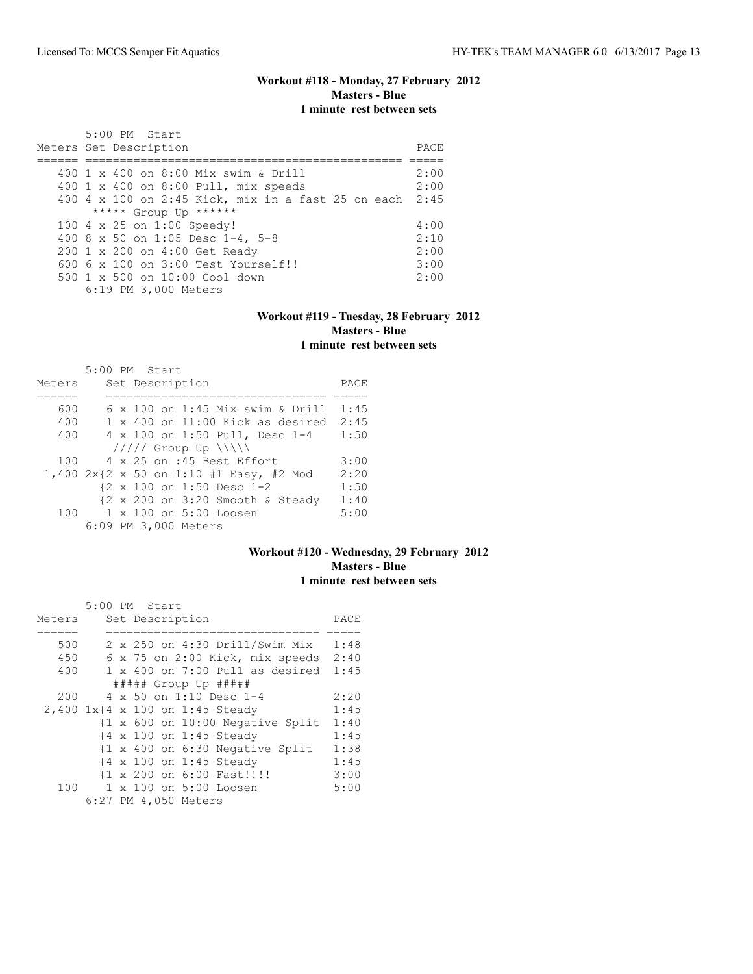# **Workout #118 - Monday, 27 February 2012 Masters - Blue 1 minute rest between sets**

| 5:00 PM Start<br>Meters Set Description                 | PACE. |
|---------------------------------------------------------|-------|
| 400 1 x 400 on 8:00 Mix swim & Drill                    | 2:00  |
| 400 1 x 400 on 8:00 Pull, mix speeds                    | 2:00  |
| 400 4 x 100 on 2:45 Kick, mix in a fast 25 on each 2:45 |       |
| ***** Group Up ******                                   |       |
| 100 4 x 25 on 1:00 Speedy!                              | 4:00  |
| 400 8 x 50 on 1:05 Desc 1-4, 5-8                        | 2:10  |
| 200 1 x 200 on 4:00 Get Ready                           | 2:00  |
| $6006 \times 100$ on $3:00$ Test Yourself!!             | 3:00  |
| 500 1 x 500 on 10:00 Cool down                          | 2:00  |
| 6:19 PM 3,000 Meters                                    |       |

#### **Workout #119 - Tuesday, 28 February 2012 Masters - Blue 1 minute rest between sets**

|        |  | $5:00$ PM Start                         |                                           |      |
|--------|--|-----------------------------------------|-------------------------------------------|------|
| Meters |  | Set Description                         |                                           | PACE |
|        |  |                                         |                                           |      |
| 600    |  | $6 \times 100$ on 1:45 Mix swim & Drill |                                           | 1:45 |
| 400    |  |                                         | $1 \times 400$ on $11:00$ Kick as desired | 2:45 |
| 400    |  | 4 x 100 on 1:50 Pull, Desc 1-4          |                                           | 1:50 |
|        |  | $11111$ Group Up $11111$                |                                           |      |
| 100    |  | 4 x 25 on :45 Best Effort               |                                           | 3:00 |
|        |  | 1,400 2x{2 x 50 on 1:10 #1 Easy, #2 Mod |                                           | 2:20 |
|        |  | {2 x 100 on 1:50 Desc 1-2               |                                           | 1:50 |
|        |  | {2 x 200 on 3:20 Smooth & Steady        |                                           | 1:40 |
| 100    |  | $1 \times 100$ on $5:00$ Loosen         |                                           | 5:00 |
|        |  | 6:09 PM 3,000 Meters                    |                                           |      |

## **Workout #120 - Wednesday, 29 February 2012 Masters - Blue 1 minute rest between sets**

|        | 5:00 PM Start |  |                      |                                                             |      |
|--------|---------------|--|----------------------|-------------------------------------------------------------|------|
| Meters |               |  | Set Description      |                                                             | PACE |
|        |               |  |                      |                                                             |      |
| 500    |               |  |                      | 2 x 250 on 4:30 Drill/Swim Mix                              | 1:48 |
| 450    |               |  |                      | $6 \times 75$ on 2:00 Kick, mix speeds                      | 2:40 |
| 400    |               |  |                      | $1 \times 400$ on $7:00$ Pull as desired                    | 1:45 |
|        |               |  |                      | ##### Group Up #####                                        |      |
| 200    |               |  |                      | 4 x 50 on 1:10 Desc 1-4                                     | 2:20 |
|        |               |  |                      | 2,400 1x{4 x 100 on 1:45 Steady                             | 1:45 |
|        |               |  |                      | $\{1 \times 600 \text{ on } 10:00 \text{ Negative Split}\}$ | 1:40 |
|        |               |  |                      | {4 x 100 on 1:45 Steady                                     | 1:45 |
|        |               |  |                      | {1 x 400 on 6:30 Negative Split                             | 1:38 |
|        |               |  |                      | {4 x 100 on 1:45 Steady                                     | 1:45 |
|        |               |  |                      | {1 x 200 on 6:00 Fast!!!!                                   | 3:00 |
| 100    |               |  |                      | 1 x 100 on 5:00 Loosen                                      | 5:00 |
|        |               |  | 6:27 PM 4,050 Meters |                                                             |      |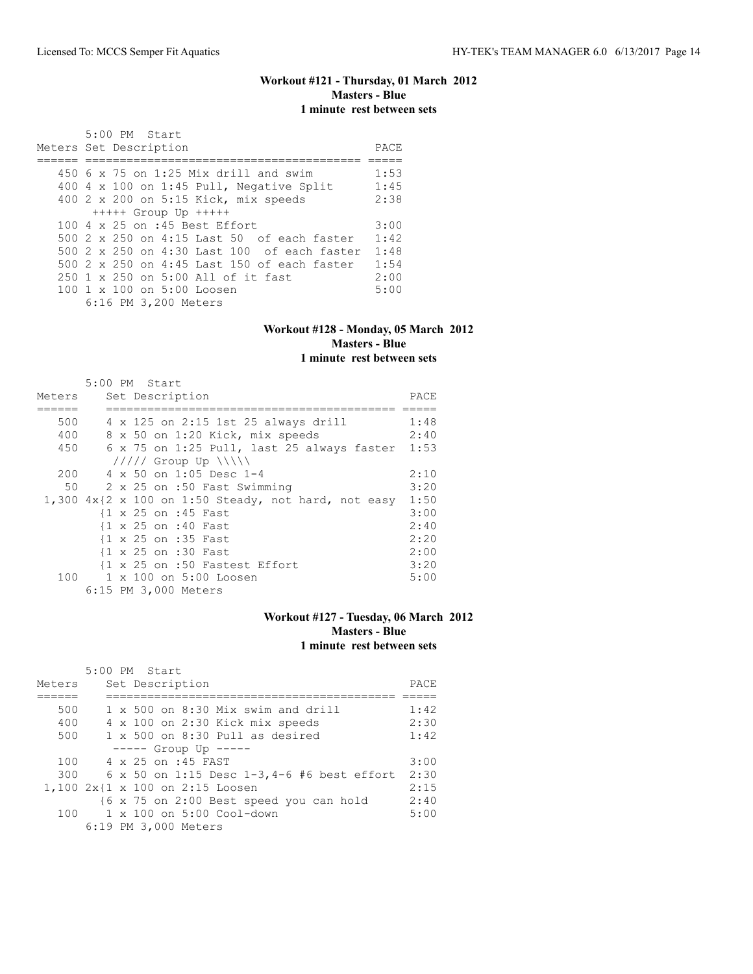# **Workout #121 - Thursday, 01 March 2012 Masters - Blue 1 minute rest between sets**

| 5:00 PM Start                                     |      |
|---------------------------------------------------|------|
| Meters Set Description                            | PACE |
|                                                   |      |
| 450 $6 \times 75$ on 1:25 Mix drill and swim      | 1:53 |
| 400 4 x 100 on 1:45 Pull, Negative Split          | 1:45 |
| 400 2 x 200 on 5:15 Kick, mix speeds              | 2:38 |
| $++++$ Group Up $++++$                            |      |
| 100 4 x 25 on :45 Best Effort                     | 3:00 |
| 500 $2 \times 250$ on 4:15 Last 50 of each faster | 1:42 |
| 500 2 x 250 on 4:30 Last 100 of each faster       | 1:48 |
| 500 2 x 250 on 4:45 Last 150 of each faster       | 1:54 |
| 250 1 x 250 on 5:00 All of it fast                | 2:00 |
| 100 1 x 100 on 5:00 Loosen                        | 5:00 |
| 6:16 PM 3,200 Meters                              |      |

## **Workout #128 - Monday, 05 March 2012 Masters - Blue 1 minute rest between sets**

|        | 5:00 PM Start                                                                  |      |
|--------|--------------------------------------------------------------------------------|------|
| Meters | Set Description                                                                | PACE |
|        |                                                                                |      |
| 500    | 4 x 125 on 2:15 1st 25 always drill                                            | 1:48 |
| 400    | 8 x 50 on 1:20 Kick, mix speeds                                                | 2:40 |
| 450    | 6 x 75 on 1:25 Pull, last 25 always faster                                     | 1:53 |
|        | $11111$ Group Up $\ \ \ \ $                                                    |      |
| 200    | $4 \times 50$ on 1:05 Desc 1-4                                                 | 2:10 |
| 50     | 2 x 25 on :50 Fast Swimming                                                    | 3:20 |
|        | 1,300 $4x\{2 \times 100 \text{ on } 1:50 \text{ steady, not hard, not easy}\}$ | 1:50 |
|        | {1 x 25 on :45 Fast                                                            | 3:00 |
|        | {1 x 25 on :40 Fast                                                            | 2:40 |
|        | {1 x 25 on :35 Fast                                                            | 2:20 |
|        | {1 x 25 on :30 Fast                                                            | 2:00 |
|        | {1 x 25 on :50 Fastest Effort                                                  | 3:20 |
|        | 100 1 x 100 on 5:00 Loosen                                                     | 5:00 |
|        | 6:15 PM 3,000 Meters                                                           |      |

# **Workout #127 - Tuesday, 06 March 2012 Masters - Blue 1 minute rest between sets**

|        | 5:00 PM Start                                 |      |
|--------|-----------------------------------------------|------|
| Meters | Set Description                               | PACE |
|        |                                               |      |
| 500    | $1 \times 500$ on $8:30$ Mix swim and drill   | 1:42 |
| 400    | 4 x 100 on 2:30 Kick mix speeds               | 2:30 |
| 500    | 1 x 500 on 8:30 Pull as desired               | 1:42 |
|        | $---$ Group Up $---$                          |      |
| 100    | 4 x 25 on :45 FAST                            | 3:00 |
| 300    | 6 x 50 on 1:15 Desc $1-3, 4-6$ #6 best effort | 2:30 |
|        | 1,100 2x{1 x 100 on 2:15 Loosen               | 2:15 |
|        | {6 x 75 on 2:00 Best speed you can hold       | 2:40 |
| 100    | 1 x 100 on 5:00 Cool-down                     | 5:00 |
|        | 6:19 PM 3,000 Meters                          |      |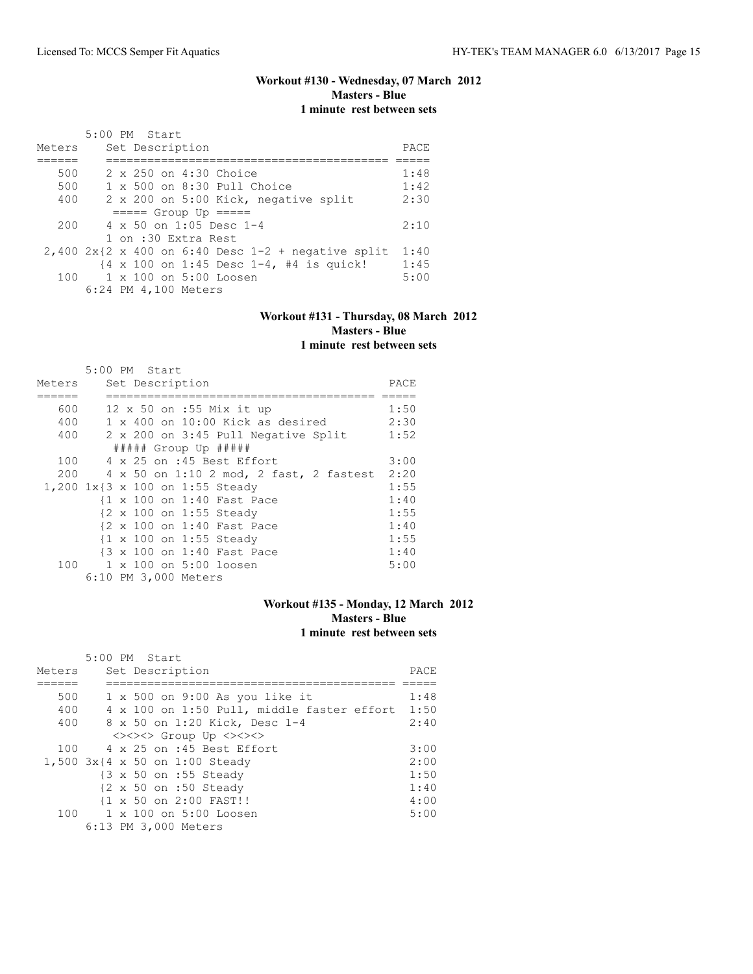# **Workout #130 - Wednesday, 07 March 2012 Masters - Blue 1 minute rest between sets**

|        | $5:00$ PM Start                                                             |      |
|--------|-----------------------------------------------------------------------------|------|
| Meters | Set Description                                                             | PACE |
|        |                                                                             |      |
| 500    | 2 x 250 on 4:30 Choice                                                      | 1:48 |
| 500    | 1 x 500 on 8:30 Pull Choice                                                 | 1:42 |
| 400    | 2 x 200 on 5:00 Kick, negative split                                        | 2:30 |
|        | $====$ Group Up $====$                                                      |      |
| 200    | $4 \times 50$ on 1:05 Desc 1-4                                              | 2:10 |
|        | 1 on :30 Extra Rest                                                         |      |
|        | $2,400$ 2x{2 x 400 on 6:40 Desc 1-2 + negative split                        | 1:40 |
|        | $\{4 \times 100 \text{ on } 1:45 \text{ Desc } 1-4, 44 \text{ is quick!}\}$ | 1:45 |
|        | $100 \t 1 \times 100$ on $5:00$ Loosen                                      | 5:00 |
|        | 6:24 PM 4,100 Meters                                                        |      |

#### **Workout #131 - Thursday, 08 March 2012 Masters - Blue 1 minute rest between sets**

|        |  | 5:00 PM Start                             |      |  |  |  |  |  |  |
|--------|--|-------------------------------------------|------|--|--|--|--|--|--|
| Meters |  | Set Description                           |      |  |  |  |  |  |  |
|        |  |                                           |      |  |  |  |  |  |  |
| 600    |  | 12 x 50 on :55 Mix it up                  | 1:50 |  |  |  |  |  |  |
| 400    |  | $1 \times 400$ on $10:00$ Kick as desired | 2:30 |  |  |  |  |  |  |
| 400    |  | 2 x 200 on 3:45 Pull Negative Split       | 1:52 |  |  |  |  |  |  |
|        |  | ##### Group Up #####                      |      |  |  |  |  |  |  |
|        |  | 100 4 x 25 on :45 Best Effort             | 3:00 |  |  |  |  |  |  |
| 200    |  | 4 x 50 on 1:10 2 mod, 2 fast, 2 fastest   | 2:20 |  |  |  |  |  |  |
|        |  | 1,200 1x{3 x 100 on 1:55 Steady           | 1:55 |  |  |  |  |  |  |
|        |  | {1 x 100 on 1:40 Fast Pace                | 1:40 |  |  |  |  |  |  |
|        |  | {2 x 100 on 1:55 Steady                   | 1:55 |  |  |  |  |  |  |
|        |  | {2 x 100 on 1:40 Fast Pace                | 1:40 |  |  |  |  |  |  |
|        |  | {1 x 100 on 1:55 Steady                   | 1:55 |  |  |  |  |  |  |
|        |  | {3 x 100 on 1:40 Fast Pace                | 1:40 |  |  |  |  |  |  |
| 100    |  | 1 x 100 on 5:00 loosen                    | 5:00 |  |  |  |  |  |  |
|        |  | 6:10 PM 3,000 Meters                      |      |  |  |  |  |  |  |

# **Workout #135 - Monday, 12 March 2012 Masters - Blue 1 minute rest between sets**

|        | 5:00 PM Start                                     |      |
|--------|---------------------------------------------------|------|
| Meters | Set Description                                   | PACE |
|        |                                                   |      |
| 500    | $1 \times 500$ on 9:00 As you like it             | 1:48 |
| 400    | 4 x 100 on 1:50 Pull, middle faster effort 1:50   |      |
| 400    | 8 x 50 on 1:20 Kick, Desc 1-4                     | 2:40 |
|        | <><><> Group Up <><><>                            |      |
|        | $100 \times 4 \times 25$ on :45 Best Effort       | 3:00 |
|        | 1,500 3x{4 x 50 on 1:00 Steady                    | 2:00 |
|        | {3 x 50 on :55 Steady                             | 1:50 |
|        | $\{2 \times 50 \text{ on } : 50 \text{ Steadv}\}$ | 1:40 |
|        | {1 x 50 on 2:00 FAST!!                            | 4:00 |
|        | 100 1 x 100 on 5:00 Loosen                        | 5:00 |
|        | 6:13 PM 3,000 Meters                              |      |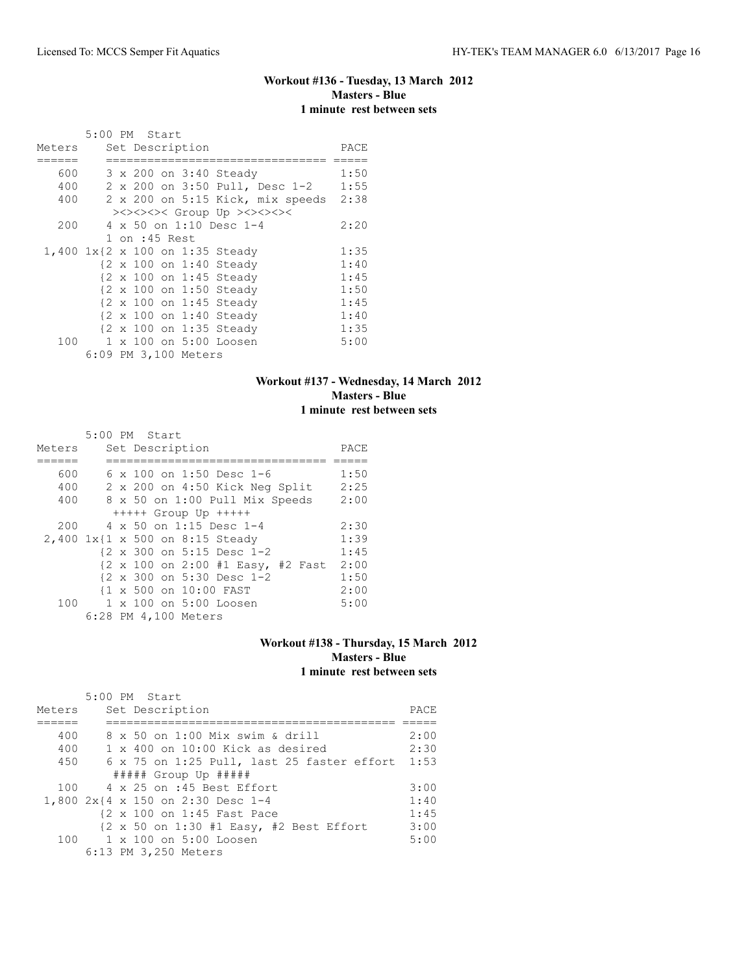# **Workout #136 - Tuesday, 13 March 2012 Masters - Blue 1 minute rest between sets**

|        | 5:00 PM Start |               |                      |                                 |                                  |      |
|--------|---------------|---------------|----------------------|---------------------------------|----------------------------------|------|
| Meters |               |               | Set Description      |                                 |                                  | PACE |
|        |               |               |                      |                                 |                                  |      |
| 600    |               |               |                      | 3 x 200 on 3:40 Steady          |                                  | 1:50 |
| 400    |               |               |                      |                                 | 2 x 200 on 3:50 Pull, Desc 1-2   | 1:55 |
| 400    |               |               |                      |                                 | 2 x 200 on 5:15 Kick, mix speeds | 2:38 |
|        |               |               |                      | ><><><>< Group Up ><><><><      |                                  |      |
| 200    |               |               |                      | 4 x 50 on 1:10 Desc 1-4         |                                  | 2:20 |
|        |               | 1 on :45 Rest |                      |                                 |                                  |      |
|        |               |               |                      | 1,400 1x{2 x 100 on 1:35 Steady |                                  | 1:35 |
|        |               |               |                      | {2 x 100 on 1:40 Steady         |                                  | 1:40 |
|        |               |               |                      | {2 x 100 on 1:45 Steady         |                                  | 1:45 |
|        |               |               |                      | {2 x 100 on 1:50 Steady         |                                  | 1:50 |
|        |               |               |                      | {2 x 100 on 1:45 Steady         |                                  | 1:45 |
|        |               |               |                      | {2 x 100 on 1:40 Steady         |                                  | 1:40 |
|        |               |               |                      | {2 x 100 on 1:35 Steady         |                                  | 1:35 |
| 100    |               |               |                      | 1 x 100 on 5:00 Loosen          |                                  | 5:00 |
|        |               |               | 6:09 PM 3,100 Meters |                                 |                                  |      |

## **Workout #137 - Wednesday, 14 March 2012 Masters - Blue 1 minute rest between sets**

|        |  | 5:00 PM Start                     |      |
|--------|--|-----------------------------------|------|
| Meters |  | Set Description                   | PACE |
|        |  |                                   |      |
| 600    |  | 6 x 100 on 1:50 Desc 1-6          | 1:50 |
| 400    |  | 2 x 200 on 4:50 Kick Neg Split    | 2:25 |
| 400    |  | 8 x 50 on 1:00 Pull Mix Speeds    | 2:00 |
|        |  | $++++$ Group Up $++++$            |      |
| 200    |  | 4 x 50 on 1:15 Desc 1-4           | 2:30 |
|        |  | 2,400 1x{1 x 500 on 8:15 Steady   | 1:39 |
|        |  | {2 x 300 on 5:15 Desc 1-2         | 1:45 |
|        |  | {2 x 100 on 2:00 #1 Easy, #2 Fast | 2:00 |
|        |  | {2 x 300 on 5:30 Desc 1-2         | 1:50 |
|        |  | {1 x 500 on 10:00 FAST            | 2:00 |
| 100    |  | 1 x 100 on 5:00 Loosen            | 5:00 |
|        |  | 6:28 PM 4,100 Meters              |      |

#### **Workout #138 - Thursday, 15 March 2012 Masters - Blue 1 minute rest between sets**

|        | $5:00$ PM Start                                                                     |      |
|--------|-------------------------------------------------------------------------------------|------|
| Meters | Set Description                                                                     | PACE |
|        |                                                                                     |      |
| 400    | 8 x 50 on 1:00 Mix swim & drill                                                     | 2:00 |
| 400    | $1 \times 400$ on 10:00 Kick as desired                                             | 2:30 |
| 450    | 6 x 75 on 1:25 Pull, last 25 faster effort 1:53                                     |      |
|        | ##### Group Up #####                                                                |      |
|        | $100 \times 4 \times 25$ on :45 Best Effort                                         | 3:00 |
|        | 1,800 2x{4 x 150 on 2:30 Desc 1-4                                                   | 1:40 |
|        | {2 x 100 on 1:45 Fast Pace                                                          | 1:45 |
|        | $\{2 \times 50 \text{ on } 1:30 \text{ } \#1 \text{ Easy}, \#2 \text{ Best Effect}$ | 3:00 |
|        | 100 1 x 100 on 5:00 Loosen                                                          | 5:00 |
|        | 6:13 PM 3,250 Meters                                                                |      |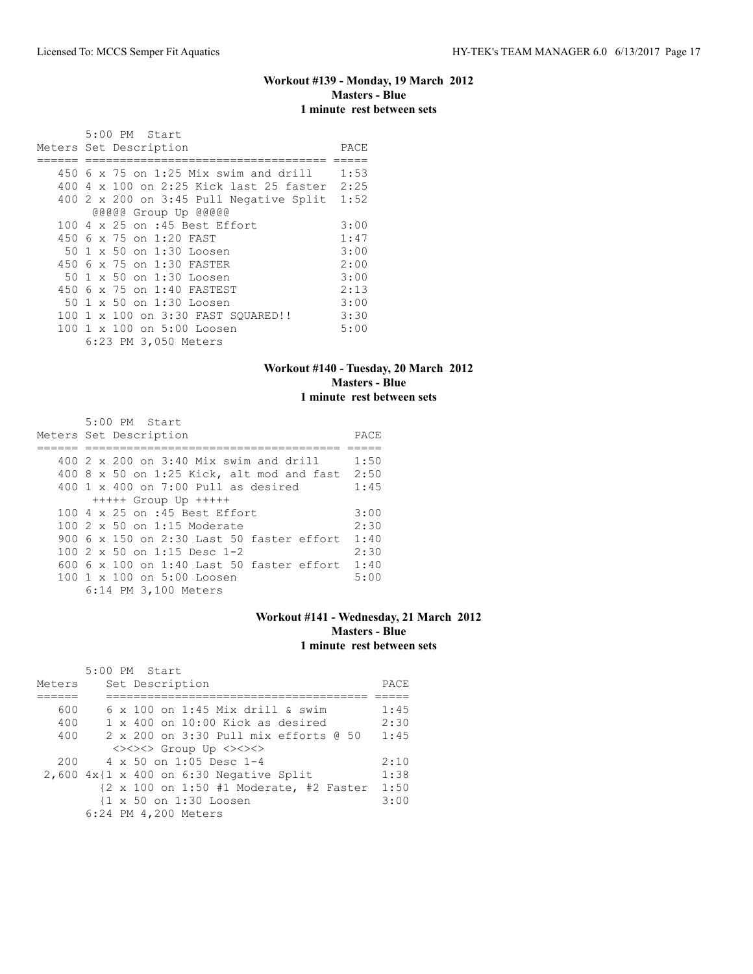# **Workout #139 - Monday, 19 March 2012 Masters - Blue 1 minute rest between sets**

| 5:00 PM Start                                |      |
|----------------------------------------------|------|
| Meters Set Description                       | PACE |
|                                              |      |
| 450 6 x 75 on 1:25 Mix swim and drill        | 1:53 |
| 400 4 x 100 on 2:25 Kick last 25 faster 2:25 |      |
| $400$ 2 x 200 on 3:45 Pull Negative Split    | 1:52 |
| @@@@@ Group Up @@@@@                         |      |
| 100 4 x 25 on :45 Best Effort                | 3:00 |
| 450 6 x 75 on 1:20 FAST                      | 1:47 |
| 50 1 x 50 on 1:30 Loosen                     | 3:00 |
| 450 6 x 75 on 1:30 FASTER                    | 2:00 |
| 50 1 x 50 on 1:30 Loosen                     | 3:00 |
| 450 6 x 75 on 1:40 FASTEST                   | 2:13 |
| 50 1 x 50 on 1:30 Loosen                     | 3:00 |
| 100 1 x 100 on 3:30 FAST SOUARED!!           | 3:30 |
| 100 1 x 100 on 5:00 Loosen                   | 5:00 |
| 6:23 PM 3,050 Meters                         |      |

## **Workout #140 - Tuesday, 20 March 2012 Masters - Blue 1 minute rest between sets**

| $5:00$ PM Start                                      |      |
|------------------------------------------------------|------|
| Meters Set Description                               | PACE |
|                                                      |      |
| 400 $2 \times 200$ on 3:40 Mix swim and drill        | 1:50 |
| 400 8 x 50 on 1:25 Kick, alt mod and fast            | 2:50 |
| $400 \t 1 \t x \t 400$ on 7:00 Pull as desired       | 1:45 |
| $++++$ Group Up $++++$                               |      |
| 100 4 x 25 on :45 Best Effort                        | 3:00 |
| $100.2 \times 50$ on 1:15 Moderate                   | 2:30 |
| 900 6 x 150 on 2:30 Last 50 faster effort            | 1:40 |
| 100 $2 \times 50$ on 1:15 Desc 1-2                   | 2:30 |
| $600\,$ 6 $\times$ 100 on 1:40 Last 50 faster effort | 1:40 |
| 100 1 x 100 on 5:00 Loosen                           | 5:00 |
| 6:14 PM 3,100 Meters                                 |      |

## **Workout #141 - Wednesday, 21 March 2012 Masters - Blue 1 minute rest between sets**

|        | 5:00 PM Start                                |      |
|--------|----------------------------------------------|------|
| Meters | Set Description                              | PACE |
|        |                                              |      |
| 600    | 6 x 100 on 1:45 Mix drill & swim             | 1:45 |
| 400    | 1 x 400 on 10:00 Kick as desired             | 2:30 |
| 400    | 2 x 200 on 3:30 Pull mix efforts @ 50        | 1:45 |
|        | <><><> Group Up <><><>                       |      |
| 200    | $4 \times 50$ on 1:05 Desc 1-4               | 2:10 |
|        | $2,600$ $4x$ {1 x 400 on 6:30 Negative Split | 1:38 |
|        | {2 x 100 on 1:50 #1 Moderate, #2 Faster      | 1:50 |
|        | {1 x 50 on 1:30 Loosen                       | 3:00 |
|        | 6:24 PM 4,200 Meters                         |      |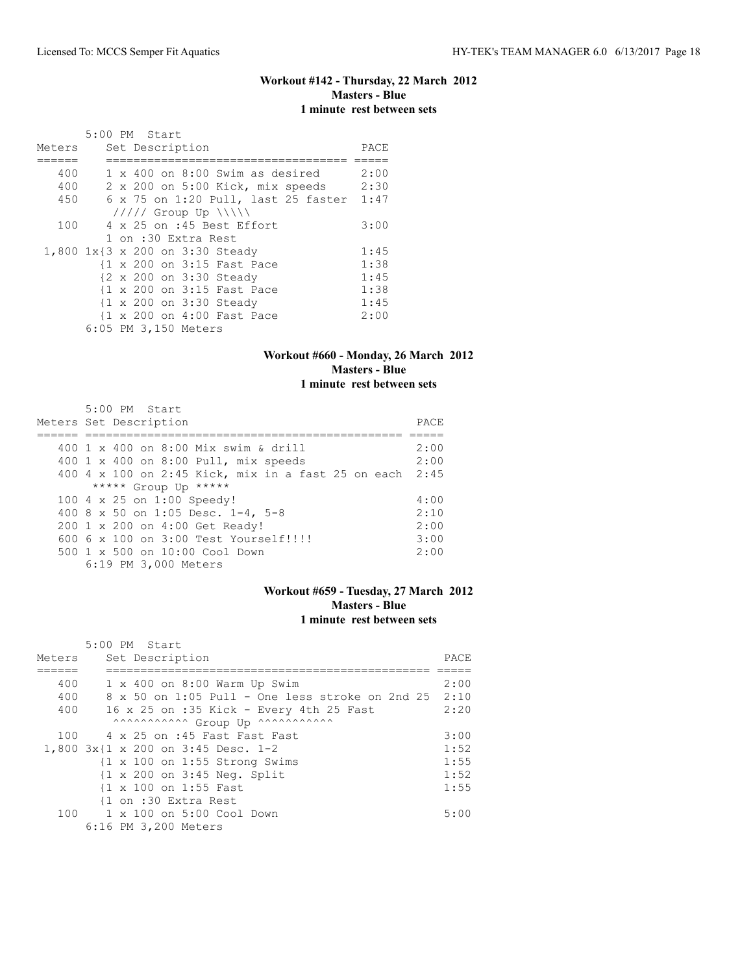# **Workout #142 - Thursday, 22 March 2012 Masters - Blue 1 minute rest between sets**

|        | 5:00 PM Start                            |      |
|--------|------------------------------------------|------|
| Meters | Set Description                          | PACE |
|        |                                          |      |
| 400    | $1 \times 400$ on $8:00$ Swim as desired | 2:00 |
| 400    | 2 x 200 on 5:00 Kick, mix speeds         | 2:30 |
| 450    | 6 x 75 on 1:20 Pull, last 25 faster      | 1:47 |
|        | $11111$ Group Up $\  \$                  |      |
| 100    | 4 x 25 on :45 Best Effort                | 3:00 |
|        | 1 on :30 Extra Rest                      |      |
|        | 1,800 1x{3 x 200 on 3:30 Steady          | 1:45 |
|        | {1 x 200 on 3:15 Fast Pace               | 1:38 |
|        | {2 x 200 on 3:30 Steady                  | 1:45 |
|        | {1 x 200 on 3:15 Fast Pace               | 1:38 |
|        | {1 x 200 on 3:30 Steady                  | 1:45 |
|        | {1 x 200 on 4:00 Fast Pace               | 2:00 |
|        | 6:05 PM 3,150 Meters                     |      |

# **Workout #660 - Monday, 26 March 2012 Masters - Blue 1 minute rest between sets**

| $5:00$ PM Start                                         |      |
|---------------------------------------------------------|------|
| Meters Set Description                                  | PACE |
|                                                         |      |
| 400 1 x 400 on 8:00 Mix swim & drill                    | 2:00 |
| 400 1 x 400 on 8:00 Pull, mix speeds                    | 2:00 |
| 400 4 x 100 on 2:45 Kick, mix in a fast 25 on each 2:45 |      |
| ***** Group Up *****                                    |      |
| 100 4 x 25 on 1:00 Speedy!                              | 4:00 |
| 400 8 x 50 on 1:05 Desc. 1-4, 5-8                       | 2:10 |
| 200 1 x 200 on 4:00 Get Ready!                          | 2:00 |
| 600 $6 \times 100$ on $3:00$ Test Yourself!!!!!         | 3:00 |
| $500 \t 1 \t x \t 500$ on $10:00$ Cool Down             | 2:00 |
| 6:19 PM 3,000 Meters                                    |      |

## **Workout #659 - Tuesday, 27 March 2012 Masters - Blue 1 minute rest between sets**

|        | 5:00 PM Start                                            |      |
|--------|----------------------------------------------------------|------|
| Meters | Set Description                                          | PACE |
|        |                                                          |      |
| 400    | $1 \times 400$ on $8:00$ Warm Up Swim                    | 2:00 |
| 400    | 8 x 50 on 1:05 Pull - One less stroke on 2nd 25          | 2:10 |
| 400    | 16 x 25 on :35 Kick - Every 4th 25 Fast                  | 2:20 |
|        | AAAAAAAAAAA Group Up AAAAAAAAAAA                         |      |
| 100    | 4 x 25 on :45 Fast Fast Fast                             | 3:00 |
|        | 1,800 3x{1 x 200 on 3:45 Desc. 1-2                       | 1:52 |
|        | $\{1 \times 100 \text{ on } 1:55 \text{ Strong Swims}\}$ | 1:55 |
|        | $\{1 \times 200 \text{ on } 3:45 \text{ Neg. Split}\}$   | 1:52 |
|        | {1 x 100 on 1:55 Fast                                    | 1:55 |
|        | {1 on :30 Extra Rest                                     |      |
|        | 100 1 x 100 on 5:00 Cool Down                            | 5:00 |
|        | 6:16 PM 3,200 Meters                                     |      |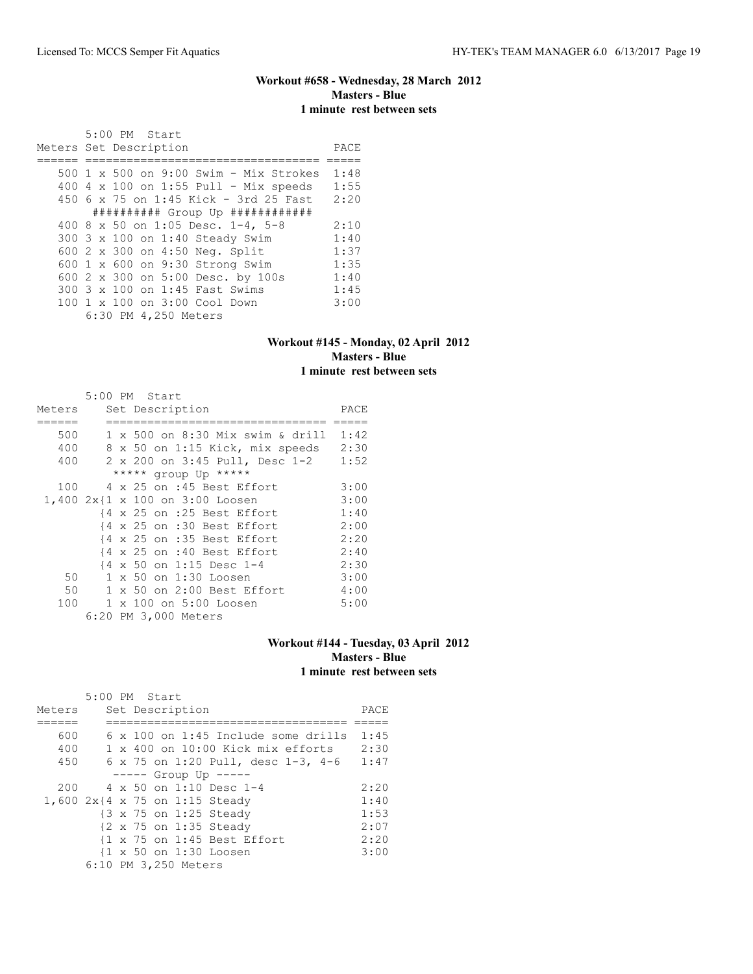## **Workout #658 - Wednesday, 28 March 2012 Masters - Blue 1 minute rest between sets**

 5:00 PM Start Meters Set Description **PACE** ====== ================================== ===== 500 1 x 500 on 9:00 Swim - Mix Strokes 1:48 400 4 x 100 on 1:55 Pull - Mix speeds 1:55 450 6 x 75 on 1:45 Kick - 3rd 25 Fast 2:20 ########## Group Up ############ 400 8 x 50 on 1:05 Desc. 1-4, 5-8 2:10 300 3 x 100 on 1:40 Steady Swim 1:40 600 2 x 300 on 4:50 Neg. Split 1:37 600 1 x 600 on 9:30 Strong Swim 1:35 600 2 x 300 on 5:00 Desc. by 100s 1:40 300 3 x 100 on 1:45 Fast Swims 1:45<br>100 1 x 100 on 3:00 Cool Down 3:00 100 1 x 100 on 3:00 Cool Down 3:00 6:30 PM 4,250 Meters

#### **Workout #145 - Monday, 02 April 2012 Masters - Blue 1 minute rest between sets**

|        |  | 5:00 PM Start                        |      |
|--------|--|--------------------------------------|------|
| Meters |  | Set Description                      | PACE |
|        |  |                                      |      |
| 500    |  | 1 x 500 on 8:30 Mix swim & drill     | 1:42 |
| 400    |  | 8 x 50 on 1:15 Kick, mix speeds 2:30 |      |
| 400    |  | 2 x 200 on 3:45 Pull, Desc 1-2       | 1:52 |
|        |  | ***** group Up *****                 |      |
| 100    |  | 4 x 25 on :45 Best Effort            | 3:00 |
|        |  | 1,400 2x{1 x 100 on 3:00 Loosen      | 3:00 |
|        |  | {4 x 25 on :25 Best Effort           | 1:40 |
|        |  | {4 x 25 on :30 Best Effort           | 2:00 |
|        |  | {4 x 25 on :35 Best Effort           | 2:20 |
|        |  | {4 x 25 on :40 Best Effort           | 2:40 |
|        |  | {4 x 50 on 1:15 Desc 1-4             | 2:30 |
| 50     |  | 1 x 50 on 1:30 Loosen                | 3:00 |
| 50     |  | $1 \times 50$ on 2:00 Best Effort    | 4:00 |
| 100    |  | 1 x 100 on 5:00 Loosen               | 5:00 |
|        |  | 6:20 PM 3,000 Meters                 |      |

#### **Workout #144 - Tuesday, 03 April 2012 Masters - Blue 1 minute rest between sets**

|        | $5:00$ PM Start |  |                      |                                                        |      |
|--------|-----------------|--|----------------------|--------------------------------------------------------|------|
| Meters |                 |  | Set Description      |                                                        | PACE |
|        |                 |  |                      |                                                        |      |
| 600    |                 |  |                      | $6 \times 100$ on 1:45 Include some drills             | 1:45 |
| 400    |                 |  |                      | $1 \times 400$ on $10:00$ Kick mix efforts             | 2:30 |
| 450    |                 |  |                      | 6 x 75 on 1:20 Pull, desc 1-3, 4-6                     | 1:47 |
|        |                 |  |                      | $--- $ Group Up $---$                                  |      |
| 200    |                 |  |                      | $4 \times 50$ on 1:10 Desc 1-4                         | 2:20 |
|        |                 |  |                      | 1,600 2x{4 x 75 on 1:15 Steady                         | 1:40 |
|        |                 |  |                      | {3 x 75 on 1:25 Steady                                 | 1:53 |
|        |                 |  |                      | {2 x 75 on 1:35 Steady                                 | 2:07 |
|        |                 |  |                      | $\{1 \times 75 \text{ on } 1:45 \text{ Best Effect}\}$ | 2:20 |
|        |                 |  |                      | {1 x 50 on 1:30 Loosen                                 | 3:00 |
|        |                 |  | 6:10 PM 3,250 Meters |                                                        |      |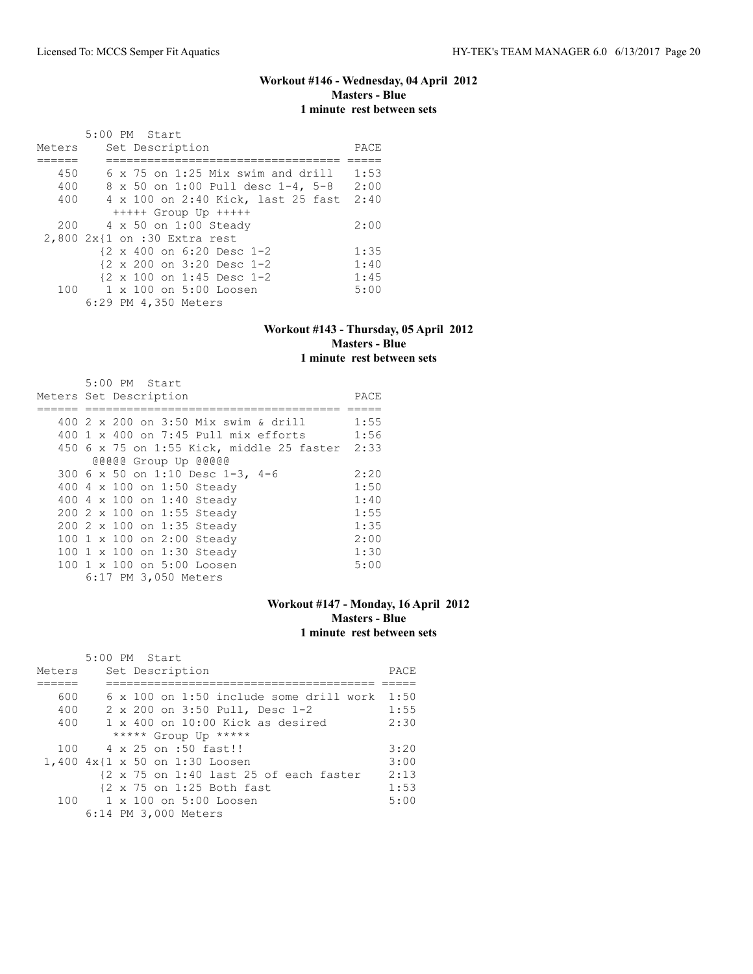# **Workout #146 - Wednesday, 04 April 2012 Masters - Blue 1 minute rest between sets**

|        | 5:00 PM Start                            |      |
|--------|------------------------------------------|------|
| Meters | Set Description                          | PACE |
|        |                                          |      |
| 450    | $6 \times 75$ on 1:25 Mix swim and drill | 1:53 |
| 400    | 8 x 50 on 1:00 Pull desc 1-4, 5-8        | 2:00 |
| 400    | 4 x 100 on 2:40 Kick, last 25 fast       | 2:40 |
|        | $++++$ Group Up $++++$                   |      |
|        | 200 4 x 50 on 1:00 Steady                | 2:00 |
|        | 2,800 2x{1 on :30 Extra rest             |      |
|        | {2 x 400 on 6:20 Desc 1-2                | 1:35 |
|        | {2 x 200 on 3:20 Desc 1-2                | 1:40 |
|        | {2 x 100 on 1:45 Desc 1-2                | 1:45 |
| 100    | 1 x 100 on 5:00 Loosen                   | 5:00 |
|        | 6:29 PM 4,350 Meters                     |      |

## **Workout #143 - Thursday, 05 April 2012 Masters - Blue 1 minute rest between sets**

| 5:00 PM Start                             |      |
|-------------------------------------------|------|
| Meters Set Description                    | PACE |
|                                           |      |
| 400 2 x 200 on 3:50 Mix swim & drill      | 1:55 |
| $400$ 1 x $400$ on 7:45 Pull mix efforts  | 1:56 |
| 450 6 x 75 on 1:55 Kick, middle 25 faster | 2:33 |
| @@@@@ Group Up @@@@@                      |      |
| 300 6 x 50 on 1:10 Desc 1-3, 4-6          | 2:20 |
| 400 4 x 100 on 1:50 Steady                | 1:50 |
| 400 4 x 100 on 1:40 Steady                | 1:40 |
| 200 2 x 100 on 1:55 Steady                | 1:55 |
| 200 2 x 100 on 1:35 Steady                | 1:35 |
| 100 1 x 100 on 2:00 Steady                | 2:00 |
| 100 1 x 100 on 1:30 Steady                | 1:30 |
| 100 1 x 100 on 5:00 Loosen                | 5:00 |
| 6:17 PM 3,050 Meters                      |      |

# **Workout #147 - Monday, 16 April 2012 Masters - Blue 1 minute rest between sets**

|        | 5:00 PM Start                                                              |      |
|--------|----------------------------------------------------------------------------|------|
| Meters | Set Description                                                            | PACE |
|        |                                                                            |      |
| 600    | $6 \times 100$ on 1:50 include some drill work                             | 1:50 |
| 400    | 2 x 200 on 3:50 Pull, Desc 1-2                                             | 1:55 |
| 400    | $1 \times 400$ on $10:00$ Kick as desired                                  | 2:30 |
|        | ***** Group Up *****                                                       |      |
| 100    | 4 x 25 on :50 fast!!                                                       | 3:20 |
|        | 1,400 4x{1 x 50 on 1:30 Loosen                                             | 3:00 |
|        | $\{2 \times 75 \text{ on } 1:40 \text{ last } 25 \text{ of each faster}\}$ | 2:13 |
|        | {2 x 75 on 1:25 Both fast                                                  | 1:53 |
| 100    | 1 x 100 on 5:00 Loosen                                                     | 5:00 |
|        | 6:14 PM 3,000 Meters                                                       |      |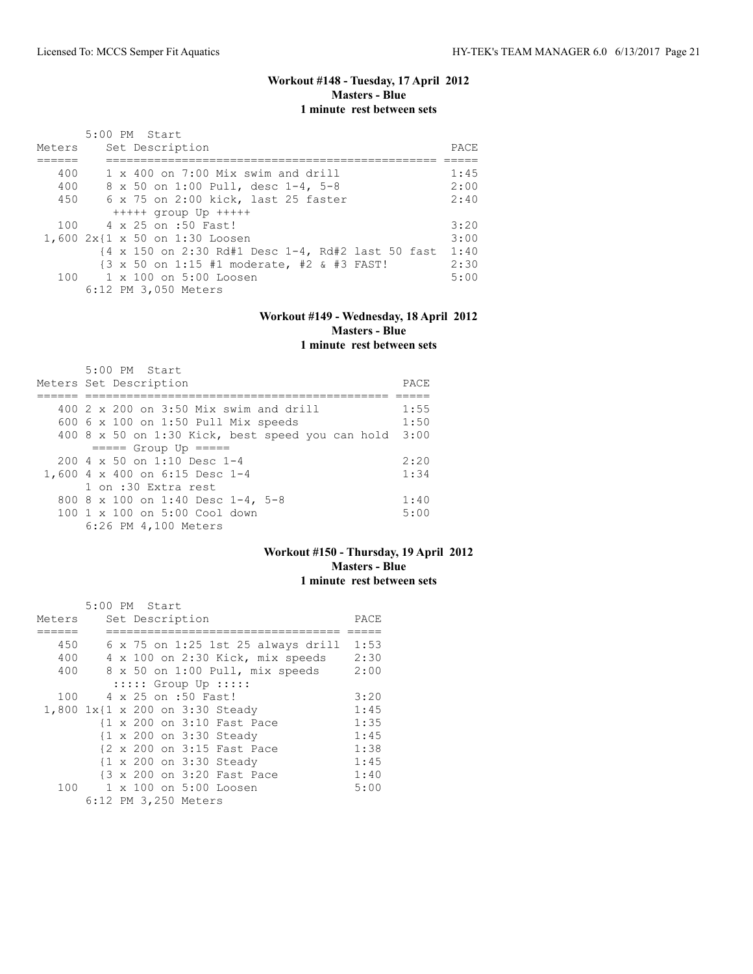# **Workout #148 - Tuesday, 17 April 2012 Masters - Blue 1 minute rest between sets**

| Meters | 5:00 PM Start<br>Set Description                                                              | PACE |
|--------|-----------------------------------------------------------------------------------------------|------|
| 400    | $1 \times 400$ on $7:00$ Mix swim and drill                                                   | 1:45 |
| 400    | 8 x 50 on 1:00 Pull, desc 1-4, 5-8                                                            | 2:00 |
| 450    | 6 x 75 on 2:00 kick, last 25 faster                                                           | 2:40 |
|        | $++++$ qroup Up $++++$                                                                        |      |
|        | 100 4 x 25 on :50 Fast!                                                                       | 3:20 |
|        | 1,600 2x{1 x 50 on 1:30 Loosen                                                                | 3:00 |
|        | $\{4 \times 150 \text{ on } 2:30 \text{ Rd#1 Desc } 1-4, \text{ Rd#2 last } 50 \text{ fast }$ | 1:40 |
|        | $\{3 \times 50 \text{ on } 1:15 \text{ #1 moderate, #2 & } \text{\#3 FAST.}\}$                | 2:30 |
|        | $100 \t 1 \times 100$ on $5:00$ Loosen                                                        | 5:00 |
|        | 6:12 PM 3,050 Meters                                                                          |      |

# **Workout #149 - Wednesday, 18 April 2012 Masters - Blue**

# **1 minute rest between sets**

| $5:00$ PM Start                                  |      |
|--------------------------------------------------|------|
| Meters Set Description                           | PACE |
|                                                  |      |
| 400 2 x 200 on 3:50 Mix swim and drill           | 1:55 |
| 600 $6 \times 100$ on 1:50 Pull Mix speeds       | 1:50 |
| 400 8 x 50 on 1:30 Kick, best speed you can hold | 3:00 |
| $====$ Group Up $====$                           |      |
| $2004 \times 50$ on 1:10 Desc 1-4                | 2:20 |
| 1,600 4 x 400 on 6:15 Desc 1-4                   | 1:34 |
| 1 on :30 Extra rest                              |      |
| 800 8 x 100 on 1:40 Desc 1-4, 5-8                | 1:40 |
| 100 1 x 100 on 5:00 Cool down                    | 5:00 |
| 6:26 PM 4,100 Meters                             |      |

## **Workout #150 - Thursday, 19 April 2012 Masters - Blue 1 minute rest between sets**

|                                 | 5:00 PM Start |  |                      |                            |                                           |      |
|---------------------------------|---------------|--|----------------------|----------------------------|-------------------------------------------|------|
| Meters                          |               |  | Set Description      |                            |                                           | PACE |
|                                 |               |  |                      |                            |                                           |      |
| 450                             |               |  |                      |                            | $6 \times 75$ on 1:25 1st 25 always drill | 1:53 |
| 400                             |               |  |                      |                            | 4 x 100 on 2:30 Kick, mix speeds          | 2:30 |
| 400                             |               |  |                      |                            | 8 x 50 on 1:00 Pull, mix speeds           | 2:00 |
|                                 |               |  |                      | $:::::$ Group Up $:::::$   |                                           |      |
| 100                             |               |  | 4 x 25 on :50 Fast!  |                            |                                           | 3:20 |
| 1,800 1x{1 x 200 on 3:30 Steady |               |  |                      |                            |                                           | 1:45 |
|                                 |               |  |                      | {1 x 200 on 3:10 Fast Pace |                                           | 1:35 |
|                                 |               |  |                      | {1 x 200 on 3:30 Steady    |                                           | 1:45 |
|                                 |               |  |                      | {2 x 200 on 3:15 Fast Pace |                                           | 1:38 |
|                                 |               |  |                      | {1 x 200 on 3:30 Steady    |                                           | 1:45 |
|                                 |               |  |                      | {3 x 200 on 3:20 Fast Pace |                                           | 1:40 |
| 100                             |               |  |                      | 1 x 100 on 5:00 Loosen     |                                           | 5:00 |
|                                 |               |  | 6:12 PM 3,250 Meters |                            |                                           |      |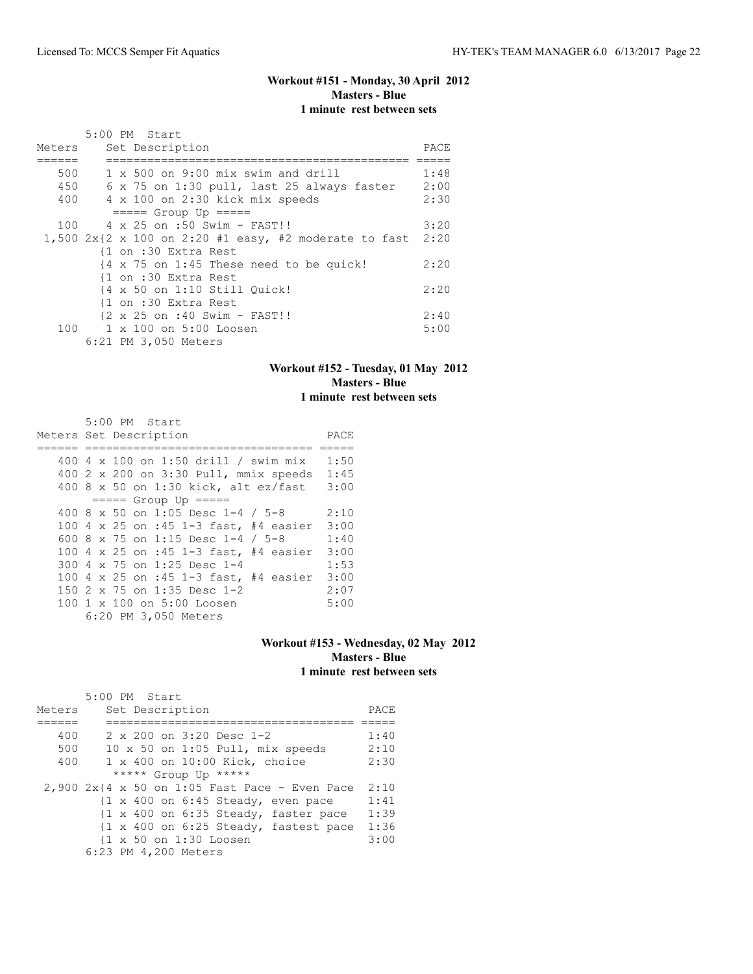# **Workout #151 - Monday, 30 April 2012 Masters - Blue 1 minute rest between sets**

|        | 5:00 PM Start                                                                                                       |      |
|--------|---------------------------------------------------------------------------------------------------------------------|------|
| Meters | Set Description                                                                                                     | PACE |
|        |                                                                                                                     |      |
| 500    | $1 \times 500$ on 9:00 mix swim and drill                                                                           | 1:48 |
| 450    | 6 x 75 on 1:30 pull, last 25 always faster                                                                          | 2:00 |
| 400    | 4 x 100 on 2:30 kick mix speeds                                                                                     | 2:30 |
|        | $====$ Group Up $====$                                                                                              |      |
| 100    | 4 x 25 on :50 Swim - FAST!!                                                                                         | 3:20 |
|        | 1,500 $2x\{2 \times 100 \text{ on } 2:20 \text{ } \#1 \text{ easy}, \#2 \text{ moderate to fast } 2:20 \text{ } \}$ |      |
|        | {1 on :30 Extra Rest                                                                                                |      |
|        | $\{4 \times 75 \text{ on } 1:45 \text{ These need to be quick!}\}$                                                  | 2:20 |
|        | {1 on :30 Extra Rest                                                                                                |      |
|        | {4 x 50 on 1:10 Still Ouick!                                                                                        | 2:20 |
|        | {1 on :30 Extra Rest                                                                                                |      |
|        | {2 x 25 on :40 Swim - FAST!!                                                                                        | 2:40 |
| 100    | 1 x 100 on 5:00 Loosen                                                                                              | 5:00 |
|        | 6:21 PM 3,050 Meters                                                                                                |      |

## **Workout #152 - Tuesday, 01 May 2012 Masters - Blue 1 minute rest between sets**

| 5:00 PM Start                         |      |
|---------------------------------------|------|
| Meters Set Description                | PACE |
|                                       |      |
| 400 4 x 100 on 1:50 drill / swim mix  | 1:50 |
| 400 2 x 200 on 3:30 Pull, mmix speeds | 1:45 |
| 400 8 x 50 on 1:30 kick, alt ez/fast  | 3:00 |
| $====$ Group Up $====$                |      |
| 400 8 x 50 on 1:05 Desc 1-4 / 5-8     | 2:10 |
| 100 4 x 25 on :45 1-3 fast, #4 easier | 3:00 |
| 600 8 x 75 on 1:15 Desc 1-4 / 5-8     | 1:40 |
| 100 4 x 25 on :45 1-3 fast, #4 easier | 3:00 |
| 300 4 x 75 on 1:25 Desc 1-4           | 1:53 |
| 100 4 x 25 on :45 1-3 fast, #4 easier | 3:00 |
| 150 2 x 75 on 1:35 Desc 1-2           | 2:07 |
| 100 1 x 100 on 5:00 Loosen            | 5:00 |
| 6:20 PM 3,050 Meters                  |      |

#### **Workout #153 - Wednesday, 02 May 2012 Masters - Blue 1 minute rest between sets**

|        | 5:00 PM Start                                                           |      |
|--------|-------------------------------------------------------------------------|------|
| Meters | Set Description                                                         | PACE |
|        |                                                                         |      |
| 400    | 2 x 200 on 3:20 Desc 1-2                                                | 1:40 |
| 500    | 10 x 50 on 1:05 Pull, mix speeds                                        | 2:10 |
| 400    | 1 x 400 on 10:00 Kick, choice                                           | 2:30 |
|        | ***** Group Up *****                                                    |      |
|        | $2,900$ 2x{4 x 50 on 1:05 Fast Pace - Even Pace                         | 2:10 |
|        | $\{1 \times 400 \text{ on } 6:45 \text{ Steady, even pace}\}$           | 1:41 |
|        | $\{1 \times 400 \text{ on } 6:35 \text{ Steady}, \text{ faster pace}\}$ | 1:39 |
|        | $\{1 \times 400 \text{ on } 6:25 \text{ Steady}, \text{fastest pace}\}$ | 1:36 |
|        | {1 x 50 on 1:30 Loosen                                                  | 3:00 |
|        | 6:23 PM 4,200 Meters                                                    |      |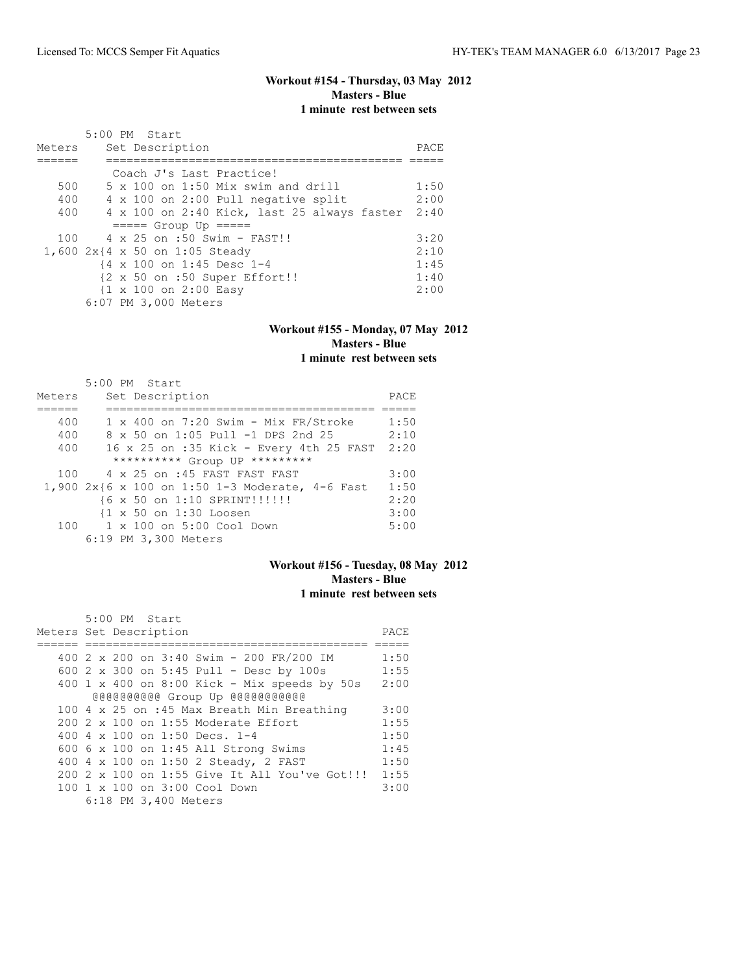#### **Workout #154 - Thursday, 03 May 2012 Masters - Blue 1 minute rest between sets**

| Meters | 5:00 PM Start<br>Set Description                 | PACE |
|--------|--------------------------------------------------|------|
|        |                                                  |      |
|        | Coach J's Last Practice!                         |      |
| 500    | $5 \times 100$ on 1:50 Mix swim and drill        | 1:50 |
| 400    | 4 x 100 on 2:00 Pull negative split              | 2:00 |
| 400    | 4 x 100 on 2:40 Kick, last 25 always faster      | 2:40 |
|        | $====$ Group Up $====$                           |      |
| 100    | $4 \times 25$ on :50 Swim - FAST!!               | 3:20 |
|        | 1,600 $2x$ {4 x 50 on 1:05 Steady                | 2:10 |
|        | {4 x 100 on 1:45 Desc 1-4                        | 1:45 |
|        | {2 x 50 on :50 Super Effort!!                    | 1:40 |
|        | $\{1 \times 100 \text{ on } 2:00 \text{ Easy}\}$ | 2:00 |
|        | 6:07 PM 3,000 Meters                             |      |

#### **Workout #155 - Monday, 07 May 2012 Masters - Blue 1 minute rest between sets**

|        | 5:00 PM Start                                      |      |
|--------|----------------------------------------------------|------|
| Meters | Set Description                                    | PACE |
|        |                                                    |      |
| 400    | $1 \times 400$ on 7:20 Swim - Mix FR/Stroke        | 1:50 |
| 400    | 8 x 50 on 1:05 Pull -1 DPS 2nd 25                  | 2:10 |
| 400    | 16 x 25 on :35 Kick - Every 4th 25 FAST            | 2:20 |
|        | ********** Group UP *********                      |      |
| 100    | 4 x 25 on :45 FAST FAST FAST                       | 3:00 |
|        | 1,900 $2x$ {6 x 100 on 1:50 1-3 Moderate, 4-6 Fast | 1:50 |
|        | {6 x 50 on 1:10 SPRINT!!!!!!                       | 2:20 |
|        | {1 x 50 on 1:30 Loosen                             | 3:00 |
| 100    | 1 x 100 on 5:00 Cool Down                          | 5:00 |
|        | 6:19 PM 3,300 Meters                               |      |

# **Workout #156 - Tuesday, 08 May 2012 Masters - Blue 1 minute rest between sets**

| 5:00 PM Start                                 |      |
|-----------------------------------------------|------|
| Meters Set Description                        | PACE |
|                                               |      |
| 400 2 x 200 on 3:40 Swim - 200 FR/200 IM      | 1:50 |
| 600 2 x 300 on 5:45 Pull - Desc by 100s       | 1:55 |
| 400 1 x 400 on 8:00 Kick - Mix speeds by 50s  | 2:00 |
| @@@@@@@@@@Group Up @@@@@@@@@@@@               |      |
| 100 4 x 25 on :45 Max Breath Min Breathing    | 3:00 |
| 200 2 x 100 on 1:55 Moderate Effort           | 1:55 |
| 400 4 x 100 on 1:50 Decs. 1-4                 | 1:50 |
| 600 6 x 100 on 1:45 All Strong Swims          | 1:45 |
| 400 4 x 100 on 1:50 2 Steady, 2 FAST          | 1:50 |
| 200 2 x 100 on 1:55 Give It All You've Got!!! | 1:55 |
| 100 1 x 100 on 3:00 Cool Down                 | 3:00 |
| 6:18 PM 3,400 Meters                          |      |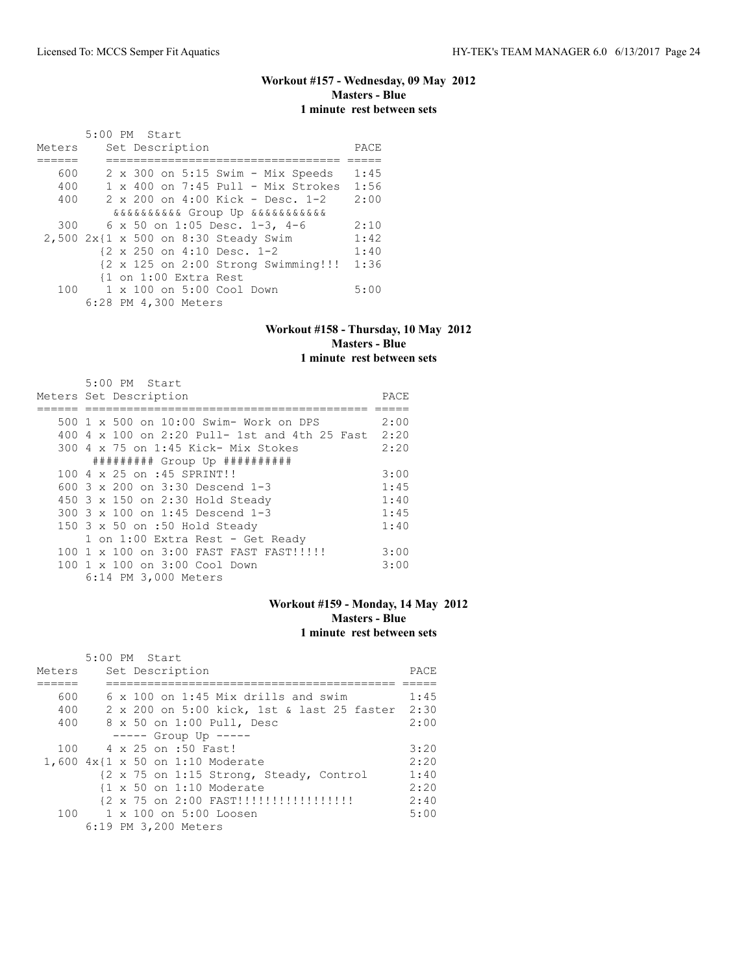# **Workout #157 - Wednesday, 09 May 2012 Masters - Blue 1 minute rest between sets**

|        | 5:00 PM Start                              |      |
|--------|--------------------------------------------|------|
| Meters | Set Description                            | PACE |
|        |                                            |      |
| 600    | $2 \times 300$ on $5:15$ Swim - Mix Speeds | 1:45 |
| 400    | $1 \times 400$ on 7:45 Pull - Mix Strokes  | 1:56 |
| 400    | $2 \times 200$ on $4:00$ Kick - Desc. 1-2  | 2:00 |
|        | ggggggggg Group Up ggggggggggg             |      |
| 300    | 6 x 50 on 1:05 Desc. 1-3, 4-6              | 2:10 |
|        | 2,500 2x{1 x 500 on 8:30 Steady Swim       | 1:42 |
|        | {2 x 250 on 4:10 Desc. 1-2                 | 1:40 |
|        | {2 x 125 on 2:00 Strong Swimming!!!        | 1:36 |
|        | {1 on 1:00 Extra Rest                      |      |
| 100    | 1 x 100 on 5:00 Cool Down                  | 5:00 |
|        | 6:28 PM 4,300 Meters                       |      |

## **Workout #158 - Thursday, 10 May 2012 Masters - Blue 1 minute rest between sets**

| 5:00 PM Start                                      |      |
|----------------------------------------------------|------|
| Meters Set Description                             | PACE |
|                                                    |      |
| 500 1 x 500 on 10:00 Swim- Work on DPS             | 2:00 |
| 400 4 x 100 on 2:20 Pull- 1st and 4th 25 Fast 2:20 |      |
| 300 4 x 75 on 1:45 Kick- Mix Stokes                | 2:20 |
| ######### Group Up ##########                      |      |
| 100 4 x 25 on :45 SPRINT!!                         | 3:00 |
| 600 3 x 200 on 3:30 Descend 1-3                    | 1:45 |
| 450 3 x 150 on 2:30 Hold Steady                    | 1:40 |
| 300 3 x 100 on 1:45 Descend 1-3                    | 1:45 |
| 150 3 x 50 on :50 Hold Steady                      | 1:40 |
| 1 on 1:00 Extra Rest - Get Ready                   |      |
| 100 1 x 100 on 3:00 FAST FAST FAST!!!!!!           | 3:00 |
| 100 1 x 100 on 3:00 Cool Down                      | 3:00 |
| 6:14 PM 3,000 Meters                               |      |

# **Workout #159 - Monday, 14 May 2012 Masters - Blue 1 minute rest between sets**

|        | $5:00$ PM Start                                 |      |
|--------|-------------------------------------------------|------|
| Meters | Set Description                                 | PACE |
|        |                                                 |      |
| 600    | $6 \times 100$ on 1:45 Mix drills and swim      | 1:45 |
| 400    | 2 x 200 on 5:00 kick, 1st & last 25 faster 2:30 |      |
| 400    | 8 x 50 on 1:00 Pull, Desc                       | 2:00 |
|        | $---$ Group Up $---$                            |      |
|        | 100 4 x 25 on :50 Fast!                         | 3:20 |
|        | 1,600 4x{1 x 50 on 1:10 Moderate                | 2:20 |
|        | {2 x 75 on 1:15 Strong, Steady, Control         | 1:40 |
|        | $\{1 \times 50$ on 1:10 Moderate                | 2:20 |
|        |                                                 | 2:40 |
|        | 100 1 x 100 on 5:00 Loosen                      | 5:00 |
|        | 6:19 PM 3,200 Meters                            |      |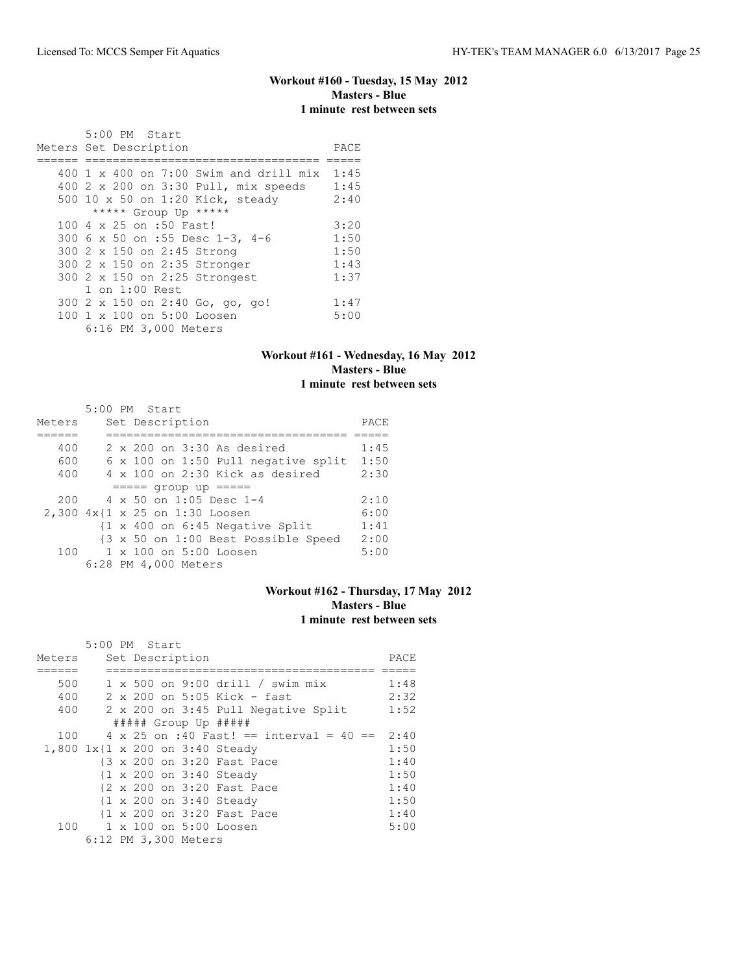# **Workout #160 - Tuesday, 15 May 2012 Masters - Blue 1 minute rest between sets**

| 5:00 PM Start                                 |      |
|-----------------------------------------------|------|
| Meters Set Description                        | PACE |
|                                               |      |
| 400 $1 \times 400$ on 7:00 Swim and drill mix | 1:45 |
| 400 2 x 200 on 3:30 Pull, mix speeds          | 1:45 |
| 500 10 x 50 on 1:20 Kick, steady              | 2:40 |
| ***** Group Up *****                          |      |
| 100 4 x 25 on :50 Fast!                       | 3:20 |
| 300 6 x 50 on :55 Desc 1-3, 4-6               | 1:50 |
| 300 2 x 150 on 2:45 Strong                    | 1:50 |
| 300 2 x 150 on 2:35 Stronger                  | 1:43 |
| 300 2 x 150 on 2:25 Strongest                 | 1:37 |
| $1$ on $1:00$ Rest                            |      |
| 300 2 x 150 on 2:40 Go, go, go!               | 1:47 |
| 100 1 x 100 on 5:00 Loosen                    | 5:00 |
| 6:16 PM 3,000 Meters                          |      |

# **Workout #161 - Wednesday, 16 May 2012 Masters - Blue 1 minute rest between sets**

|        |  | 5:00 PM Start                                              |      |
|--------|--|------------------------------------------------------------|------|
| Meters |  | Set Description                                            | PACE |
|        |  |                                                            |      |
| 400    |  | 2 x 200 on 3:30 As desired                                 | 1:45 |
| 600    |  | 6 x 100 on 1:50 Pull negative split                        | 1:50 |
| 400    |  | $4 \times 100$ on 2:30 Kick as desired                     | 2:30 |
|        |  | $==== qroup up == ==$                                      |      |
| 200    |  | $4 \times 50$ on 1:05 Desc 1-4                             | 2:10 |
|        |  | 2,300 4x{1 x 25 on 1:30 Loosen                             | 6:00 |
|        |  | $\{1 \times 400 \text{ on } 6:45 \text{ Negative Split}\}$ | 1:41 |
|        |  | {3 x 50 on 1:00 Best Possible Speed                        | 2:00 |
| 100    |  | 1 x 100 on 5:00 Loosen                                     | 5:00 |
|        |  | 6:28 PM 4,000 Meters                                       |      |

# **Workout #162 - Thursday, 17 May 2012 Masters - Blue 1 minute rest between sets**

|        | 5:00 PM Start |  |                      |                                         |      |
|--------|---------------|--|----------------------|-----------------------------------------|------|
| Meters |               |  | Set Description      |                                         | PACE |
|        |               |  |                      |                                         |      |
| 500    |               |  |                      | $1 \times 500$ on 9:00 drill / swim mix | 1:48 |
| 400    |               |  |                      | $2 \times 200$ on 5:05 Kick - fast      | 2:32 |
| 400    |               |  |                      | 2 x 200 on 3:45 Pull Negative Split     | 1:52 |
|        |               |  |                      | ##### Group Up #####                    |      |
| 100    |               |  |                      | 4 x 25 on :40 Fast! == interval = 40 == | 2:40 |
|        |               |  |                      | 1,800 1x{1 x 200 on 3:40 Steady         | 1:50 |
|        |               |  |                      | {3 x 200 on 3:20 Fast Pace              | 1:40 |
|        |               |  |                      | {1 x 200 on 3:40 Steady                 | 1:50 |
|        |               |  |                      | {2 x 200 on 3:20 Fast Pace              | 1:40 |
|        |               |  |                      | {1 x 200 on 3:40 Steady                 | 1:50 |
|        |               |  |                      | {1 x 200 on 3:20 Fast Pace              | 1:40 |
|        |               |  |                      | 100 1 x 100 on 5:00 Loosen              | 5:00 |
|        |               |  | 6:12 PM 3,300 Meters |                                         |      |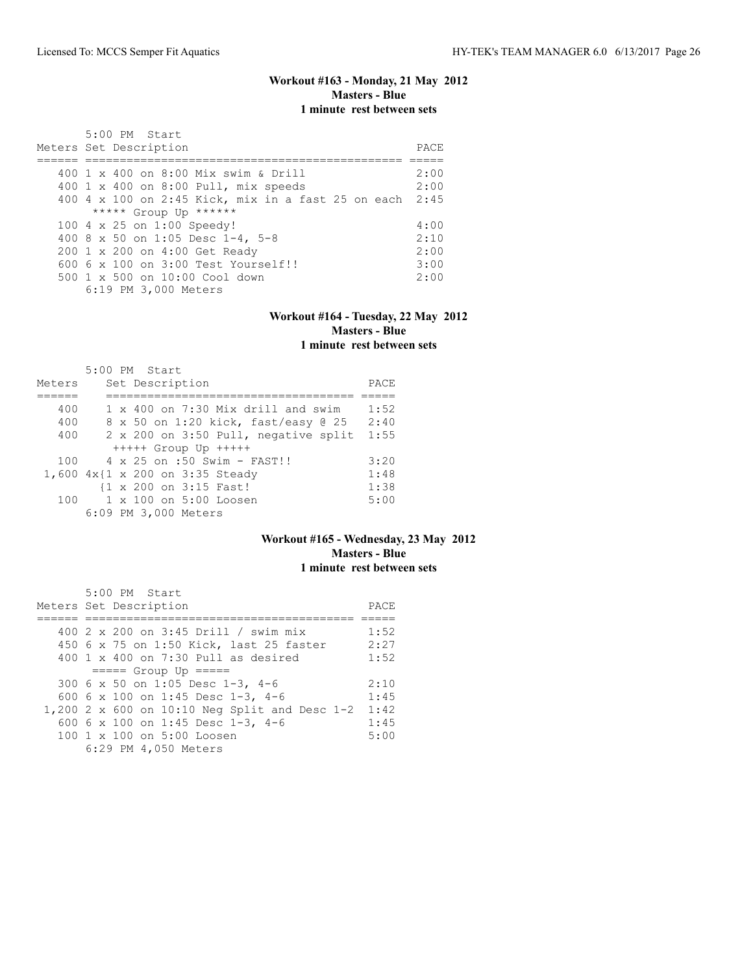# **Workout #163 - Monday, 21 May 2012 Masters - Blue 1 minute rest between sets**

| 5:00 PM Start<br>Meters Set Description                 | PACE. |
|---------------------------------------------------------|-------|
| 400 1 x 400 on 8:00 Mix swim & Drill                    | 2:00  |
|                                                         |       |
| 400 1 x 400 on 8:00 Pull, mix speeds                    | 2:00  |
| 400 4 x 100 on 2:45 Kick, mix in a fast 25 on each 2:45 |       |
| ***** Group Up ******                                   |       |
| 100 4 x 25 on 1:00 Speedy!                              | 4:00  |
| 400 8 x 50 on 1:05 Desc 1-4, 5-8                        | 2:10  |
| 200 1 x 200 on 4:00 Get Ready                           | 2:00  |
| $6006 \times 100$ on $3:00$ Test Yourself!!             | 3:00  |
| $500 \t 1 \t x \t 500$ on $10:00$ Cool down             | 2:00  |
| 6:19 PM 3,000 Meters                                    |       |

#### **Workout #164 - Tuesday, 22 May 2012 Masters - Blue 1 minute rest between sets**

|        | $5:00$ PM Start                           |      |
|--------|-------------------------------------------|------|
| Meters | Set Description                           | PACE |
|        |                                           |      |
| 400    | $1 \times 400$ on 7:30 Mix drill and swim | 1:52 |
| 400    | 8 x 50 on 1:20 kick, fast/easy 0 25       | 2:40 |
| 400    | 2 x 200 on 3:50 Pull, negative split      | 1:55 |
|        | $++++$ Group Up $++++$                    |      |
| 100    | $4 \times 25$ on :50 Swim - FAST!!        | 3:20 |
|        | 1,600 4x{1 x 200 on 3:35 Steady           | 1:48 |
|        | {1 x 200 on 3:15 Fast!                    | 1:38 |
| 100    | $1 \times 100$ on 5:00 Loosen             | 5:00 |
|        | 6:09 PM 3,000 Meters                      |      |

#### **Workout #165 - Wednesday, 23 May 2012 Masters - Blue 1 minute rest between sets**

| 5:00 PM Start                                  |      |
|------------------------------------------------|------|
| Meters Set Description                         | PACE |
|                                                |      |
| 400 2 x 200 on 3:45 Drill / swim mix           | 1:52 |
| 450 6 x 75 on 1:50 Kick, last 25 faster        | 2:27 |
| $400 \t 1 \t x \t 400$ on 7:30 Pull as desired | 1:52 |
| $====$ Group Up $====$                         |      |
| 300 6 x 50 on 1:05 Desc 1-3, 4-6               | 2:10 |
| 600 6 x 100 on 1:45 Desc 1-3, 4-6              | 1:45 |
| 1,200 2 x 600 on 10:10 Neg Split and Desc 1-2  | 1:42 |
| 600 6 x 100 on 1:45 Desc 1-3, 4-6              | 1:45 |
| 100 1 x 100 on 5:00 Loosen                     | 5:00 |
| 6:29 PM 4,050 Meters                           |      |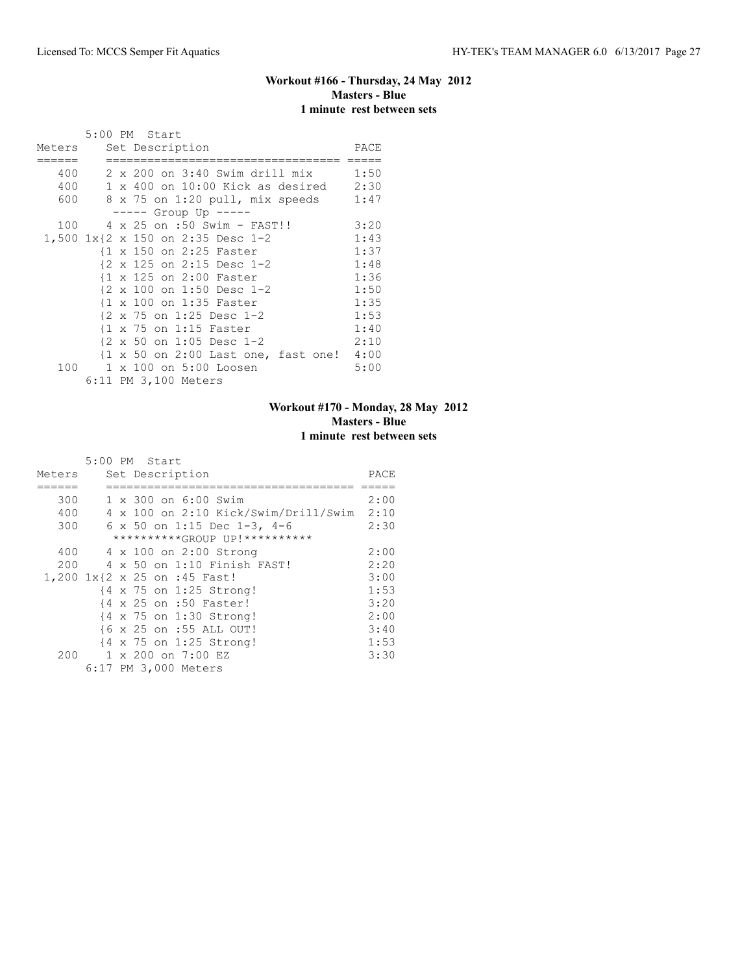# **Workout #166 - Thursday, 24 May 2012 Masters - Blue 1 minute rest between sets**

|     |  | 5:00 PM Start<br>Meters Set Description            | PACE |
|-----|--|----------------------------------------------------|------|
|     |  |                                                    |      |
| 400 |  | 2 x 200 on 3:40 Swim drill mix                     | 1:50 |
|     |  | $400$ 1 x $400$ on $10:00$ Kick as desired         | 2:30 |
|     |  | 600 8 x 75 on 1:20 pull, mix speeds                | 1:47 |
|     |  | ----- Group Up -----                               |      |
| 100 |  | 4 x 25 on :50 Swim - FAST!!                        | 3:20 |
|     |  | 1,500 1x{2 x 150 on 2:35 Desc 1-2                  | 1:43 |
|     |  | {1 x 150 on 2:25 Faster                            | 1:37 |
|     |  | {2 x 125 on 2:15 Desc 1-2                          | 1:48 |
|     |  | {1 x 125 on 2:00 Faster                            | 1:36 |
|     |  | {2 x 100 on 1:50 Desc 1-2                          | 1:50 |
|     |  | {1 x 100 on 1:35 Faster                            | 1:35 |
|     |  | {2 x 75 on 1:25 Desc 1-2                           | 1:53 |
|     |  | $\{1 \times 75 \text{ on } 1:15 \text{ faster}\}$  | 1:40 |
|     |  | $\{2 \times 50 \text{ on } 1:05 \text{ Desc } 1-2$ | 2:10 |
|     |  | {1 x 50 on 2:00 Last one, fast one! 4:00           |      |
| 100 |  | 1 x 100 on 5:00 Loosen                             | 5:00 |
|     |  | 6:11 PM 3,100 Meters                               |      |

# **Workout #170 - Monday, 28 May 2012 Masters - Blue 1 minute rest between sets**

|        | 5:00 PM Start |  |                                      |      |
|--------|---------------|--|--------------------------------------|------|
| Meters |               |  | Set Description                      | PACE |
|        |               |  |                                      |      |
| 300    |               |  | 1 x 300 on 6:00 Swim                 | 2:00 |
| 400    |               |  | 4 x 100 on 2:10 Kick/Swim/Drill/Swim | 2:10 |
| 300    |               |  | 6 x 50 on 1:15 Dec 1-3, 4-6          | 2:30 |
|        |               |  | **********GROUP UP!**********        |      |
| 400    |               |  | 4 x 100 on 2:00 Strong               | 2:00 |
| 200    |               |  | 4 x 50 on 1:10 Finish FAST!          | 2:20 |
|        |               |  | 1,200 1x{2 x 25 on :45 Fast!         | 3:00 |
|        |               |  | {4 x 75 on 1:25 Strong!              | 1:53 |
|        |               |  | {4 x 25 on :50 Faster!               | 3:20 |
|        |               |  | {4 x 75 on 1:30 Strong!              | 2:00 |
|        |               |  | {6 x 25 on :55 ALL OUT!              | 3:40 |
|        |               |  | {4 x 75 on 1:25 Strong!              | 1:53 |
| 200    |               |  | 1 x 200 on 7:00 EZ                   | 3:30 |
|        |               |  | 6:17 PM 3,000 Meters                 |      |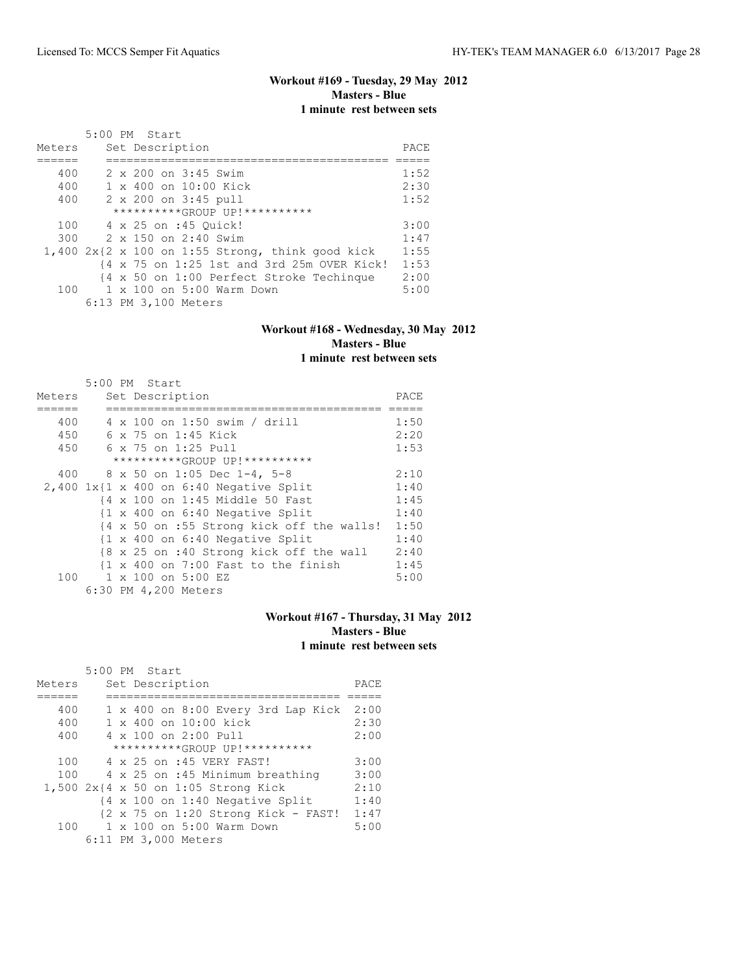# **Workout #169 - Tuesday, 29 May 2012 Masters - Blue 1 minute rest between sets**

|        |  | 5:00 PM Start                                      |      |
|--------|--|----------------------------------------------------|------|
| Meters |  | Set Description                                    | PACE |
|        |  |                                                    |      |
| 400    |  | 2 x 200 on 3:45 Swim                               | 1:52 |
| 400    |  | 1 x 400 on 10:00 Kick                              | 2:30 |
| 400    |  | 2 x 200 on 3:45 pull                               | 1:52 |
|        |  | **********GROUP UP!**********                      |      |
| 100    |  | 4 x 25 on :45 Ouick!                               | 3:00 |
| 300    |  | 2 x 150 on 2:40 Swim                               | 1:47 |
|        |  | $1,400$ 2x{2 x 100 on 1:55 Strong, think good kick | 1:55 |
|        |  | {4 x 75 on 1:25 1st and 3rd 25m OVER Kick!         | 1:53 |
|        |  | {4 x 50 on 1:00 Perfect Stroke Techinque           | 2:00 |
| 100    |  | 1 x 100 on 5:00 Warm Down                          | 5:00 |
|        |  | 6:13 PM 3,100 Meters                               |      |

## **Workout #168 - Wednesday, 30 May 2012 Masters - Blue 1 minute rest between sets**

|        | 5:00 PM Start                                                  |      |
|--------|----------------------------------------------------------------|------|
| Meters | Set Description                                                | PACE |
|        |                                                                |      |
| 400    | 4 x 100 on 1:50 swim / drill                                   | 1:50 |
| 450    | 6 x 75 on 1:45 Kick                                            | 2:20 |
| 450    | 6 x 75 on 1:25 Pull                                            | 1:53 |
|        | **********GROUP UP!**********                                  |      |
|        | 400 8 x 50 on 1:05 Dec 1-4, 5-8                                | 2:10 |
|        | $2,400$ 1x{1 x 400 on 6:40 Negative Split                      | 1:40 |
|        | {4 x 100 on 1:45 Middle 50 Fast                                | 1:45 |
|        | {1 x 400 on 6:40 Negative Split                                | 1:40 |
|        | {4 x 50 on :55 Strong kick off the walls!                      | 1:50 |
|        | $\{1 \times 400 \text{ on } 6:40 \text{ Negative Split}\}$     | 1:40 |
|        | {8 x 25 on :40 Strong kick off the wall                        | 2:40 |
|        | $\{1 \times 400 \text{ on } 7:00 \text{ Fast to the finish}\}$ | 1:45 |
| 100    | 1 x 100 on 5:00 EZ                                             | 5:00 |
|        | 6:30 PM 4,200 Meters                                           |      |

## **Workout #167 - Thursday, 31 May 2012 Masters - Blue 1 minute rest between sets**

|        |  | 5:00 PM Start                                                 |      |
|--------|--|---------------------------------------------------------------|------|
| Meters |  | Set Description                                               | PACE |
|        |  |                                                               |      |
| 400    |  | 1 x 400 on 8:00 Every 3rd Lap Kick                            | 2:00 |
| 400    |  | $1 \times 400$ on $10:00$ kick                                | 2:30 |
| 400    |  | $4 \times 100$ on $2:00$ Pull                                 | 2:00 |
|        |  | **********GROUP UP!**********                                 |      |
| 100    |  | 4 x 25 on :45 VERY FAST!                                      | 3:00 |
| 100    |  | 4 x 25 on :45 Minimum breathing                               | 3:00 |
|        |  | 1,500 2x{4 x 50 on 1:05 Strong Kick                           | 2:10 |
|        |  | $\{4 \times 100 \text{ on } 1:40 \text{ Negative Split}\}$    | 1:40 |
|        |  | $\{2 \times 75 \text{ on } 1:20 \text{ Strong Kick - FAST}\}$ | 1:47 |
| 100    |  | 1 x 100 on 5:00 Warm Down                                     | 5:00 |
|        |  | 6:11 PM 3,000 Meters                                          |      |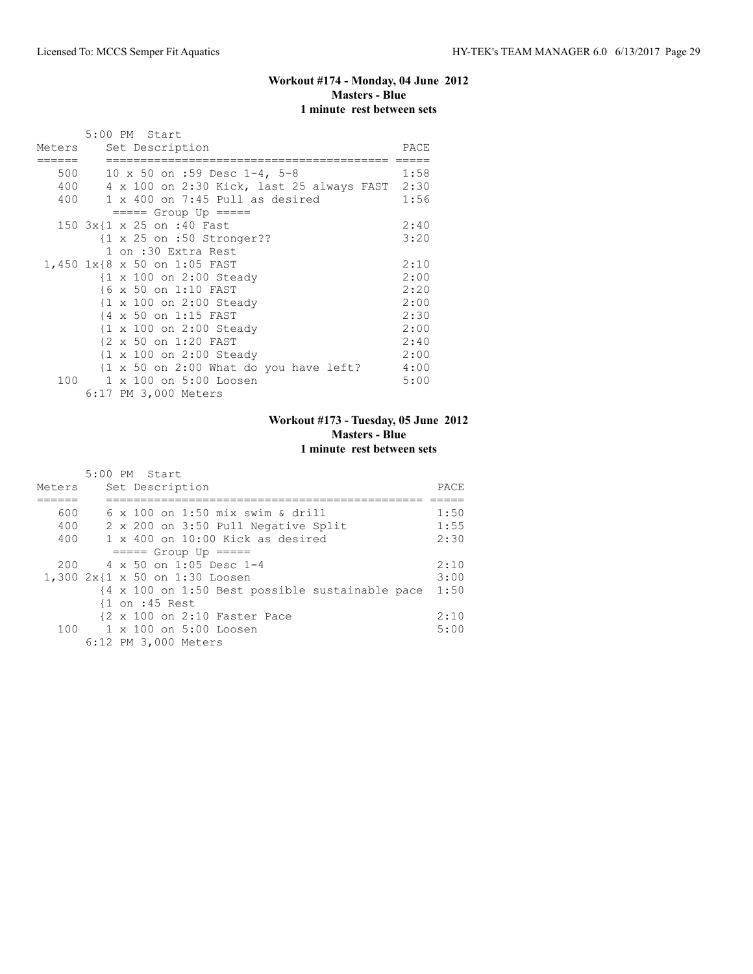# **Workout #174 - Monday, 04 June 2012 Masters - Blue 1 minute rest between sets**

|        | 5:00 PM Start                                                    |      |
|--------|------------------------------------------------------------------|------|
| Meters | Set Description                                                  | PACE |
|        |                                                                  |      |
| 500    | 10 x 50 on :59 Desc $1-4$ , 5-8                                  | 1:58 |
| 400    | 4 x 100 on 2:30 Kick, last 25 always FAST 2:30                   |      |
|        | $400$ 1 x 400 on 7:45 Pull as desired                            | 1:56 |
|        | $== == $ Group Up $== == $                                       |      |
|        | 150 3x{1 x 25 on :40 Fast                                        | 2:40 |
|        | $\{1 \times 25 \text{ on } : 50 \text{ Stromger}??$              | 3:20 |
|        | 1 on :30 Extra Rest                                              |      |
|        | 1,450 1x{8 x 50 on 1:05 FAST                                     | 2:10 |
|        | {1 x 100 on 2:00 Steady                                          | 2:00 |
|        | {6 x 50 on 1:10 FAST                                             | 2:20 |
|        | {1 x 100 on 2:00 Steady                                          | 2:00 |
|        | {4 x 50 on 1:15 FAST                                             | 2:30 |
|        | {1 x 100 on 2:00 Steady                                          | 2:00 |
|        | {2 x 50 on 1:20 FAST                                             | 2:40 |
|        | {1 x 100 on 2:00 Steady                                          | 2:00 |
|        | $\{1 \times 50 \text{ on } 2:00 \text{ What do you have left}\}$ | 4:00 |
| 100    | 1 x 100 on 5:00 Loosen                                           | 5:00 |
|        | 6:17 PM 3,000 Meters                                             |      |

# **Workout #173 - Tuesday, 05 June 2012 Masters - Blue 1 minute rest between sets**

|        | $5:00$ PM Start                                         |      |
|--------|---------------------------------------------------------|------|
| Meters | Set Description                                         | PACE |
|        |                                                         |      |
| 600    | $6 \times 100$ on 1:50 mix swim & drill                 | 1:50 |
| 400    | 2 x 200 on 3:50 Pull Negative Split                     | 1:55 |
| 400    | $1 \times 400$ on $10:00$ Kick as desired               | 2:30 |
|        | $====$ Group Up $====$                                  |      |
| 200    | 4 x 50 on 1:05 Desc 1-4                                 | 2:10 |
|        | 1,300 2x{1 x 50 on 1:30 Loosen                          | 3:00 |
|        | {4 x 100 on 1:50 Best possible sustainable pace         | 1:50 |
|        | $\{1 \text{ on } : 45 \text{ Rest}\}$                   |      |
|        | $\{2 \times 100 \text{ on } 2:10 \text{ faster Race}\}$ | 2:10 |
|        | 100 1 x 100 on 5:00 Loosen                              | 5:00 |
|        | 6:12 PM 3,000 Meters                                    |      |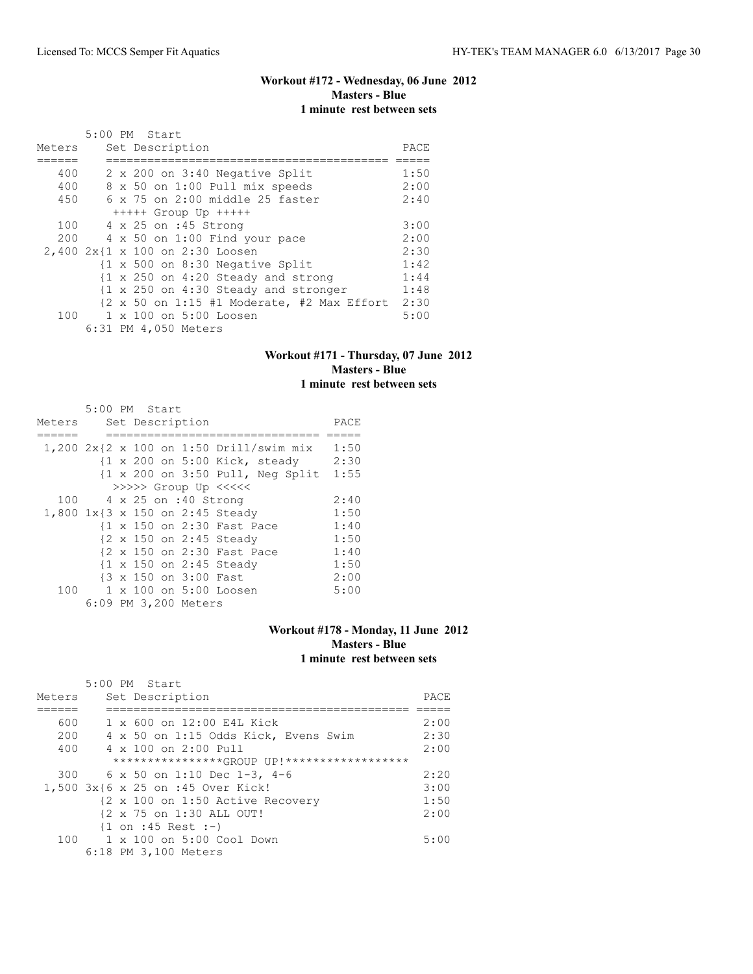# **Workout #172 - Wednesday, 06 June 2012 Masters - Blue 1 minute rest between sets**

|        | 5:00 PM Start                   |                                                                                           |      |
|--------|---------------------------------|-------------------------------------------------------------------------------------------|------|
| Meters | Set Description                 |                                                                                           | PACE |
|        |                                 |                                                                                           |      |
| 400    |                                 | 2 x 200 on 3:40 Negative Split                                                            | 1:50 |
| 400    |                                 | 8 x 50 on 1:00 Pull mix speeds                                                            | 2:00 |
| 450    |                                 | $6 \times 75$ on 2:00 middle 25 faster                                                    | 2:40 |
|        |                                 | $++++$ Group Up $++++$                                                                    |      |
| 100    |                                 | 4 x 25 on :45 Strong                                                                      | 3:00 |
| 200    |                                 | 4 x 50 on 1:00 Find your pace                                                             | 2:00 |
|        | 2,400 2x{1 x 100 on 2:30 Loosen |                                                                                           | 2:30 |
|        |                                 | {1 x 500 on 8:30 Negative Split                                                           | 1:42 |
|        |                                 | {1 x 250 on 4:20 Steady and strong                                                        | 1:44 |
|        |                                 | {1 x 250 on 4:30 Steady and stronger                                                      | 1:48 |
|        |                                 | $\{2 \times 50 \text{ on } 1:15 \text{ } \#1 \text{ Moderate, } \#2 \text{ Max Effect}\}$ | 2:30 |
| 100    |                                 | 1 x 100 on 5:00 Loosen                                                                    | 5:00 |
|        | 6:31 PM 4,050 Meters            |                                                                                           |      |

# **Workout #171 - Thursday, 07 June 2012 Masters - Blue 1 minute rest between sets**

|        | 5:00 PM Start            |  |                       |                                                                    |      |
|--------|--------------------------|--|-----------------------|--------------------------------------------------------------------|------|
| Meters |                          |  | Set Description       |                                                                    | PACE |
|        |                          |  |                       |                                                                    |      |
|        |                          |  |                       | 1,200 2x{2 x 100 on 1:50 Drill/swim mix                            | 1:50 |
|        |                          |  |                       | $\{1 \times 200 \text{ on } 5:00 \text{ Kick, steady}\}$           | 2:30 |
|        |                          |  |                       | $\{1 \times 200 \text{ on } 3:50 \text{ Pull}, \text{Neg Split}\}$ | 1:55 |
|        |                          |  |                       | >>>>> Group Up <<<<<                                               |      |
|        | 100 4 x 25 on :40 Strong |  |                       |                                                                    | 2:40 |
|        |                          |  |                       | 1,800 1x{3 x 150 on 2:45 Steady                                    | 1:50 |
|        |                          |  |                       | {1 x 150 on 2:30 Fast Pace                                         | 1:40 |
|        |                          |  |                       | {2 x 150 on 2:45 Steady                                            | 1:50 |
|        |                          |  |                       | {2 x 150 on 2:30 Fast Pace                                         | 1:40 |
|        |                          |  |                       | {1 x 150 on 2:45 Steady                                            | 1:50 |
|        |                          |  | {3 x 150 on 3:00 Fast |                                                                    | 2:00 |
| 100    |                          |  |                       | 1 x 100 on 5:00 Loosen                                             | 5:00 |
|        |                          |  | 6:09 PM 3,200 Meters  |                                                                    |      |

#### **Workout #178 - Monday, 11 June 2012 Masters - Blue 1 minute rest between sets**

|        | 5:00 PM Start                                |      |
|--------|----------------------------------------------|------|
| Meters | Set Description                              | PACE |
|        |                                              |      |
| 600    | 1 x 600 on 12:00 E4L Kick                    | 2:00 |
| 200    | 4 x 50 on 1:15 Odds Kick, Evens Swim         | 2:30 |
| 400    | $4 \times 100$ on $2:00$ Pull                | 2:00 |
|        | *****************GROUP UP!****************** |      |
|        | 300 6 x 50 on 1:10 Dec 1-3, 4-6              | 2:20 |
|        | 1,500 3x{6 x 25 on :45 Over Kick!            | 3:00 |
|        | {2 x 100 on 1:50 Active Recovery             | 1:50 |
|        | {2 x 75 on 1:30 ALL OUT!                     | 2:00 |
|        | $\{1 \text{ on } : 45 \text{ Rest } : -\}$   |      |
| 100    | 1 x 100 on 5:00 Cool Down                    | 5:00 |
|        | 6:18 PM 3,100 Meters                         |      |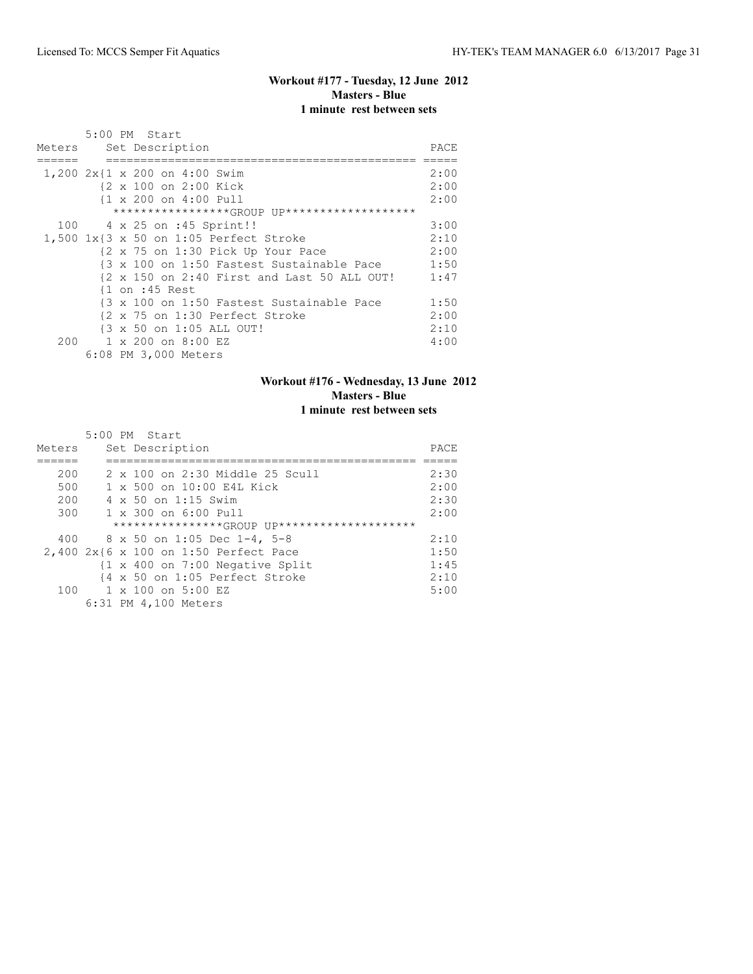# **Workout #177 - Tuesday, 12 June 2012 Masters - Blue 1 minute rest between sets**

| Meters | 5:00 PM Start<br>Set Description              | PACE |
|--------|-----------------------------------------------|------|
|        |                                               |      |
|        | $1,200$ $2x$ {1 x 200 on 4:00 Swim            | 2:00 |
|        | {2 x 100 on 2:00 Kick                         | 2:00 |
|        | {1 x 200 on 4:00 Pull                         | 2:00 |
|        | ******************GROUP UP******************* |      |
|        | 100 4 x 25 on :45 Sprint!!                    | 3:00 |
|        | 1,500 1x{3 x 50 on 1:05 Perfect Stroke        | 2:10 |
|        | {2 x 75 on 1:30 Pick Up Your Pace             | 2:00 |
|        | {3 x 100 on 1:50 Fastest Sustainable Pace     | 1:50 |
|        | {2 x 150 on 2:40 First and Last 50 ALL OUT!   | 1:47 |
|        | $\{1 \text{ on } : 45 \text{ Rest}\}$         |      |
|        | {3 x 100 on 1:50 Fastest Sustainable Pace     | 1:50 |
|        | {2 x 75 on 1:30 Perfect Stroke                | 2:00 |
|        | {3 x 50 on 1:05 ALL OUT!                      | 2:10 |
| 200    | 1 x 200 on 8:00 EZ                            | 4:00 |
|        | 6:08 PM 3,000 Meters                          |      |

# **Workout #176 - Wednesday, 13 June 2012 Masters - Blue 1 minute rest between sets**

|        | 5:00 PM Start                                              |      |
|--------|------------------------------------------------------------|------|
| Meters | Set Description                                            | PACE |
|        |                                                            |      |
| 200    | 2 x 100 on 2:30 Middle 25 Scull                            | 2:30 |
| 500    | 1 x 500 on 10:00 E4L Kick                                  | 2:00 |
| 200    | 4 x 50 on 1:15 Swim                                        | 2:30 |
| 300    | 1 x 300 on 6:00 Pull                                       | 2:00 |
|        | *****************GROUP UP********************              |      |
|        | 400 8 x 50 on 1:05 Dec 1-4, 5-8                            | 2:10 |
|        | 2,400 2x{6 x 100 on 1:50 Perfect Pace                      | 1:50 |
|        | $\{1 \times 400 \text{ on } 7:00 \text{ Negative Split}\}$ | 1:45 |
|        | {4 x 50 on 1:05 Perfect Stroke                             | 2:10 |
|        | $100 \t 1 \times 100$ on $5:00$ EZ                         | 5:00 |
|        | 6:31 PM 4,100 Meters                                       |      |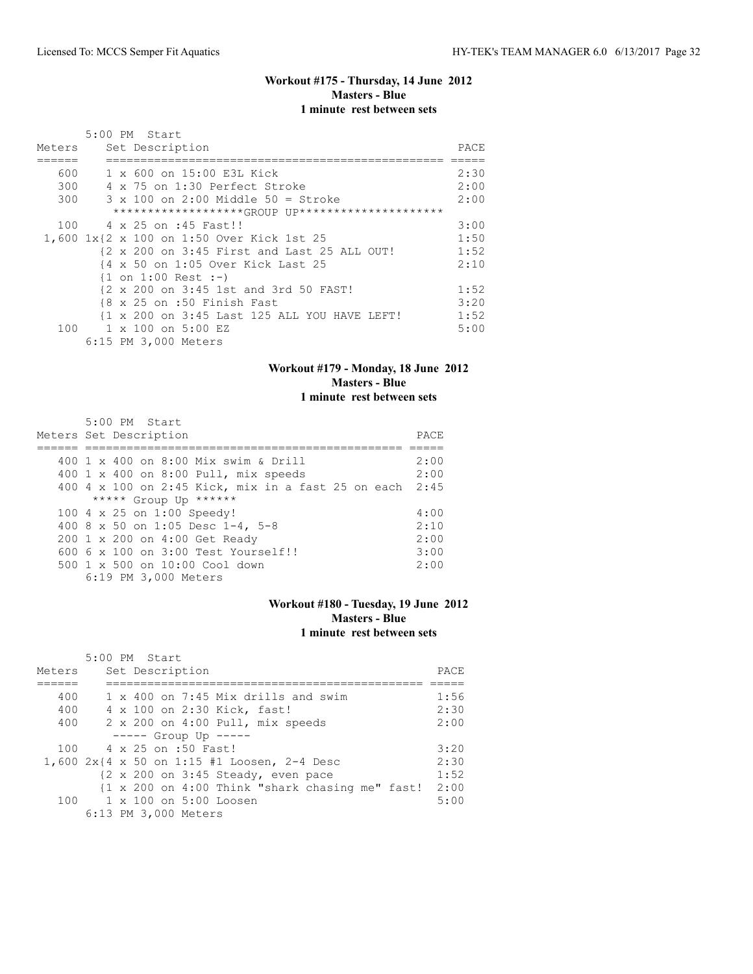# **Workout #175 - Thursday, 14 June 2012 Masters - Blue 1 minute rest between sets**

|        | 5:00 PM Start                                     |      |
|--------|---------------------------------------------------|------|
| Meters | Set Description                                   | PACE |
|        |                                                   |      |
| 600    | 1 x 600 on 15:00 E3L Kick                         | 2:30 |
| 300    | 4 x 75 on 1:30 Perfect Stroke                     | 2:00 |
| 300    | $3 \times 100$ on 2:00 Middle 50 = Stroke         | 2:00 |
|        | ********************GROUP UP********************* |      |
| 100    | 4 x 25 on :45 Fast!!                              | 3:00 |
|        | 1,600 1x{2 x 100 on 1:50 Over Kick 1st 25         | 1:50 |
|        | {2 x 200 on 3:45 First and Last 25 ALL OUT!       | 1:52 |
|        | {4 x 50 on 1:05 Over Kick Last 25                 | 2:10 |
|        | $\{1 \text{ on } 1:00 \text{ Rest } : -\}$        |      |
|        | {2 x 200 on 3:45 1st and 3rd 50 FAST!             | 1:52 |
|        | {8 x 25 on :50 Finish Fast                        | 3:20 |
|        | {1 x 200 on 3:45 Last 125 ALL YOU HAVE LEFT!      | 1:52 |
|        | 100 1 x 100 on 5:00 EZ                            | 5:00 |
|        | 6:15 PM 3,000 Meters                              |      |

## **Workout #179 - Monday, 18 June 2012 Masters - Blue 1 minute rest between sets**

| 5:00 PM Start                                           |      |
|---------------------------------------------------------|------|
| Meters Set Description                                  | PACE |
|                                                         |      |
| 400 1 x 400 on 8:00 Mix swim & Drill                    | 2:00 |
| 400 1 x 400 on 8:00 Pull, mix speeds                    | 2:00 |
| 400 4 x 100 on 2:45 Kick, mix in a fast 25 on each 2:45 |      |
| ***** Group Up ******                                   |      |
| 100 4 x 25 on 1:00 Speedy!                              | 4:00 |
| 400 8 x 50 on 1:05 Desc 1-4, 5-8                        | 2:10 |
| 200 1 x 200 on 4:00 Get Ready                           | 2:00 |
| 600 6 x 100 on 3:00 Test Yourself!!                     | 3:00 |
| 500 1 x 500 on 10:00 Cool down                          | 2:00 |
| 6:19 PM 3,000 Meters                                    |      |

# **Workout #180 - Tuesday, 19 June 2012 Masters - Blue 1 minute rest between sets**

| Meters | 5:00 PM Start<br>Set Description                              | PACE |
|--------|---------------------------------------------------------------|------|
|        |                                                               |      |
| 400    | 1 x 400 on 7:45 Mix drills and swim                           | 1:56 |
| 400    | 4 x 100 on 2:30 Kick, fast!                                   | 2:30 |
| 400    | 2 x 200 on 4:00 Pull, mix speeds                              | 2:00 |
|        | $---$ Group Up $---$                                          |      |
| 100    | 4 x 25 on :50 Fast!                                           | 3:20 |
|        | 1,600 $2x$ {4 x 50 on 1:15 #1 Loosen, 2-4 Desc                | 2:30 |
|        | $\{2 \times 200 \text{ on } 3:45 \text{ Steady, even pace}\}$ | 1:52 |
|        | {1 x 200 on 4:00 Think "shark chasing me" fast!               | 2:00 |
|        | $100 \t 1 \times 100$ on $5:00$ Loosen                        | 5:00 |
|        | 6:13 PM 3,000 Meters                                          |      |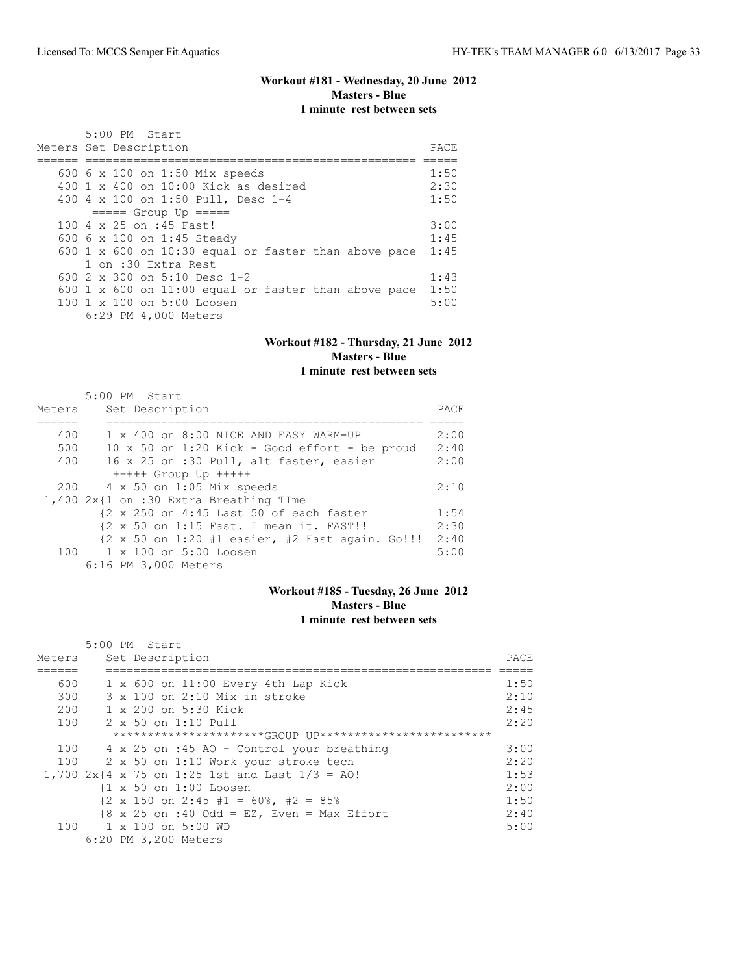## **Workout #181 - Wednesday, 20 June 2012 Masters - Blue 1 minute rest between sets**

| $5:00$ PM Start                                      |      |
|------------------------------------------------------|------|
| Meters Set Description                               | PACE |
|                                                      |      |
| 600 6 x 100 on 1:50 Mix speeds                       | 1:50 |
| $400 \t1 x 400$ on $10:00$ Kick as desired           | 2:30 |
| 400 4 x 100 on 1:50 Pull, Desc 1-4                   | 1:50 |
| $====$ Group Up $====$                               |      |
| 100 4 x 25 on :45 Fast!                              | 3:00 |
| 600 6 x 100 on 1:45 Steady                           | 1:45 |
| 600 1 x 600 on 10:30 equal or faster than above pace | 1:45 |
| 1 on :30 Extra Rest                                  |      |
| 600 $2 \times 300$ on $5:10$ Desc 1-2                | 1:43 |
| 600 1 x 600 on 11:00 equal or faster than above pace | 1:50 |
| 100 1 x 100 on 5:00 Loosen                           | 5:00 |
| 6:29 PM 4,000 Meters                                 |      |

#### **Workout #182 - Thursday, 21 June 2012 Masters - Blue 1 minute rest between sets**

#### 5:00 PM Start Meters Set Description PACE ====== ============================================== ===== 400 1 x 400 on 8:00 NICE AND EASY WARM-UP 2:00 500 10 x 50 on 1:20 Kick - Good effort - be proud 2:40 400 16 x 25 on :30 Pull, alt faster, easier 2:00 +++++ Group Up +++++ 200 4 x 50 on 1:05 Mix speeds 2:10 1,400 2x{1 on :30 Extra Breathing TIme {2 x 250 on 4:45 Last 50 of each faster 1:54  ${2 \times 50}$  on 1:15 Fast. I mean it. FAST!! {2 x 50 on 1:20 #1 easier, #2 Fast again. Go!!! 2:40 100 1 x 100 on 5:00 Loosen 5:00 5:00 6:16 PM 3,000 Meters

#### **Workout #185 - Tuesday, 26 June 2012 Masters - Blue 1 minute rest between sets**

|        | 5:00 PM Start                                                         |      |
|--------|-----------------------------------------------------------------------|------|
| Meters | Set Description                                                       | PACE |
|        |                                                                       |      |
| 600    | $1 \times 600$ on $11:00$ Every 4th Lap Kick                          | 1:50 |
| 300    | $3 \times 100$ on 2:10 Mix in stroke                                  | 2:10 |
| 200    | $1 \times 200$ on $5:30$ Kick                                         | 2:45 |
| 100    | $2 \times 50$ on 1:10 Pull                                            | 2:20 |
|        | **********************GROUP UP**************************              |      |
| 100    | 4 x 25 on :45 AO - Control your breathing                             | 3:00 |
| 100    | 2 x 50 on 1:10 Work your stroke tech                                  | 2:20 |
|        | 1,700 2x{4 x 75 on 1:25 1st and Last $1/3 =$ AO!                      | 1:53 |
|        | {1 x 50 on 1:00 Loosen                                                | 2:00 |
|        | $\{2 \times 150 \text{ on } 2:45 \pm 1 = 60\}$ , $\#2 = 85\%$         | 1:50 |
|        | $\{8 \times 25 \text{ on } : 40 \text{ Odd} = EZ$ , Even = Max Effort | 2:40 |
|        | 100 1 x 100 on 5:00 WD                                                | 5:00 |
|        | 6:20 PM 3,200 Meters                                                  |      |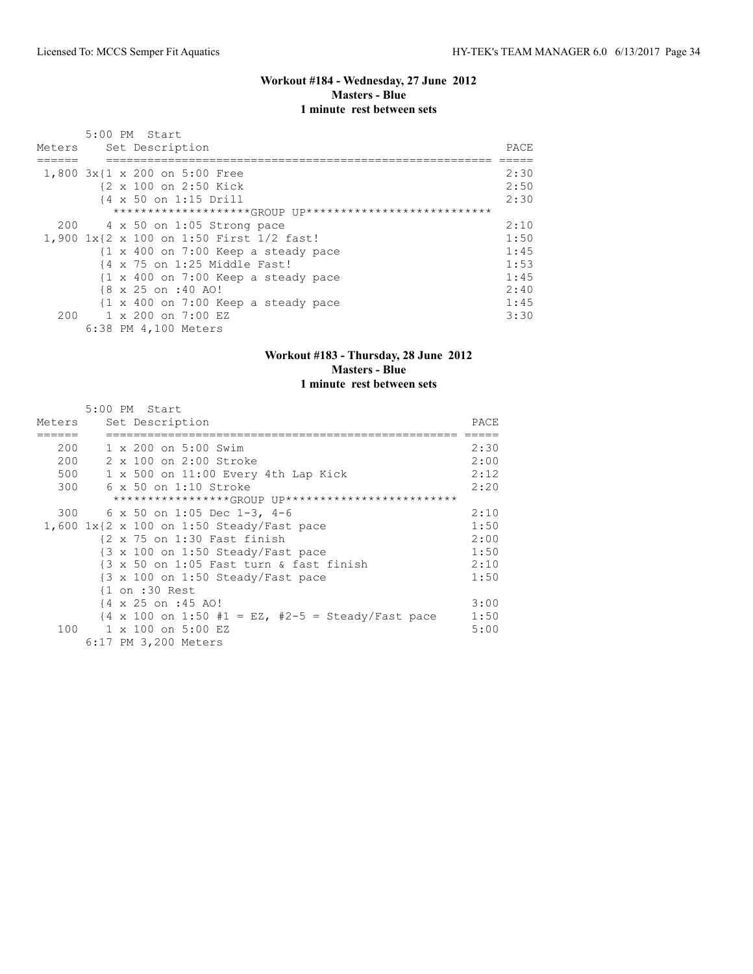#### **Workout #184 - Wednesday, 27 June 2012 Masters - Blue 1 minute rest between sets**

| Meters | 5:00 PM Start<br>Set Description                               | PACE |
|--------|----------------------------------------------------------------|------|
|        |                                                                |      |
|        | 1,800 3x{1 x 200 on 5:00 Free                                  | 2:30 |
|        | {2 x 100 on 2:50 Kick                                          | 2:50 |
|        | {4 x 50 on 1:15 Drill                                          | 2:30 |
|        | ********************(GROUP UP****************************      |      |
|        | $200$ 4 x 50 on 1:05 Strong pace                               | 2:10 |
|        | 1,900 1x{2 x 100 on 1:50 First 1/2 fast!                       | 1:50 |
|        | $\{1 \times 400 \text{ on } 7:00 \text{ Keep a steady pace}\}$ | 1:45 |
|        | $\{4 \times 75 \text{ on } 1:25 \text{ Middle Fast.}\}$        | 1:53 |
|        | {1 x 400 on 7:00 Keep a steady pace                            | 1:45 |
|        | {8 x 25 on :40 AO!                                             | 2:40 |
|        | {1 x 400 on 7:00 Keep a steady pace                            | 1:45 |
| 200    | 1 x 200 on 7:00 EZ                                             | 3:30 |
|        | 6:38 PM 4,100 Meters                                           |      |

#### **Workout #183 - Thursday, 28 June 2012 Masters - Blue 1 minute rest between sets**

#### 5:00 PM Start Meters Set Description PACE ====== =================================================== ===== 200 1 x 200 on 5:00 Swim 2:30 200 2 x 100 on 2:00 Stroke 2:00 500 1 x 500 on 11:00 Every 4th Lap Kick 2:12 300 6 x 50 on 1:10 Stroke 2:20 \*\*\*\*\*\*\*\*\*\*\*\*\*\*\*\*\*GROUP UP\*\*\*\*\*\*\*\*\*\*\*\*\*\*\*\*\*\*\*\*\*\*\*\*\* 300 6 x 50 on 1:05 Dec 1-3, 4-6 2:10<br>600 1x{2 x 100 on 1:50 Steady/Fast pace 1:50 1:50  $1,600$   $1x$ { $2 \times 100$  on  $1:50$  Steady/Fast pace  $(2 \times 75)$  on  $1:30$  Fast finish {2 x 75 on 1:30 Fast finish 2:00 {3 x 100 on 1:50 Steady/Fast pace 1:50 {3 x 50 on 1:05 Fast turn & fast finish 2:10 {3 x 100 on 1:50 Steady/Fast pace 1:50 {1 on :30 Rest  $\begin{array}{rcl} \n\{4 \times 25 \text{ on } : 45 \text{ A0!} \quad & & 3:00 \\
\{4 \times 100 \text{ on } 1:50 \text{ #1 = EZ, #2-5 = Steady/Fast pace} \quad & 1:50\n\end{array}$  ${4 \times 100}$  on 1:50 #1 = EZ, #2-5 = Steady/Fast pace 1:50<br>1 x 100 on 5:00 EZ 5:00 100 1 x 100 on 5:00 EZ 6:17 PM 3,200 Meters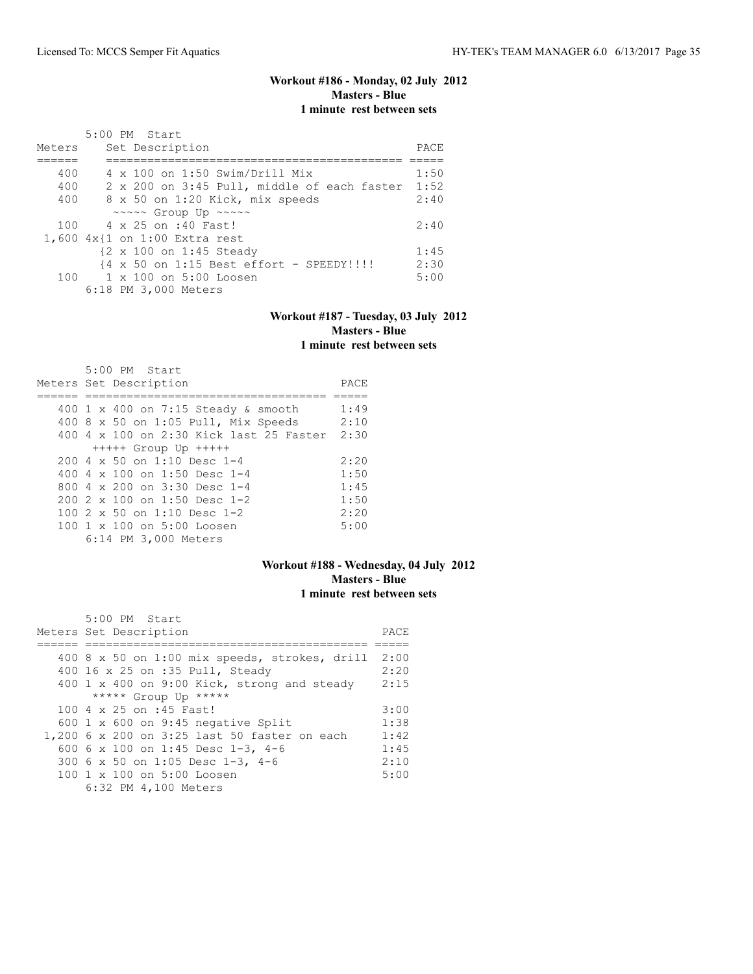# **Workout #186 - Monday, 02 July 2012 Masters - Blue 1 minute rest between sets**

|        | 5:00 PM Start                               |      |
|--------|---------------------------------------------|------|
| Meters | Set Description                             | PACE |
|        |                                             |      |
| 400    | 4 x 100 on 1:50 Swim/Drill Mix              | 1:50 |
| 400    | 2 x 200 on 3:45 Pull, middle of each faster | 1:52 |
| 400    | 8 x 50 on 1:20 Kick, mix speeds             | 2:40 |
|        | ~~~~~ Group Up ~~~~~                        |      |
|        | 100 4 x 25 on :40 Fast!                     | 2:40 |
|        | 1,600 4x{1 on 1:00 Extra rest               |      |
|        | {2 x 100 on 1:45 Steady                     | 1:45 |
|        | {4 x 50 on 1:15 Best effort - SPEEDY !!!!   | 2:30 |
|        | 100 1 x 100 on 5:00 Loosen                  | 5:00 |
|        | 6:18 PM 3,000 Meters                        |      |

#### **Workout #187 - Tuesday, 03 July 2012 Masters - Blue 1 minute rest between sets**

| $5:00$ PM Start                         |      |
|-----------------------------------------|------|
| Meters Set Description                  | PACE |
|                                         |      |
| 400 1 x 400 on 7:15 Steady & smooth     | 1:49 |
| 400 8 x 50 on 1:05 Pull, Mix Speeds     | 2:10 |
| 400 4 x 100 on 2:30 Kick last 25 Faster | 2:30 |
| $++++$ Group Up $++++$                  |      |
| $2004 \times 50$ on 1:10 Desc 1-4       | 2:20 |
| 400 4 $\times$ 100 on 1:50 Desc 1-4     | 1:50 |
| 800 $4 \times 200$ on 3:30 Desc 1-4     | 1:45 |
| $2002 \times 100$ on 1:50 Desc 1-2      | 1:50 |
| 100 $2 \times 50$ on 1:10 Desc 1-2      | 2:20 |
| 100 1 x 100 on 5:00 Loosen              | 5:00 |
| 6:14 PM 3,000 Meters                    |      |

# **Workout #188 - Wednesday, 04 July 2012 Masters - Blue 1 minute rest between sets**

| 5:00 PM Start                                          |      |
|--------------------------------------------------------|------|
| Meters Set Description                                 | PACE |
|                                                        |      |
| 400 8 x 50 on 1:00 mix speeds, strokes, drill          | 2:00 |
| 400 16 x 25 on :35 Pull, Steady                        | 2:20 |
| 400 1 x 400 on 9:00 Kick, strong and steady            | 2:15 |
| ***** Group Up *****                                   |      |
| 100 4 x 25 on :45 Fast!                                | 3:00 |
| 600 1 x 600 on 9:45 negative Split                     | 1:38 |
| 1,200 6 x 200 on 3:25 last 50 faster on each           | 1:42 |
| 600 6 x 100 on 1:45 Desc 1-3, 4-6                      | 1:45 |
| 300 6 x 50 on 1:05 Desc 1-3, 4-6                       | 2:10 |
| $100 \text{ 1 x } 100 \text{ on } 5:00 \text{ Loosen}$ | 5:00 |
| 6:32 PM 4,100 Meters                                   |      |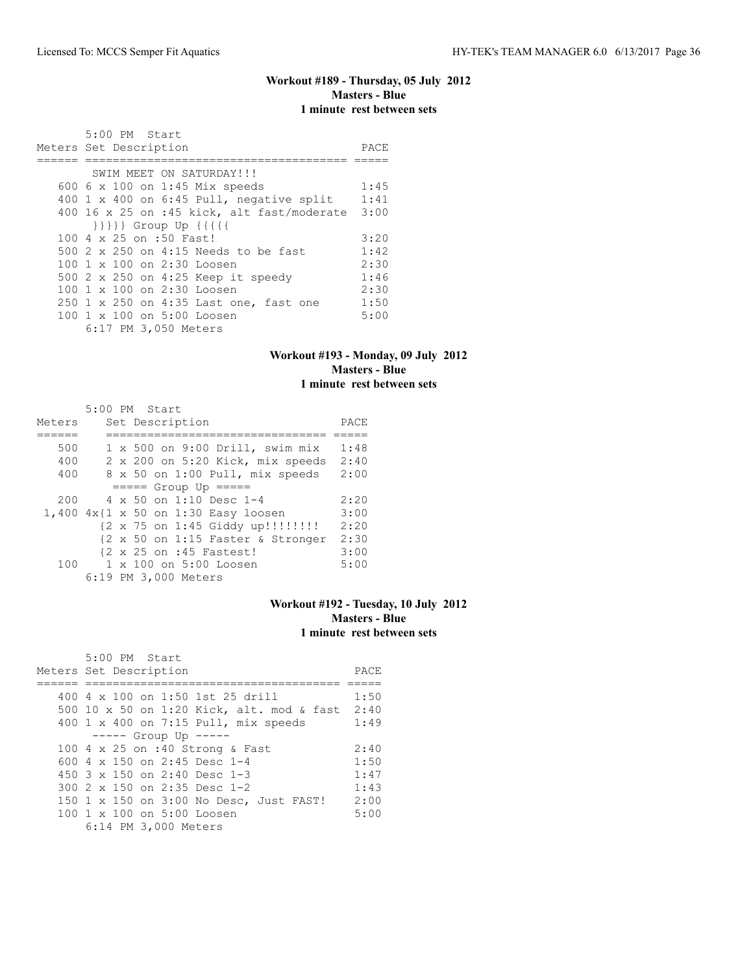# **Workout #189 - Thursday, 05 July 2012 Masters - Blue 1 minute rest between sets**

| 5:00 PM Start                                          |      |
|--------------------------------------------------------|------|
| Meters Set Description                                 | PACE |
|                                                        |      |
| SWIM MEET ON SATURDAY!!!                               |      |
| 600 6 x 100 on 1:45 Mix speeds                         | 1:45 |
| 400 $1 \times 400$ on 6:45 Pull, negative split        | 1:41 |
| 400 16 x 25 on :45 kick, alt fast/moderate             | 3:00 |
| $\{\{\{\{\}\}\}\}$ Group Up $\{\{\{\{\{\}\}\}\}$       |      |
| 100 4 x 25 on :50 Fast!                                | 3:20 |
| 500 2 x 250 on 4:15 Needs to be fast                   | 1:42 |
| $100 \text{ 1 x } 100 \text{ on } 2:30 \text{ Loosen}$ | 2:30 |
| 500 2 x 250 on 4:25 Keep it speedy                     | 1:46 |
| $100 \text{ 1 x } 100 \text{ on } 2:30 \text{ Loosen}$ | 2:30 |
| 250 1 x 250 on 4:35 Last one, fast one                 | 1:50 |
| 100 1 x 100 on 5:00 Loosen                             | 5:00 |
| 6:17 PM 3,050 Meters                                   |      |

# **Workout #193 - Monday, 09 July 2012 Masters - Blue 1 minute rest between sets**

|        |  | 5:00 PM Start                            |      |
|--------|--|------------------------------------------|------|
| Meters |  | Set Description                          | PACE |
|        |  |                                          |      |
| 500    |  | $1 \times 500$ on $9:00$ Drill, swim mix | 1:48 |
| 400    |  | 2 x 200 on 5:20 Kick, mix speeds         | 2:40 |
| 400    |  | 8 x 50 on 1:00 Pull, mix speeds          | 2:00 |
|        |  | $====$ Group Up $====$                   |      |
| 200    |  | 4 x 50 on 1:10 Desc 1-4                  | 2:20 |
|        |  | 1,400 4x{1 x 50 on 1:30 Easy loosen      | 3:00 |
|        |  | {2 x 75 on 1:45 Giddy up!!!!!!!!!        | 2:20 |
|        |  | {2 x 50 on 1:15 Faster & Stronger        | 2:30 |
|        |  | {2 x 25 on :45 Fastest!                  | 3:00 |
| 100    |  | 1 x 100 on 5:00 Loosen                   | 5:00 |
|        |  | 6:19 PM 3,000 Meters                     |      |

# **Workout #192 - Tuesday, 10 July 2012 Masters - Blue 1 minute rest between sets**

| 5:00 PM Start<br>Meters Set Description        | PACE |
|------------------------------------------------|------|
|                                                |      |
| 400 4 x 100 on 1:50 1st 25 drill               | 1:50 |
| 500 10 x 50 on 1:20 Kick, alt. mod & fast 2:40 |      |
| 400 1 x 400 on 7:15 Pull, mix speeds           | 1:49 |
| $--- -$ Group Up $---$                         |      |
| 100 4 x 25 on :40 Strong & Fast                | 2:40 |
| 600 4 x 150 on 2:45 Desc 1-4                   | 1:50 |
| 450 $3 \times 150$ on 2:40 Desc 1-3            | 1:47 |
| 300 $2 \times 150$ on $2:35$ Desc 1-2          | 1:43 |
| 150 1 x 150 on 3:00 No Desc, Just FAST!        | 2:00 |
| 100 1 x 100 on 5:00 Loosen                     | 5:00 |
| 6:14 PM 3,000 Meters                           |      |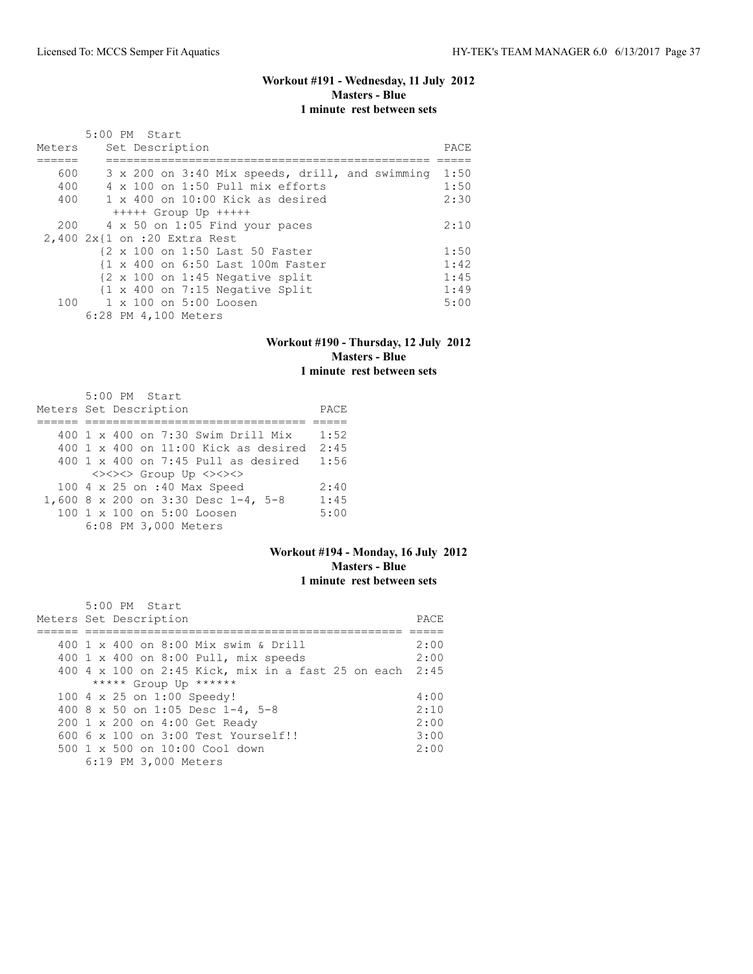# **Workout #191 - Wednesday, 11 July 2012 Masters - Blue 1 minute rest between sets**

|        | 5:00 PM Start                                              |      |  |  |  |  |  |  |
|--------|------------------------------------------------------------|------|--|--|--|--|--|--|
| Meters | Set Description<br>PACE                                    |      |  |  |  |  |  |  |
|        |                                                            |      |  |  |  |  |  |  |
| 600    | 3 x 200 on 3:40 Mix speeds, drill, and swimming            | 1:50 |  |  |  |  |  |  |
| 400    | 4 x 100 on 1:50 Pull mix efforts                           | 1:50 |  |  |  |  |  |  |
| 400    | $1 \times 400$ on 10:00 Kick as desired                    | 2:30 |  |  |  |  |  |  |
|        | $++++$ Group Up $++++$                                     |      |  |  |  |  |  |  |
| 200    | 4 x 50 on 1:05 Find your paces                             | 2:10 |  |  |  |  |  |  |
|        | 2,400 2x{1 on :20 Extra Rest                               |      |  |  |  |  |  |  |
|        | {2 x 100 on 1:50 Last 50 Faster                            | 1:50 |  |  |  |  |  |  |
|        | {1 x 400 on 6:50 Last 100m Faster                          | 1:42 |  |  |  |  |  |  |
|        | $\{2 \times 100 \text{ on } 1:45 \text{ Negative split}\}$ | 1:45 |  |  |  |  |  |  |
|        | $\{1 \times 400 \text{ on } 7:15 \text{ Negative Split}\}$ | 1:49 |  |  |  |  |  |  |
|        | 100 1 x 100 on 5:00 Loosen                                 | 5:00 |  |  |  |  |  |  |
|        | 6:28 PM 4,100 Meters                                       |      |  |  |  |  |  |  |

## **Workout #190 - Thursday, 12 July 2012 Masters - Blue 1 minute rest between sets**

| 5:00 PM Start                                    |      |
|--------------------------------------------------|------|
| Meters Set Description                           | PACE |
|                                                  |      |
| 400 1 x 400 on 7:30 Swim Drill Mix               | 1:52 |
| 400 $1 \times 400$ on 11:00 Kick as desired 2:45 |      |
| $400$ 1 x $400$ on 7:45 Pull as desired          | 1:56 |
| <><><> Group Up <><><>                           |      |
| 100 4 x 25 on :40 Max Speed                      | 2:40 |
| 1,600 8 x 200 on 3:30 Desc 1-4, 5-8              | 1:45 |
| 100 1 x 100 on 5:00 Loosen                       | 5:00 |
| 6:08 PM 3,000 Meters                             |      |

# **Workout #194 - Monday, 16 July 2012 Masters - Blue 1 minute rest between sets**

| $5:00$ PM Start                                         |       |
|---------------------------------------------------------|-------|
| Meters Set Description                                  | PACE. |
|                                                         |       |
| 400 1 x 400 on 8:00 Mix swim & Drill                    | 2:00  |
| 400 1 x 400 on 8:00 Pull, mix speeds                    | 2:00  |
| 400 4 x 100 on 2:45 Kick, mix in a fast 25 on each 2:45 |       |
| ***** Group Up ******                                   |       |
| 100 4 x 25 on 1:00 Speedy!                              | 4:00  |
| 400 8 x 50 on 1:05 Desc 1-4, 5-8                        | 2:10  |
| 200 1 x 200 on 4:00 Get Ready                           | 2:00  |
| 600 6 x 100 on 3:00 Test Yourself!!                     | 3:00  |
| $500 \t 1 \t x \t 500$ on $10:00$ Cool down             | 2:00  |
| 6:19 PM 3,000 Meters                                    |       |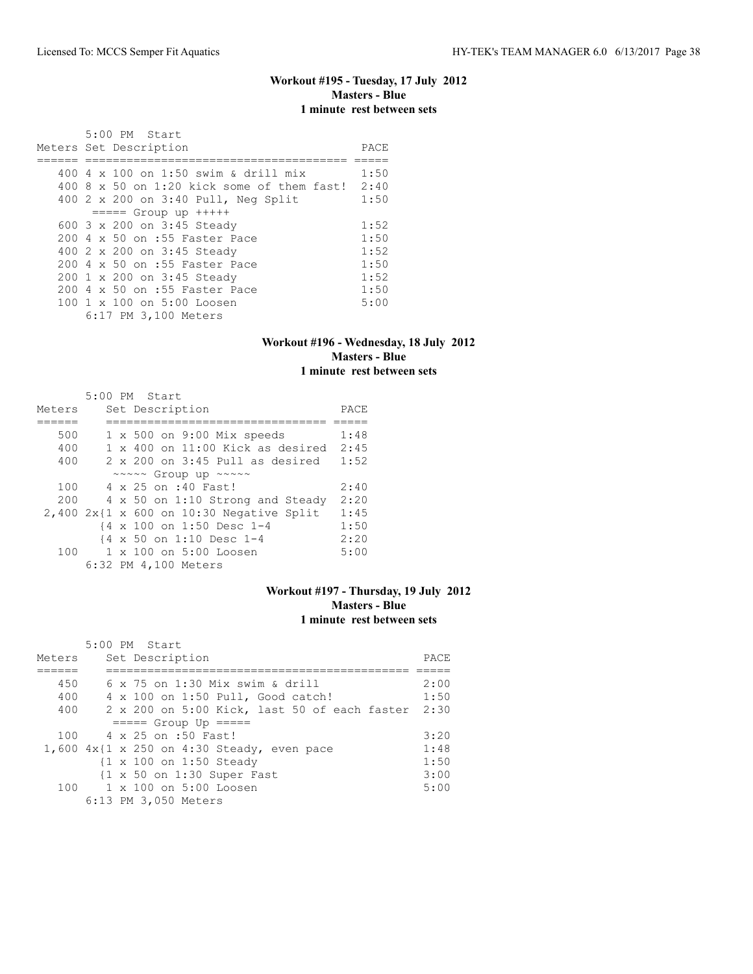# **Workout #195 - Tuesday, 17 July 2012 Masters - Blue 1 minute rest between sets**

| 5:00 PM Start<br>Meters Set Description                | PACE |
|--------------------------------------------------------|------|
| 400 4 $\times$ 100 on 1:50 swim & drill mix            | 1:50 |
| $400.8 \times 50$ on 1:20 kick some of them fast!      | 2:40 |
| 400 2 x 200 on 3:40 Pull, Neg Split                    | 1:50 |
| $== == $ Group up $++++$                               |      |
| 600 3 x 200 on 3:45 Steady                             | 1:52 |
| 200 4 x 50 on :55 Faster Pace                          | 1:50 |
| 400 2 x 200 on 3:45 Steady                             | 1:52 |
| 200 4 x 50 on :55 Faster Pace                          | 1:50 |
| 200 1 x 200 on 3:45 Steady                             | 1:52 |
| 200 4 x 50 on :55 Faster Pace                          | 1:50 |
| $100 \text{ 1 x } 100 \text{ on } 5:00 \text{ Loosen}$ | 5:00 |
| 6:17 PM 3,100 Meters                                   |      |

#### **Workout #196 - Wednesday, 18 July 2012 Masters - Blue 1 minute rest between sets**

|        |  | 5:00 PM Start                                 |      |
|--------|--|-----------------------------------------------|------|
| Meters |  | Set Description                               | PACE |
|        |  |                                               |      |
| 500    |  | $1 \times 500$ on 9:00 Mix speeds             | 1:48 |
| 400    |  | $1 \times 400$ on $11:00$ Kick as desired     | 2:45 |
| 400    |  | $2 \times 200$ on $3:45$ Pull as desired      | 1:52 |
|        |  | ~~~~~ Group up ~~~~~                          |      |
| 100    |  | 4 x 25 on :40 Fast!                           | 2:40 |
| 200    |  | 4 x 50 on 1:10 Strong and Steady              | 2:20 |
|        |  | $2,400$ $2x$ {1 x 600 on 10:30 Negative Split | 1:45 |
|        |  | {4 x 100 on 1:50 Desc 1-4                     | 1:50 |
|        |  | {4 x 50 on 1:10 Desc 1-4                      | 2:20 |
| 100    |  | $1 \times 100$ on $5:00$ Loosen               | 5:00 |
|        |  | 6:32 PM 4,100 Meters                          |      |

# **Workout #197 - Thursday, 19 July 2012 Masters - Blue 1 minute rest between sets**

| Meters | 5:00 PM Start<br>Set Description                      | PACE |
|--------|-------------------------------------------------------|------|
| 450    | $6 \times 75$ on 1:30 Mix swim & drill                | 2:00 |
|        |                                                       |      |
| 400    | 4 x 100 on 1:50 Pull, Good catch!                     | 1:50 |
| 400    | 2 x 200 on 5:00 Kick, last 50 of each faster          | 2:30 |
|        | $== == $ Group Up $== == $                            |      |
|        | 100 4 x 25 on :50 Fast!                               | 3:20 |
|        | $1,600$ $4x$ {1 x 250 on 4:30 Steady, even pace       | 1:48 |
|        | {1 x 100 on 1:50 Steady                               | 1:50 |
|        | $\{1 \times 50 \text{ on } 1:30 \text{ Super Fast}\}$ | 3:00 |
|        | $100 \t 1 \times 100$ on $5:00$ Loosen                | 5:00 |
|        | 6:13 PM 3,050 Meters                                  |      |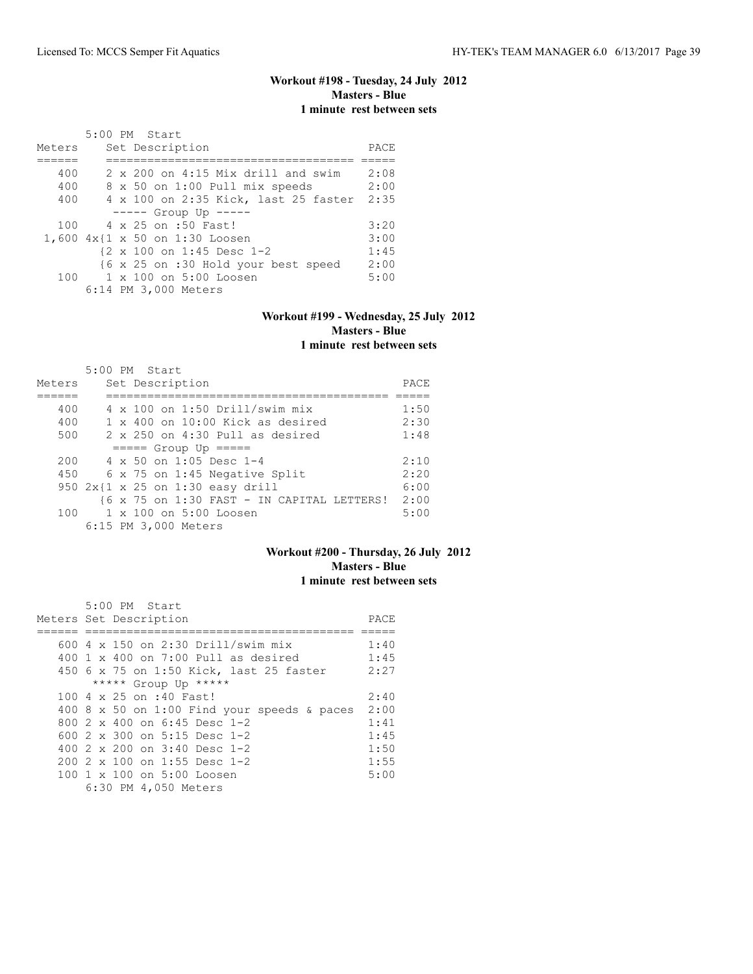# **Workout #198 - Tuesday, 24 July 2012 Masters - Blue 1 minute rest between sets**

|        |  | 5:00 PM Start                               |      |
|--------|--|---------------------------------------------|------|
| Meters |  | Set Description                             | PACE |
|        |  |                                             |      |
| 400    |  | $2 \times 200$ on $4:15$ Mix drill and swim | 2:08 |
| 400    |  | 8 x 50 on 1:00 Pull mix speeds              | 2:00 |
| 400    |  | 4 x 100 on 2:35 Kick, last 25 faster        | 2:35 |
|        |  | $--- $ Group Up $--- $                      |      |
| 100    |  | 4 x 25 on :50 Fast!                         | 3:20 |
|        |  | 1,600 4x{1 x 50 on 1:30 Loosen              | 3:00 |
|        |  | {2 x 100 on 1:45 Desc 1-2                   | 1:45 |
|        |  | {6 x 25 on :30 Hold your best speed         | 2:00 |
| 100    |  | 1 x 100 on 5:00 Loosen                      | 5:00 |
|        |  | 6:14 PM 3,000 Meters                        |      |

#### **Workout #199 - Wednesday, 25 July 2012 Masters - Blue 1 minute rest between sets**

|        | 5:00 PM Start                              |      |
|--------|--------------------------------------------|------|
| Meters | Set Description                            | PACE |
|        |                                            |      |
| 400    | 4 x 100 on 1:50 Drill/swim mix             | 1:50 |
| 400    | $1 \times 400$ on $10:00$ Kick as desired  | 2:30 |
| 500    | $2 \times 250$ on $4:30$ Pull as desired   | 1:48 |
|        | $====$ Group Up $====$                     |      |
| 200    | $4 \times 50$ on 1:05 Desc 1-4             | 2:10 |
| 450    | 6 x 75 on 1:45 Negative Split              | 2:20 |
|        | 950 2x{1 x 25 on 1:30 easy drill           | 6:00 |
|        | {6 x 75 on 1:30 FAST - IN CAPITAL LETTERS! | 2:00 |
| 100    | $1 \times 100$ on $5:00$ Loosen            | 5:00 |
|        | 6:15 PM 3,000 Meters                       |      |

# **Workout #200 - Thursday, 26 July 2012 Masters - Blue 1 minute rest between sets**

| $5:00$ PM Start                             |      |
|---------------------------------------------|------|
| Meters Set Description                      | PACE |
|                                             |      |
| 600 4 x 150 on 2:30 Drill/swim mix          | 1:40 |
| 400 1 x 400 on 7:00 Pull as desired         | 1:45 |
| 450 6 x 75 on 1:50 Kick, last 25 faster     | 2:27 |
| ***** Group Up *****                        |      |
| 100 4 x 25 on :40 Fast!                     | 2:40 |
| 400 8 x 50 on 1:00 Find your speeds & paces | 2:00 |
| 800 $2 \times 400$ on 6:45 Desc 1-2         | 1:41 |
| 600 $2 \times 300$ on 5:15 Desc 1-2         | 1:45 |
| 400 $2 \times 200$ on $3:40$ Desc 1-2       | 1:50 |
| $2002 \times 100$ on 1:55 Desc 1-2          | 1:55 |
| 100 1 x 100 on 5:00 Loosen                  | 5:00 |
| 6:30 PM 4,050 Meters                        |      |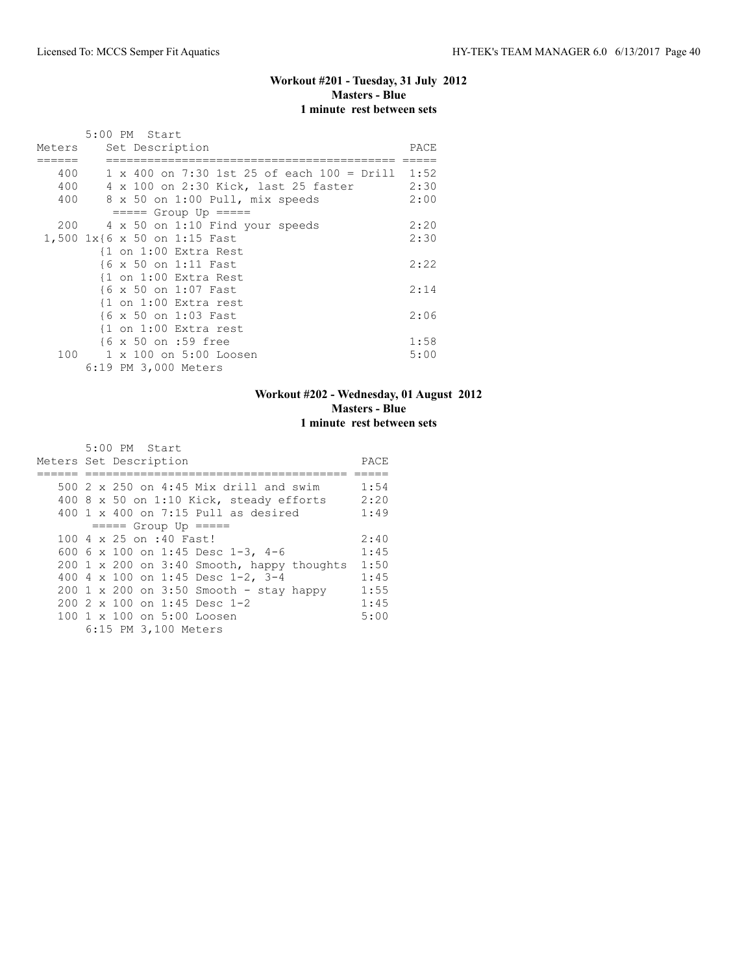# **Workout #201 - Tuesday, 31 July 2012 Masters - Blue 1 minute rest between sets**

|        | 5:00 PM Start                                          |      |  |  |  |  |  |  |  |
|--------|--------------------------------------------------------|------|--|--|--|--|--|--|--|
| Meters | Set Description                                        |      |  |  |  |  |  |  |  |
|        |                                                        |      |  |  |  |  |  |  |  |
| 400    | $1 \times 400$ on 7:30 1st 25 of each 100 = Drill 1:52 |      |  |  |  |  |  |  |  |
| 400    | 4 x 100 on 2:30 Kick, last 25 faster                   | 2:30 |  |  |  |  |  |  |  |
| 400    | 8 x 50 on 1:00 Pull, mix speeds                        | 2:00 |  |  |  |  |  |  |  |
|        | $== == $ Group Up $== == $                             |      |  |  |  |  |  |  |  |
| 200    | 4 x 50 on 1:10 Find your speeds                        | 2:20 |  |  |  |  |  |  |  |
|        | 1,500 1x{6 x 50 on 1:15 Fast                           | 2:30 |  |  |  |  |  |  |  |
|        | {1 on 1:00 Extra Rest                                  |      |  |  |  |  |  |  |  |
|        | {6 x 50 on 1:11 Fast                                   | 2:22 |  |  |  |  |  |  |  |
|        | {1 on 1:00 Extra Rest                                  |      |  |  |  |  |  |  |  |
|        | {6 x 50 on 1:07 Fast                                   | 2:14 |  |  |  |  |  |  |  |
|        | {1 on 1:00 Extra rest                                  |      |  |  |  |  |  |  |  |
|        | {6 x 50 on 1:03 Fast                                   | 2:06 |  |  |  |  |  |  |  |
|        | $\{1$ on $1:00$ Extra rest                             |      |  |  |  |  |  |  |  |
|        | {6 x 50 on :59 free                                    | 1:58 |  |  |  |  |  |  |  |
| 100    | 1 x 100 on 5:00 Loosen                                 | 5:00 |  |  |  |  |  |  |  |
|        | 6:19 PM 3,000 Meters                                   |      |  |  |  |  |  |  |  |

# **Workout #202 - Wednesday, 01 August 2012 Masters - Blue 1 minute rest between sets**

| 5:00 PM Start<br>Meters Set Description    | PACE |
|--------------------------------------------|------|
|                                            |      |
| 500 2 x 250 on 4:45 Mix drill and swim     | 1:54 |
| 400 8 x 50 on 1:10 Kick, steady efforts    | 2:20 |
| 400 1 x 400 on 7:15 Pull as desired        | 1:49 |
| $====$ Group Up $====$                     |      |
| 100 4 x 25 on :40 Fast!                    | 2:40 |
| 600 6 x 100 on 1:45 Desc 1-3, 4-6          | 1:45 |
| 200 1 x 200 on 3:40 Smooth, happy thoughts | 1:50 |
| 400 4 x 100 on 1:45 Desc 1-2, 3-4          | 1:45 |
| $200$ 1 x 200 on 3:50 Smooth - stay happy  | 1:55 |
| $200$ $2 \times 100$ on 1:45 Desc 1-2      | 1:45 |
| 100 1 x 100 on 5:00 Loosen                 | 5:00 |
| 6:15 PM 3,100 Meters                       |      |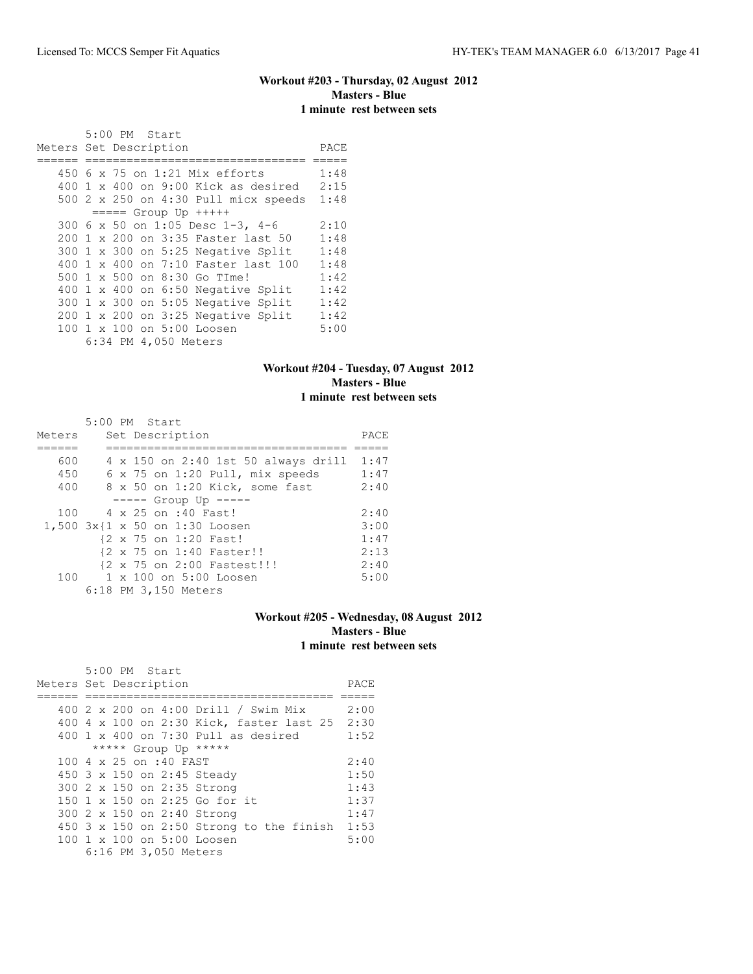# **Workout #203 - Thursday, 02 August 2012 Masters - Blue 1 minute rest between sets**

|                        |  | 5:00 PM Start |                      |                                           |      |
|------------------------|--|---------------|----------------------|-------------------------------------------|------|
| Meters Set Description |  |               |                      |                                           | PACE |
|                        |  |               |                      | 450 6 x 75 on 1:21 Mix efforts            | 1:48 |
|                        |  |               |                      | $400$ 1 x $400$ on $9:00$ Kick as desired | 2:15 |
|                        |  |               |                      | 500 2 x 250 on 4:30 Pull micx speeds      | 1:48 |
|                        |  |               |                      | $== == $ Group Up $++++$                  |      |
|                        |  |               |                      | 300 6 x 50 on 1:05 Desc 1-3, 4-6          | 2:10 |
|                        |  |               |                      | 200 1 x 200 on 3:35 Faster last 50        | 1:48 |
|                        |  |               |                      | 300 1 x 300 on 5:25 Negative Split        | 1:48 |
|                        |  |               |                      | 400 1 x 400 on 7:10 Faster last 100       | 1:48 |
|                        |  |               |                      | 500 1 x 500 on 8:30 Go TIme!              | 1:42 |
|                        |  |               |                      | 400 1 x 400 on 6:50 Negative Split        | 1:42 |
|                        |  |               |                      | 300 1 x 300 on 5:05 Negative Split        | 1:42 |
|                        |  |               |                      | $200 \t1 x 200$ on 3:25 Negative Split    | 1:42 |
|                        |  |               |                      | 100 1 x 100 on 5:00 Loosen                | 5:00 |
|                        |  |               | 6:34 PM 4,050 Meters |                                           |      |

## **Workout #204 - Tuesday, 07 August 2012 Masters - Blue 1 minute rest between sets**

|        | 5:00 PM Start           |  |                      |                                        |      |
|--------|-------------------------|--|----------------------|----------------------------------------|------|
| Meters |                         |  | Set Description      |                                        | PACE |
|        |                         |  |                      |                                        |      |
| 600    |                         |  |                      | 4 x 150 on 2:40 1st 50 always drill    | 1:47 |
| 450    |                         |  |                      | $6 \times 75$ on 1:20 Pull, mix speeds | 1:47 |
| 400    |                         |  |                      | 8 x 50 on 1:20 Kick, some fast         | 2:40 |
|        |                         |  |                      | $---$ Group Up $---$                   |      |
|        | 100 4 x 25 on :40 Fast! |  |                      |                                        | 2:40 |
|        |                         |  |                      | 1,500 3x{1 x 50 on 1:30 Loosen         | 3:00 |
|        |                         |  |                      | {2 x 75 on 1:20 Fast!                  | 1:47 |
|        |                         |  |                      | {2 x 75 on 1:40 Faster!!               | 2:13 |
|        |                         |  |                      | {2 x 75 on 2:00 Fastest!!!             | 2:40 |
|        |                         |  |                      | 100 1 x 100 on 5:00 Loosen             | 5:00 |
|        |                         |  | 6:18 PM 3,150 Meters |                                        |      |

## **Workout #205 - Wednesday, 08 August 2012 Masters - Blue 1 minute rest between sets**

| 5:00 PM Start                                   |      |
|-------------------------------------------------|------|
| Meters Set Description                          | PACE |
|                                                 |      |
| 400 2 x 200 on 4:00 Drill / Swim Mix            | 2:00 |
| 400 4 x 100 on 2:30 Kick, faster last 25        | 2:30 |
| 400 1 x 400 on 7:30 Pull as desired             | 1:52 |
| ***** Group Up *****                            |      |
| 100 4 x 25 on :40 FAST                          | 2:40 |
| 450 3 x 150 on 2:45 Steady                      | 1:50 |
| 300 2 x 150 on 2:35 Strong                      | 1:43 |
| 150 1 x 150 on 2:25 Go for it                   | 1:37 |
| 300 2 x 150 on 2:40 Strong                      | 1:47 |
| 450 $3 \times 150$ on 2:50 Strong to the finish | 1:53 |
| 100 1 x 100 on 5:00 Loosen                      | 5:00 |
| 6:16 PM 3,050 Meters                            |      |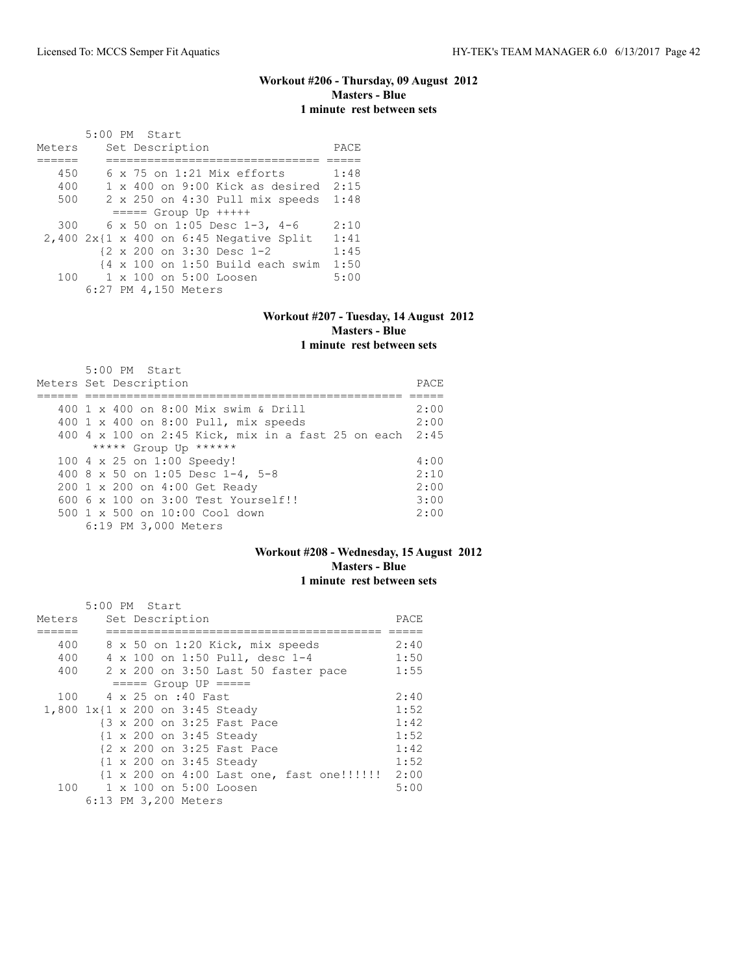# **Workout #206 - Thursday, 09 August 2012 Masters - Blue 1 minute rest between sets**

 5:00 PM Start Meters Set Description PACE ====== =============================== ===== 450 6 x 75 on 1:21 Mix efforts 1:48 400 1 x 400 on 9:00 Kick as desired 2:15 500 2 x 250 on 4:30 Pull mix speeds 1:48 ===== Group Up +++++ 300 6 x 50 on 1:05 Desc 1-3, 4-6 2:10 2,400 2x{1 x 400 on 6:45 Negative Split 1:41 {2 x 200 on 3:30 Desc 1-2 1:45 {4 x 100 on 1:50 Build each swim 1:50<br>100 1 x 100 on 5:00 Loosen 5:00 1 x 100 on 5:00 Loosen 5:00 6:27 PM 4,150 Meters

#### **Workout #207 - Tuesday, 14 August 2012 Masters - Blue 1 minute rest between sets**

| 5:00 PM Start                                           |       |
|---------------------------------------------------------|-------|
| Meters Set Description                                  | PACE. |
|                                                         |       |
| 400 1 x 400 on 8:00 Mix swim & Drill                    | 2:00  |
| 400 1 x 400 on 8:00 Pull, mix speeds                    | 2:00  |
| 400 4 x 100 on 2:45 Kick, mix in a fast 25 on each 2:45 |       |
| ***** Group Up ******                                   |       |
| 100 4 x 25 on 1:00 Speedy!                              | 4:00  |
| 400 8 x 50 on 1:05 Desc 1-4, 5-8                        | 2:10  |
| 200 1 x 200 on 4:00 Get Ready                           | 2:00  |
| $6006 \times 100$ on $3:00$ Test Yourself!!             | 3:00  |
| $500 \t 1 \t x \t 500$ on $10:00$ Cool down             | 2:00  |
| 6:19 PM 3,000 Meters                                    |       |

#### **Workout #208 - Wednesday, 15 August 2012 Masters - Blue 1 minute rest between sets**

|        | 5:00 PM Start                                   |      |
|--------|-------------------------------------------------|------|
| Meters | Set Description                                 | PACE |
|        |                                                 |      |
| 400    | 8 x 50 on 1:20 Kick, mix speeds                 | 2:40 |
| 400    | 4 x 100 on 1:50 Pull, desc 1-4                  | 1:50 |
| 400    | 2 x 200 on 3:50 Last 50 faster pace             | 1:55 |
|        | $====$ Group UP $====$                          |      |
| 100    | 4 x 25 on :40 Fast                              | 2:40 |
|        | 1,800 1x{1 x 200 on 3:45 Steady                 | 1:52 |
|        | {3 x 200 on 3:25 Fast Pace                      | 1:42 |
|        | {1 x 200 on 3:45 Steady                         | 1:52 |
|        | {2 x 200 on 3:25 Fast Pace                      | 1:42 |
|        | {1 x 200 on 3:45 Steady                         | 1:52 |
|        | {1 x 200 on 4:00 Last one, fast one!!!!!!! 2:00 |      |
|        | 100 1 x 100 on 5:00 Loosen                      | 5:00 |
|        | 6:13 PM 3,200 Meters                            |      |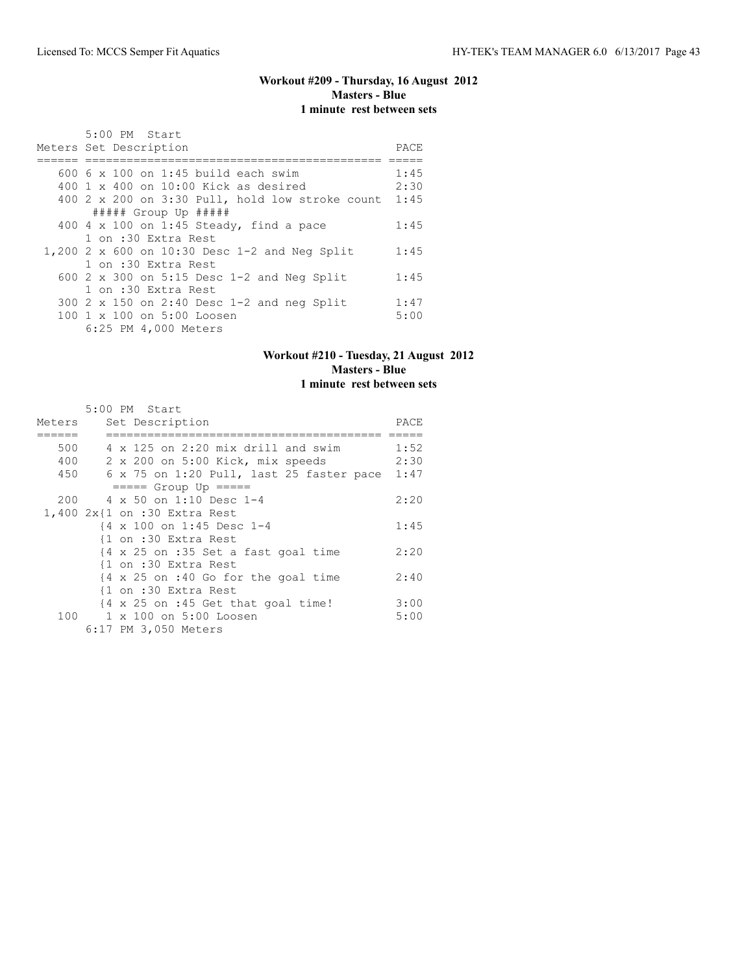#### **Workout #209 - Thursday, 16 August 2012 Masters - Blue 1 minute rest between sets**

| 5:00 PM Start                                        |      |
|------------------------------------------------------|------|
| Meters Set Description                               | PACE |
|                                                      |      |
| $6006 \times 100$ on 1:45 build each swim            | 1:45 |
| $400 \t1 x 400$ on $10:00$ Kick as desired           | 2:30 |
| 400 2 x 200 on 3:30 Pull, hold low stroke count 1:45 |      |
| $\#$ #### Group Up $\#$ ####                         |      |
| 400 $4 \times 100$ on 1:45 Steady, find a pace       | 1:45 |
| 1 on :30 Extra Rest                                  |      |
| 1,200 2 x 600 on 10:30 Desc 1-2 and Neg Split        | 1:45 |
| 1 on :30 Extra Rest                                  |      |
| 600 2 x 300 on 5:15 Desc $1-2$ and Neq Split         | 1:45 |
| 1 on :30 Extra Rest                                  |      |
| 300 2 x 150 on 2:40 Desc $1-2$ and neg Split         | 1:47 |
| 100 1 x 100 on 5:00 Loosen                           | 5:00 |
| 6:25 PM 4,000 Meters                                 |      |

# **Workout #210 - Tuesday, 21 August 2012 Masters - Blue 1 minute rest between sets**

|        | 5:00 PM Start                                                          |      |
|--------|------------------------------------------------------------------------|------|
| Meters | Set Description                                                        | PACE |
|        |                                                                        |      |
| 500    | 4 x 125 on 2:20 mix drill and swim                                     | 1:52 |
| 400    | 2 x 200 on 5:00 Kick, mix speeds                                       | 2:30 |
| 450    | 6 x 75 on 1:20 Pull, last 25 faster pace                               | 1:47 |
|        | $== == $ Group Up $== == $                                             |      |
|        | 200 4 x 50 on 1:10 Desc 1-4                                            | 2:20 |
|        | 1,400 2x{1 on :30 Extra Rest                                           |      |
|        | {4 x 100 on 1:45 Desc 1-4                                              | 1:45 |
|        | {1 on :30 Extra Rest                                                   |      |
|        | $\{4 \times 25 \text{ on } : 35 \text{ Set a fast goal time}\}$        | 2:20 |
|        | {1 on :30 Extra Rest                                                   |      |
|        | $\{4 \times 25 \text{ on } : 40 \text{ Go} \text{ for the goal time}\$ | 2:40 |
|        | {1 on :30 Extra Rest                                                   |      |
|        | $\{4 \times 25 \text{ on } : 45 \text{ Get that goal time}\}$          | 3:00 |
| 100    | 1 x 100 on 5:00 Loosen                                                 | 5:00 |
|        | 6:17 PM 3,050 Meters                                                   |      |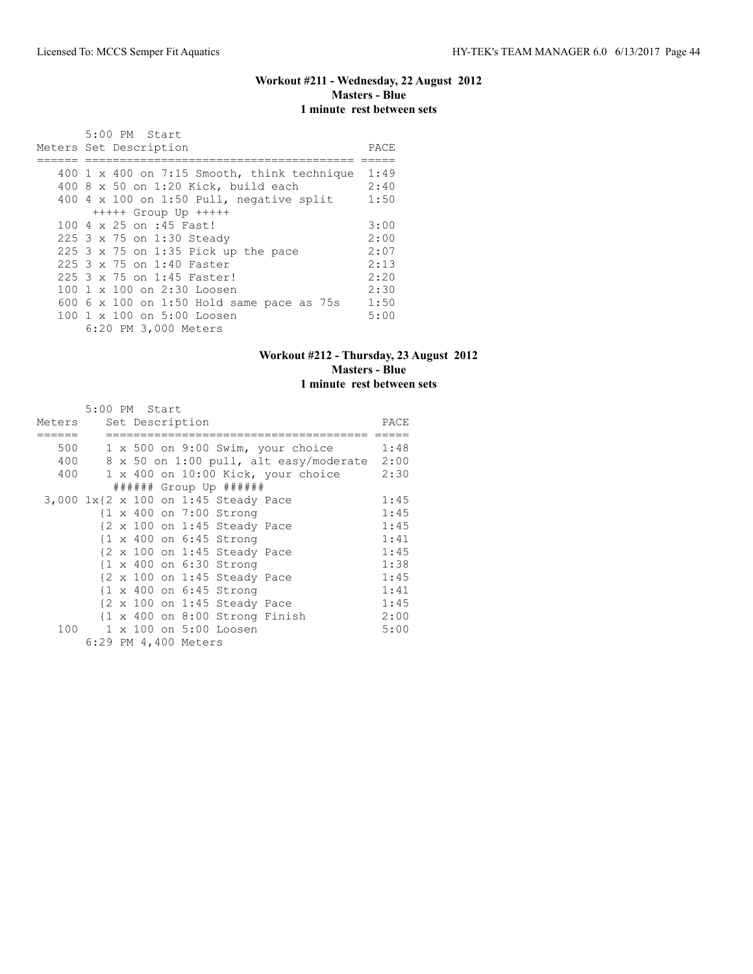# **Workout #211 - Wednesday, 22 August 2012 Masters - Blue 1 minute rest between sets**

| 5:00 PM Start                                                           |      |
|-------------------------------------------------------------------------|------|
| Meters Set Description                                                  | PACE |
|                                                                         |      |
| $400 \text{ 1 x } 400 \text{ on } 7:15 \text{ smooth, think technique}$ | 1:49 |
| 400 8 x 50 on 1:20 Kick, build each                                     | 2:40 |
| 400 4 x 100 on 1:50 Pull, negative split                                | 1:50 |
| $++++$ Group Up $++++$                                                  |      |
| 100 4 x 25 on :45 Fast!                                                 | 3:00 |
| 225 3 x 75 on 1:30 Steady                                               | 2:00 |
| 225 $3 \times 75$ on 1:35 Pick up the pace                              | 2:07 |
| 225 3 x 75 on 1:40 Faster                                               | 2:13 |
| 225 3 x 75 on 1:45 Faster!                                              | 2:20 |
| $100 \text{ 1 x } 100 \text{ on } 2:30 \text{ Loosen}$                  | 2:30 |
| 600 6 x 100 on 1:50 Hold same pace as 75s                               | 1:50 |
| $100 \text{ 1 x } 100 \text{ on } 5:00 \text{ Loosen}$                  | 5:00 |
| 6:20 PM 3,000 Meters                                                    |      |

# **Workout #212 - Thursday, 23 August 2012 Masters - Blue 1 minute rest between sets**

|        |   | 5:00 PM Start        |  |                                                           |                                      |      |
|--------|---|----------------------|--|-----------------------------------------------------------|--------------------------------------|------|
| Meters |   | Set Description      |  |                                                           |                                      | PACE |
|        |   |                      |  |                                                           |                                      |      |
| 500    |   |                      |  |                                                           | 1 x 500 on 9:00 Swim, your choice    | 1:48 |
| 400    | 8 |                      |  |                                                           | x 50 on 1:00 pull, alt easy/moderate | 2:00 |
| 400    |   |                      |  |                                                           | 1 x 400 on 10:00 Kick, your choice   | 2:30 |
|        |   |                      |  | $\#$ ##### Group Up ######                                |                                      |      |
|        |   |                      |  | 3,000 1x{2 x 100 on 1:45 Steady Pace                      |                                      | 1:45 |
|        |   |                      |  | {1 x 400 on 7:00 Strong                                   |                                      | 1:45 |
|        |   |                      |  | $\{2 \times 100 \text{ on } 1:45 \text{ Steady Race}\}$   |                                      | 1:45 |
|        |   |                      |  | $\{1 \times 400 \text{ on } 6:45 \text{ Strong}\}$        |                                      | 1:41 |
|        |   |                      |  | $\{2 \times 100 \text{ on } 1:45 \text{ Steady Race}\}$   |                                      | 1:45 |
|        |   |                      |  | {1 x 400 on 6:30 Strong                                   |                                      | 1:38 |
|        |   |                      |  | $\{2 \times 100 \text{ on } 1:45 \text{ Steady Race}\}$   |                                      | 1:45 |
|        |   |                      |  | $\{1 \times 400 \text{ on } 6:45 \text{ Strong}\}$        |                                      | 1:41 |
|        |   |                      |  | $\{2 \times 100 \text{ on } 1:45 \text{ Steady Race}\}$   |                                      | 1:45 |
|        |   |                      |  | $\{1 \times 400 \text{ on } 8:00 \text{ Strong Finish}\}$ |                                      | 2:00 |
| 100    |   |                      |  | 1 x 100 on 5:00 Loosen                                    |                                      | 5:00 |
|        |   | 6:29 PM 4,400 Meters |  |                                                           |                                      |      |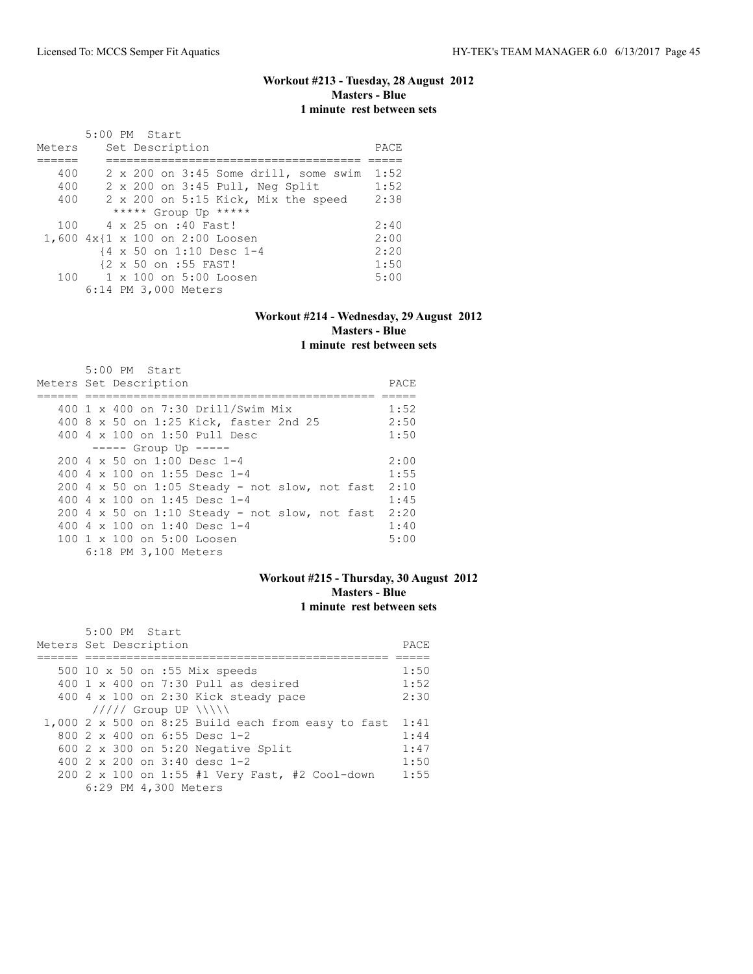# **Workout #213 - Tuesday, 28 August 2012 Masters - Blue 1 minute rest between sets**

|        | 5:00 PM Start                                      |      |
|--------|----------------------------------------------------|------|
| Meters | Set Description                                    | PACE |
|        |                                                    |      |
| 400    | 2 x 200 on 3:45 Some drill, some swim              | 1:52 |
| 400    | 2 x 200 on 3:45 Pull, Neg Split                    | 1:52 |
| 400    | 2 x 200 on 5:15 Kick, Mix the speed                | 2:38 |
|        | ***** Group Up *****                               |      |
| 100    | 4 x 25 on :40 Fast!                                | 2:40 |
|        | 1,600 4x{1 x 100 on 2:00 Loosen                    | 2:00 |
|        | $\{4 \times 50 \text{ on } 1:10 \text{ Desc } 1-4$ | 2:20 |
|        | {2 x 50 on :55 FAST!                               | 1:50 |
|        | 100 1 x 100 on 5:00 Loosen                         | 5:00 |
|        | 6:14 PM 3,000 Meters                               |      |

#### **Workout #214 - Wednesday, 29 August 2012 Masters - Blue 1 minute rest between sets**

| 5:00 PM Start                                          |      |
|--------------------------------------------------------|------|
| Meters Set Description                                 | PACE |
|                                                        |      |
| 400 1 x 400 on 7:30 Drill/Swim Mix                     | 1:52 |
| 400 8 x 50 on 1:25 Kick, faster 2nd 25                 | 2:50 |
| 400 4 x 100 on 1:50 Pull Desc                          | 1:50 |
| $--- $ Group Up $---$                                  |      |
| $2004 \times 50$ on 1:00 Desc 1-4                      | 2:00 |
| 400 4 $\times$ 100 on 1:55 Desc 1-4                    | 1:55 |
| $200$ 4 x 50 on 1:05 Steady - not slow, not fast       | 2:10 |
| 400 4 x 100 on 1:45 Desc 1-4                           | 1:45 |
| $200$ 4 x 50 on 1:10 Steady - not slow, not fast       | 2:20 |
| 400 4 x 100 on 1:40 Desc 1-4                           | 1:40 |
| $100 \text{ 1 x } 100 \text{ on } 5:00 \text{ Loosen}$ | 5:00 |
| 6:18 PM 3,100 Meters                                   |      |

## **Workout #215 - Thursday, 30 August 2012 Masters - Blue 1 minute rest between sets**

| 5:00 PM Start                                      |      |
|----------------------------------------------------|------|
| Meters Set Description                             | PACE |
|                                                    |      |
| 500 10 x 50 on :55 Mix speeds                      | 1:50 |
| 400 1 x 400 on 7:30 Pull as desired                | 1:52 |
| 400 $4 \times 100$ on 2:30 Kick steady pace        | 2:30 |
| $11111$ Group UP $\ \ \ \ $                        |      |
| 1,000 2 x 500 on 8:25 Build each from easy to fast | 1:41 |
| 800 $2 \times 400$ on 6:55 Desc 1-2                | 1:44 |
| 600 $2 \times 300$ on 5:20 Negative Split          | 1:47 |
| 400 $2 \times 200$ on $3:40$ desc 1-2              | 1:50 |
| 200 2 x 100 on 1:55 #1 Very Fast, #2 Cool-down     | 1:55 |
| 6:29 PM 4,300 Meters                               |      |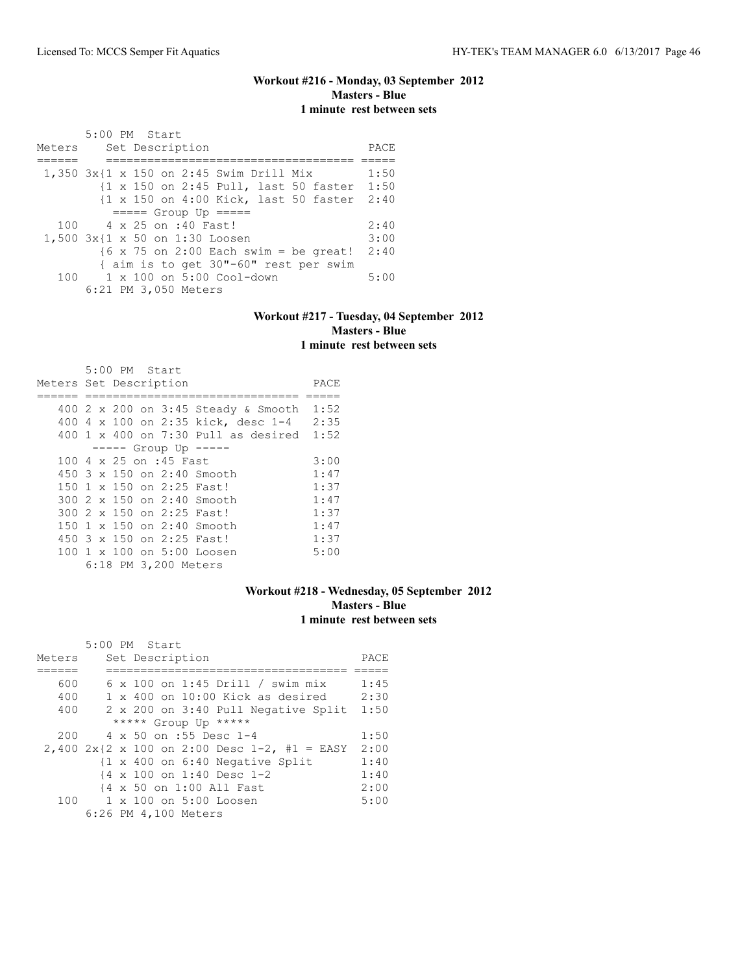## **Workout #216 - Monday, 03 September 2012 Masters - Blue 1 minute rest between sets**

 5:00 PM Start Meters Set Description **PACE** ====== ==================================== ===== 1,350 3x{1 x 150 on 2:45 Swim Drill Mix 1:50 {1 x 150 on 2:45 Pull, last 50 faster 1:50 {1 x 150 on 4:00 Kick, last 50 faster 2:40 ===== Group Up ===== 4 x 25 on :40 Fast! 2:40<br>x{1 x 50 on 1:30 Loosen 3:00 1,500 3x{1 x 50 on 1:30 Loosen {6 x 75 on 2:00 Each swim = be great! 2:40 { aim is to get 30"-60" rest per swim<br>100 1 x 100 on 5:00 Cool-down 1 x 100 on 5:00 Cool-down 5:00 6:21 PM 3,050 Meters

#### **Workout #217 - Tuesday, 04 September 2012 Masters - Blue 1 minute rest between sets**

|                        |  | $5:00$ PM Start |                        |                                         |      |
|------------------------|--|-----------------|------------------------|-----------------------------------------|------|
| Meters Set Description |  |                 |                        |                                         | PACE |
|                        |  |                 |                        |                                         |      |
|                        |  |                 |                        | 400 2 x 200 on 3:45 Steady & Smooth     | 1:52 |
|                        |  |                 |                        | 400 4 x 100 on 2:35 kick, desc 1-4      | 2:35 |
|                        |  |                 |                        | $400$ 1 x $400$ on 7:30 Pull as desired | 1:52 |
|                        |  |                 |                        | $--- $ Group Up $---$                   |      |
|                        |  |                 | 100 4 x 25 on :45 Fast |                                         | 3:00 |
|                        |  |                 |                        | $450.3 \times 150$ on 2:40 Smooth       | 1:47 |
|                        |  |                 |                        | 150 1 x 150 on 2:25 Fast!               | 1:37 |
|                        |  |                 |                        | 300 2 x 150 on 2:40 Smooth              | 1:47 |
|                        |  |                 |                        | 300 2 x 150 on 2:25 Fast!               | 1:37 |
|                        |  |                 |                        | 150 1 x 150 on 2:40 Smooth              | 1:47 |
|                        |  |                 |                        | 450 3 x 150 on 2:25 Fast!               | 1:37 |
|                        |  |                 |                        | 100 1 x 100 on 5:00 Loosen              | 5:00 |
|                        |  |                 | 6:18 PM 3,200 Meters   |                                         |      |

## **Workout #218 - Wednesday, 05 September 2012 Masters - Blue 1 minute rest between sets**

|        | 5:00 PM Start                                        |      |
|--------|------------------------------------------------------|------|
| Meters | Set Description                                      | PACE |
|        |                                                      |      |
| 600    | $6 \times 100$ on 1:45 Drill / swim mix              | 1:45 |
| 400    | $1 \times 400$ on $10:00$ Kick as desired            | 2:30 |
| 400    | 2 x 200 on 3:40 Pull Negative Split                  | 1:50 |
|        | ***** Group Up *****                                 |      |
| 200    | 4 x 50 on :55 Desc 1-4                               | 1:50 |
|        | 2,400 $2x{2 \times 100}$ on 2:00 Desc 1-2, #1 = EASY | 2:00 |
|        | {1 x 400 on 6:40 Negative Split                      | 1:40 |
|        | {4 x 100 on 1:40 Desc 1-2                            | 1:40 |
|        | {4 x 50 on 1:00 All Fast                             | 2:00 |
| 100    | $1 \times 100$ on $5:00$ Loosen                      | 5:00 |
|        | 6:26 PM 4,100 Meters                                 |      |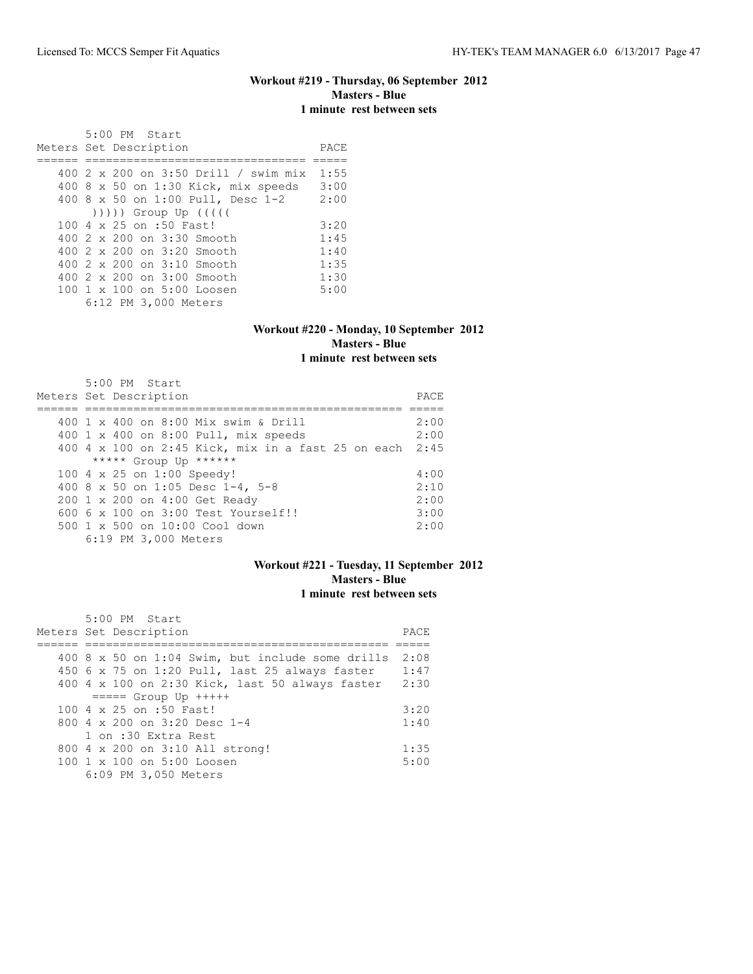#### **Workout #219 - Thursday, 06 September 2012 Masters - Blue 1 minute rest between sets**

 5:00 PM Start Meters Set Description **PACE** ====== ================================ ===== 400 2 x 200 on 3:50 Drill / swim mix 1:55 400 8 x 50 on 1:30 Kick, mix speeds 3:00 400 8 x 50 on 1:00 Pull, Desc 1-2 2:00 ))))) Group Up ((((( 100 4 x 25 on :50 Fast! 3:20<br>400 2 x 200 on 3:30 Smooth 1:45 400 2 x 200 on 3:30 Smooth 1:45<br>400 2 x 200 on 3:20 Smooth 1:40 400 2 x 200 on 3:20 Smooth 1:40<br>400 2 x 200 on 3:10 Smooth 1:35 400 2 x 200 on 3:10 Smooth 1:35<br>400 2 x 200 on 3:00 Smooth 1:30 400 2 x 200 on 3:00 Smooth 1:30<br>100 1 x 100 on 5:00 Loosen 5:00 100 1 x 100 on 5:00 Loosen 6:12 PM 3,000 Meters

#### **Workout #220 - Monday, 10 September 2012 Masters - Blue 1 minute rest between sets**

| $5:00$ PM Start                                         | PACE |
|---------------------------------------------------------|------|
| Meters Set Description                                  |      |
|                                                         |      |
| 400 1 x 400 on 8:00 Mix swim & Drill                    | 2:00 |
| 400 1 x 400 on 8:00 Pull, mix speeds                    | 2:00 |
| 400 4 x 100 on 2:45 Kick, mix in a fast 25 on each 2:45 |      |
| ***** Group Up ******                                   |      |
| 100 4 x 25 on 1:00 Speedy!                              | 4:00 |
| 400 8 x 50 on 1:05 Desc 1-4, 5-8                        | 2:10 |
| 200 1 x 200 on 4:00 Get Ready                           | 2:00 |
| $6006 \times 100$ on $3:00$ Test Yourself!!             | 3:00 |
| $500 \t 1 \t x \t 500$ on $10:00$ Cool down             | 2:00 |
| 6:19 PM 3,000 Meters                                    |      |

# **Workout #221 - Tuesday, 11 September 2012 Masters - Blue 1 minute rest between sets**

| $5:00$ PM Start                                  |      |
|--------------------------------------------------|------|
| Meters Set Description                           | PACE |
|                                                  |      |
| 400 8 x 50 on 1:04 Swim, but include some drills | 2:08 |
| 450 6 x 75 on 1:20 Pull, last 25 always faster   | 1:47 |
| 400 4 x 100 on 2:30 Kick, last 50 always faster  | 2:30 |
| $== == $ Group Up $++++$                         |      |
| 100 4 x 25 on :50 Fast!                          | 3:20 |
| 800 $4 \times 200$ on 3:20 Desc 1-4              | 1:40 |
| 1 on :30 Extra Rest                              |      |
| 800 4 x 200 on 3:10 All strong!                  | 1:35 |
| 100 1 x 100 on 5:00 Loosen                       | 5:00 |
| 6:09 PM 3,050 Meters                             |      |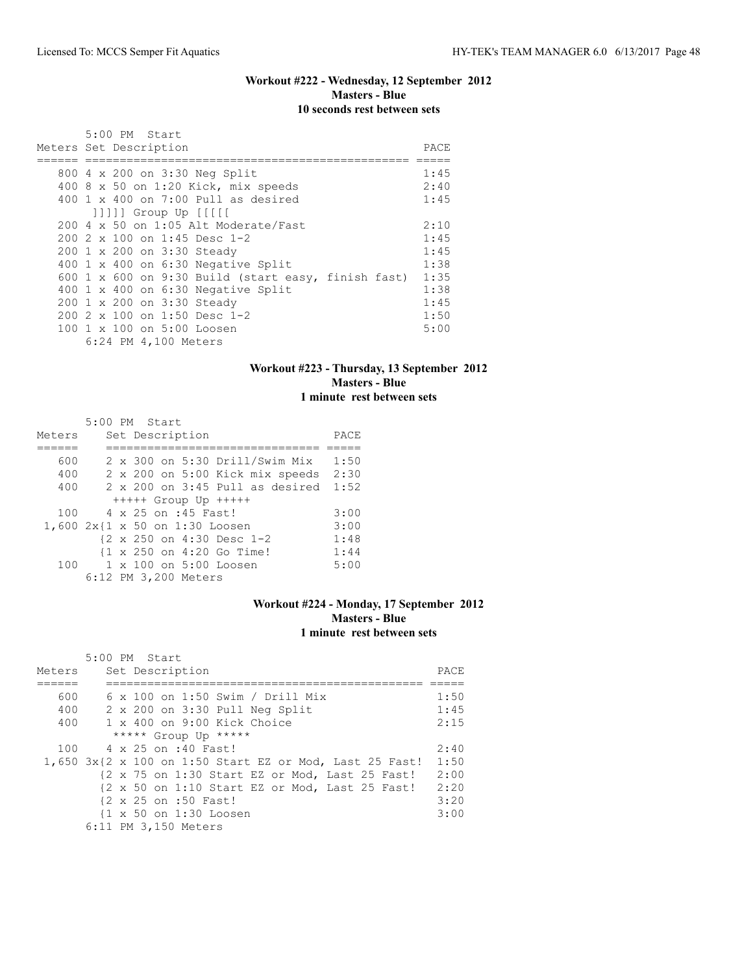# **Workout #222 - Wednesday, 12 September 2012 Masters - Blue 10 seconds rest between sets**

| 5:00 PM Start                                                                                                                                                                                                                                                                                                                                                                     |                                                              |
|-----------------------------------------------------------------------------------------------------------------------------------------------------------------------------------------------------------------------------------------------------------------------------------------------------------------------------------------------------------------------------------|--------------------------------------------------------------|
| Meters Set Description                                                                                                                                                                                                                                                                                                                                                            | PACE                                                         |
| 800 4 x 200 on 3:30 Neg Split<br>400 8 x 50 on 1:20 Kick, mix speeds<br>400 $1 \times 400$ on 7:00 Pull as desired                                                                                                                                                                                                                                                                | 1:45<br>2:40<br>1:45                                         |
| $ 1 1 1$ Group Up $ 1 1 1 $<br>200 4 x 50 on 1:05 Alt Moderate/Fast<br>$2002 \times 100$ on 1:45 Desc 1-2<br>200 1 x 200 on 3:30 Steady<br>400 1 x 400 on 6:30 Negative Split<br>600 1 x 600 on 9:30 Build (start easy, finish fast) 1:35<br>400 1 x 400 on 6:30 Negative Split<br>200 1 x 200 on 3:30 Steady<br>$2002 \times 100$ on 1:50 Desc 1-2<br>100 1 x 100 on 5:00 Loosen | 2:10<br>1:45<br>1:45<br>1:38<br>1:38<br>1:45<br>1:50<br>5:00 |
| 6:24 PM 4,100 Meters                                                                                                                                                                                                                                                                                                                                                              |                                                              |

## **Workout #223 - Thursday, 13 September 2012 Masters - Blue 1 minute rest between sets**

|        |  | 5:00 PM Start                            |      |
|--------|--|------------------------------------------|------|
| Meters |  | Set Description                          | PACE |
|        |  |                                          |      |
| 600    |  | 2 x 300 on 5:30 Drill/Swim Mix           | 1:50 |
| 400    |  | 2 x 200 on 5:00 Kick mix speeds 2:30     |      |
| 400    |  | $2 \times 200$ on $3:45$ Pull as desired | 1:52 |
|        |  | $++++$ Group Up $++++$                   |      |
| 100    |  | 4 x 25 on :45 Fast!                      | 3:00 |
|        |  | 1,600 2x{1 x 50 on 1:30 Loosen           | 3:00 |
|        |  | {2 x 250 on 4:30 Desc 1-2                | 1:48 |
|        |  | {1 x 250 on 4:20 Go Time!                | 1:44 |
| 100    |  | $1 \times 100$ on $5:00$ Loosen          | 5:00 |
|        |  | 6:12 PM 3,200 Meters                     |      |

# **Workout #224 - Monday, 17 September 2012 Masters - Blue 1 minute rest between sets**

|        | 5:00 PM Start                                                                      |      |
|--------|------------------------------------------------------------------------------------|------|
| Meters | Set Description                                                                    | PACE |
|        |                                                                                    |      |
| 600    | $6 \times 100$ on 1:50 Swim / Drill Mix                                            | 1:50 |
| 400    | 2 x 200 on 3:30 Pull Neg Split                                                     | 1:45 |
| 400    | $1 \times 400$ on 9:00 Kick Choice                                                 | 2:15 |
|        | ***** Group Up *****                                                               |      |
| 100    | 4 x 25 on :40 Fast!                                                                | 2:40 |
|        | 1,650 3x{2 x 100 on 1:50 Start EZ or Mod, Last 25 Fast!                            | 1:50 |
|        | {2 x 75 on 1:30 Start EZ or Mod, Last 25 Fast!                                     | 2:00 |
|        | $\{2 \times 50 \text{ on } 1:10 \text{ Start } E2 \text{ or } Mod$ , Last 25 Fast! | 2:20 |
|        | {2 x 25 on :50 Fast!                                                               | 3:20 |
|        | {1 x 50 on 1:30 Loosen                                                             | 3:00 |
|        | 6:11 PM 3,150 Meters                                                               |      |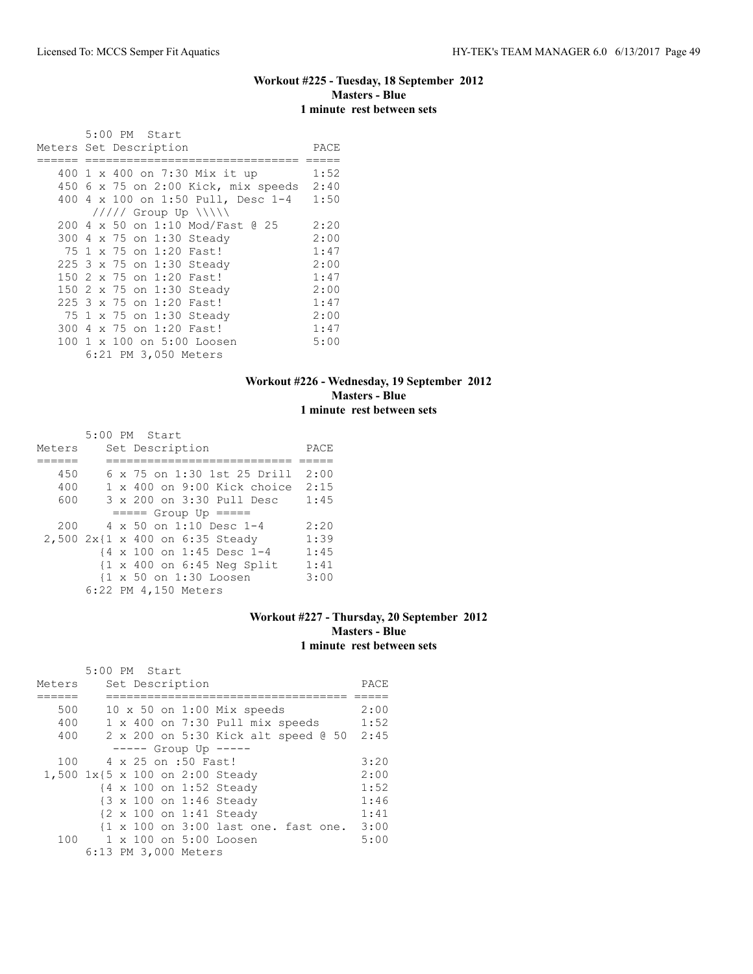# **Workout #225 - Tuesday, 18 September 2012 Masters - Blue 1 minute rest between sets**

|                        |  |  | 5:00 PM Start |                                     |      |
|------------------------|--|--|---------------|-------------------------------------|------|
| Meters Set Description |  |  |               |                                     | PACE |
|                        |  |  |               |                                     |      |
|                        |  |  |               | 400 1 x 400 on 7:30 Mix it up       | 1:52 |
|                        |  |  |               | 450 6 x 75 on 2:00 Kick, mix speeds | 2:40 |
|                        |  |  |               | 400 4 x 100 on 1:50 Pull, Desc 1-4  | 1:50 |
|                        |  |  |               | $11111$ Group Up $\ \ $             |      |
|                        |  |  |               | 200 4 x 50 on 1:10 Mod/Fast @ 25    | 2:20 |
|                        |  |  |               | 300 4 x 75 on 1:30 Steady           | 2:00 |
|                        |  |  |               | 75 1 x 75 on 1:20 Fast!             | 1:47 |
|                        |  |  |               | 225 3 x 75 on 1:30 Steady           | 2:00 |
|                        |  |  |               | 150 2 x 75 on 1:20 Fast!            | 1:47 |
|                        |  |  |               | 150 2 x 75 on 1:30 Steady           | 2:00 |
|                        |  |  |               | 225 3 x 75 on 1:20 Fast!            | 1:47 |
|                        |  |  |               | 75 1 x 75 on 1:30 Steady            | 2:00 |
|                        |  |  |               | 300 4 x 75 on 1:20 Fast!            | 1:47 |
|                        |  |  |               | 100 1 x 100 on 5:00 Loosen          | 5:00 |
|                        |  |  |               | 6:21 PM 3,050 Meters                |      |

## **Workout #226 - Wednesday, 19 September 2012 Masters - Blue 1 minute rest between sets**

|        |  | 5:00 PM Start                                         |      |
|--------|--|-------------------------------------------------------|------|
| Meters |  | Set Description                                       | PACE |
|        |  |                                                       |      |
| 450    |  | 6 x 75 on 1:30 1st 25 Drill                           | 2:00 |
| 400    |  | $1 \times 400$ on $9:00$ Kick choice                  | 2:15 |
| 600    |  | 3 x 200 on 3:30 Pull Desc                             | 1:45 |
|        |  | $== == $ Group Up $== == $                            |      |
| 200    |  | $4 \times 50$ on 1:10 Desc 1-4                        | 2:20 |
|        |  | 2,500 2x{1 x 400 on 6:35 Steady                       | 1:39 |
|        |  | {4 x 100 on 1:45 Desc 1-4                             | 1:45 |
|        |  | $\{1 \times 400 \text{ on } 6:45 \text{ Neg Split}\}$ | 1:41 |
|        |  | {1 x 50 on 1:30 Loosen                                | 3:00 |
|        |  | 6:22 PM 4,150 Meters                                  |      |

# **Workout #227 - Thursday, 20 September 2012 Masters - Blue 1 minute rest between sets**

|        | 5:00 PM Start |  |                      |                                      |      |
|--------|---------------|--|----------------------|--------------------------------------|------|
| Meters |               |  | Set Description      |                                      | PACE |
|        |               |  |                      |                                      |      |
| 500    |               |  |                      | $10 \times 50$ on $1:00$ Mix speeds  | 2:00 |
| 400    |               |  |                      | 1 x 400 on 7:30 Pull mix speeds      | 1:52 |
| 400    |               |  |                      | 2 x 200 on 5:30 Kick alt speed 0 50  | 2:45 |
|        |               |  |                      | $--- $ Group Up $--- $               |      |
| 100    |               |  | 4 x 25 on :50 Fast!  |                                      | 3:20 |
|        |               |  |                      | 1,500 1x{5 x 100 on 2:00 Steady      | 2:00 |
|        |               |  |                      | {4 x 100 on 1:52 Steady              | 1:52 |
|        |               |  |                      | {3 x 100 on 1:46 Steady              | 1:46 |
|        |               |  |                      | {2 x 100 on 1:41 Steady              | 1:41 |
|        |               |  |                      | {1 x 100 on 3:00 last one. fast one. | 3:00 |
| 100    |               |  |                      | $1 \times 100$ on $5:00$ Loosen      | 5:00 |
|        |               |  | 6:13 PM 3,000 Meters |                                      |      |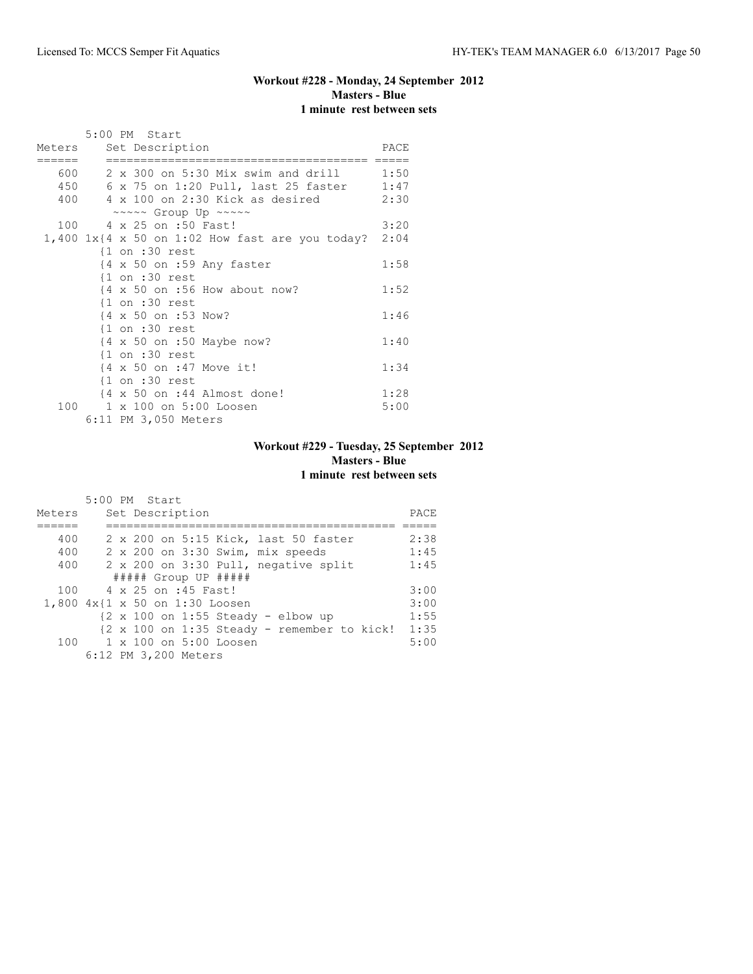# **Workout #228 - Monday, 24 September 2012 Masters - Blue 1 minute rest between sets**

|        | 5:00 PM Start                                                |      |
|--------|--------------------------------------------------------------|------|
|        | Meters Set Description                                       | PACE |
| ====== |                                                              |      |
|        | 600 2 x 300 on 5:30 Mix swim and drill 1:50                  |      |
|        | 450 6 x 75 on 1:20 Pull, last 25 faster 1:47                 |      |
|        | 400 4 x 100 on 2:30 Kick as desired 2:30                     |      |
|        | ~~~~~ Group Up ~~~~~                                         |      |
|        | 100 4 x 25 on :50 Fast!                                      | 3:20 |
|        | 1,400 $1x(4 \times 50)$ on 1:02 How fast are you today? 2:04 |      |
|        | $\{1$ on :30 rest                                            |      |
|        | $\{4 \times 50 \text{ on } : 59 \text{ Any faster}\}$        | 1:58 |
|        | $\{1$ on :30 rest                                            |      |
|        | $\{4 \times 50 \text{ on } : 56 \text{ How about now?}\}$    | 1:52 |
|        | $\{1$ on :30 rest                                            |      |
|        | {4 x 50 on :53 Now?                                          | 1:46 |
|        | $\{1$ on :30 rest                                            |      |
|        | {4 x 50 on :50 Maybe now?                                    | 1:40 |
|        | $\{1$ on :30 rest                                            |      |
|        | {4 x 50 on :47 Move it!                                      | 1:34 |
|        | $\{1$ on :30 rest                                            |      |
|        | $\{4 \times 50 \text{ on } : 44 \text{ Almost done}\}$       | 1:28 |
|        | 100 1 x 100 on 5:00 Loosen                                   | 5:00 |
|        | 6:11 PM 3,050 Meters                                         |      |

# **Workout #229 - Tuesday, 25 September 2012 Masters - Blue 1 minute rest between sets**

|        | $5:00$ PM Start                                                              |      |
|--------|------------------------------------------------------------------------------|------|
| Meters | Set Description                                                              | PACE |
|        |                                                                              |      |
| 400    | 2 x 200 on 5:15 Kick, last 50 faster                                         | 2:38 |
| 400    | 2 x 200 on 3:30 Swim, mix speeds                                             | 1:45 |
| 400    | 2 x 200 on 3:30 Pull, negative split                                         | 1:45 |
|        | ##### Group UP #####                                                         |      |
| 100    | 4 x 25 on :45 Fast!                                                          | 3:00 |
|        | 1,800 4x{1 x 50 on 1:30 Loosen                                               | 3:00 |
|        | $\{2 \times 100 \text{ on } 1:55 \text{ Steady } - \text{elbow up}\}$        | 1:55 |
|        | $\{2 \times 100 \text{ on } 1:35 \text{ Steady} - \text{remember to kick}\}$ | 1:35 |
|        | 100 1 x 100 on 5:00 Loosen                                                   | 5:00 |
|        | 6:12 PM 3,200 Meters                                                         |      |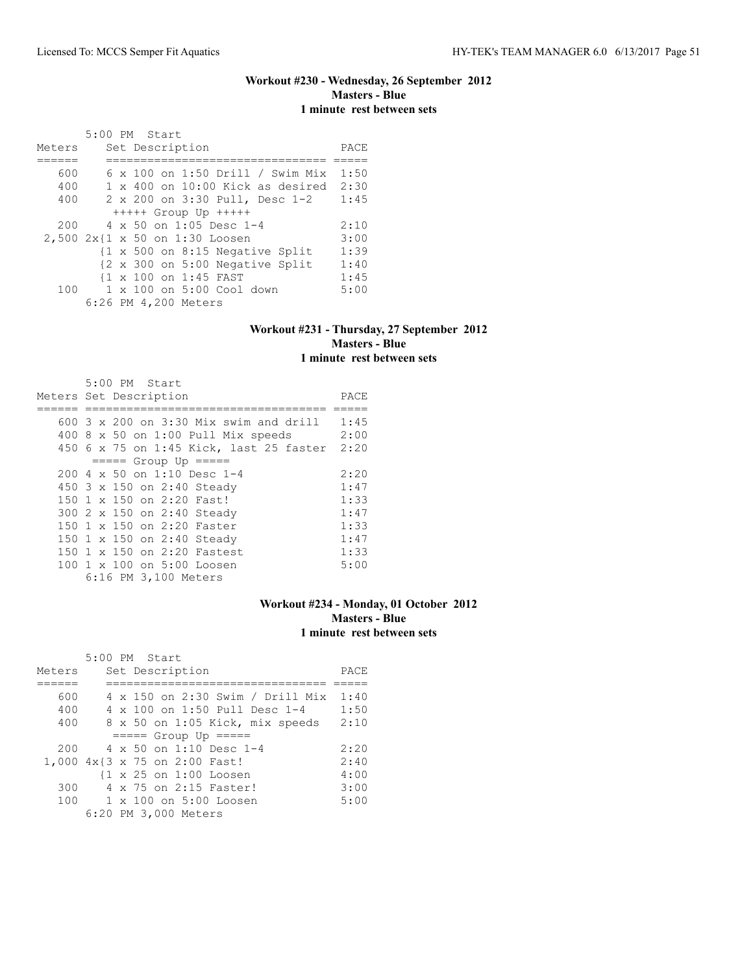# **Workout #230 - Wednesday, 26 September 2012 Masters - Blue 1 minute rest between sets**

|        |  | 5:00 PM Start                             |      |
|--------|--|-------------------------------------------|------|
| Meters |  | Set Description                           | PACE |
|        |  |                                           |      |
| 600    |  | $6 \times 100$ on 1:50 Drill / Swim Mix   | 1:50 |
| 400    |  | $1 \times 400$ on $10:00$ Kick as desired | 2:30 |
| 400    |  | 2 x 200 on 3:30 Pull, Desc 1-2            | 1:45 |
|        |  | $++++$ Group Up $++++$                    |      |
| 200    |  | $4 \times 50$ on 1:05 Desc 1-4            | 2:10 |
|        |  | 2,500 2x{1 x 50 on 1:30 Loosen            | 3:00 |
|        |  | {1 x 500 on 8:15 Negative Split           | 1:39 |
|        |  | {2 x 300 on 5:00 Negative Split           | 1:40 |
|        |  | {1 x 100 on 1:45 FAST                     | 1:45 |
| 100    |  | $1 \times 100$ on $5:00$ Cool down        | 5:00 |
|        |  | 6:26 PM 4,200 Meters                      |      |

# **Workout #231 - Thursday, 27 September 2012 Masters - Blue 1 minute rest between sets**

| 5:00 PM Start                              |      |
|--------------------------------------------|------|
| Meters Set Description                     | PACE |
|                                            |      |
| $600\,$ 3 x 200 on 3:30 Mix swim and drill | 1:45 |
| 400 8 x 50 on 1:00 Pull Mix speeds         | 2:00 |
| 450 6 x 75 on 1:45 Kick, last 25 faster    | 2:20 |
| $== == $ Group Up $== == $                 |      |
| 200 4 x 50 on 1:10 Desc 1-4                | 2:20 |
| 450 3 x 150 on 2:40 Steady                 | 1:47 |
| 150 1 x 150 on 2:20 Fast!                  | 1:33 |
| 300 2 x 150 on 2:40 Steady                 | 1:47 |
| 150 1 x 150 on 2:20 Faster                 | 1:33 |
| 150 1 x 150 on 2:40 Steady                 | 1:47 |
| 150 1 x 150 on 2:20 Fastest                | 1:33 |
| $100 \t 1 \t x \t 100$ on $5:00$ Loosen    | 5:00 |
| 6:16 PM 3,100 Meters                       |      |

# **Workout #234 - Monday, 01 October 2012 Masters - Blue 1 minute rest between sets**

|        | $5:00$ PM Start                      |      |
|--------|--------------------------------------|------|
| Meters | Set Description                      | PACE |
|        |                                      |      |
| 600    | 4 x 150 on 2:30 Swim / Drill Mix     | 1:40 |
| 400    | $4 \times 100$ on 1:50 Pull Desc 1-4 | 1:50 |
| 400    | 8 x 50 on 1:05 Kick, mix speeds      | 2:10 |
|        | $====$ Group Up $====$               |      |
| 200    | 4 x 50 on 1:10 Desc 1-4              | 2:20 |
|        | 1,000 4x{3 x 75 on 2:00 Fast!        | 2:40 |
|        | {1 x 25 on 1:00 Loosen               | 4:00 |
| 300    | 4 x 75 on 2:15 Faster!               | 3:00 |
| 100    | 1 x 100 on 5:00 Loosen               | 5:00 |
|        | 6:20 PM 3,000 Meters                 |      |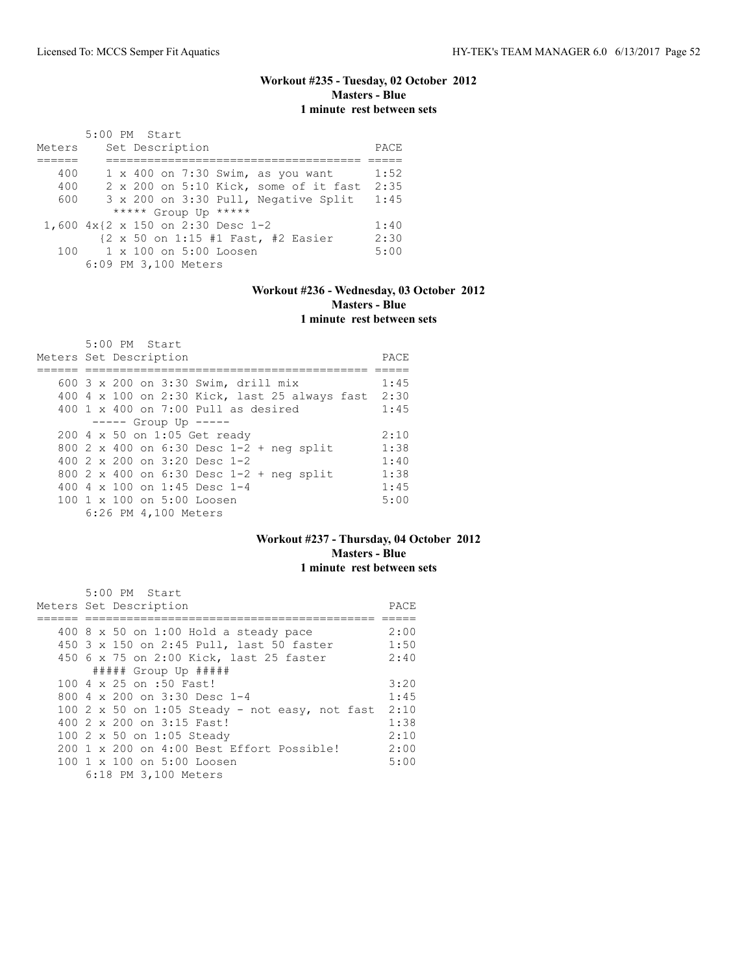# **Workout #235 - Tuesday, 02 October 2012 Masters - Blue 1 minute rest between sets**

|        | 5:00 PM Start                            |      |
|--------|------------------------------------------|------|
| Meters | Set Description                          | PACE |
|        |                                          |      |
| 400    | $1 \times 400$ on 7:30 Swim, as you want | 1:52 |
| 400    | 2 x 200 on 5:10 Kick, some of it fast    | 2:35 |
| 600    | 3 x 200 on 3:30 Pull, Negative Split     | 1:45 |
|        | ***** Group Up *****                     |      |
|        | 1,600 4x{2 x 150 on 2:30 Desc 1-2        | 1:40 |
|        | {2 x 50 on 1:15 #1 Fast, #2 Easier       | 2:30 |
| 100    | 1 x 100 on 5:00 Loosen                   | 5:00 |
|        | 6:09 PM 3,100 Meters                     |      |

# **Workout #236 - Wednesday, 03 October 2012 Masters - Blue 1 minute rest between sets**

| 5:00 PM Start<br>Meters Set Description                | PACE |
|--------------------------------------------------------|------|
|                                                        |      |
| 600 3 x 200 on 3:30 Swim, drill mix                    | 1:45 |
| 400 4 x 100 on 2:30 Kick, last 25 always fast 2:30     |      |
| $400 \t 1 \t x \t 400$ on 7:00 Pull as desired         | 1:45 |
| $--- -$ Group Up $---$                                 |      |
| 200 4 x 50 on 1:05 Get ready                           | 2:10 |
| 800 2 x 400 on 6:30 Desc 1-2 + neg split               | 1:38 |
| 400 $2 \times 200$ on $3:20$ Desc 1-2                  | 1:40 |
| 800 2 x 400 on 6:30 Desc 1-2 + neg split               | 1:38 |
| 400 4 $\times$ 100 on 1:45 Desc 1-4                    | 1:45 |
| $100 \text{ 1 x } 100 \text{ on } 5:00 \text{ Loosen}$ | 5:00 |
| 6:26 PM 4,100 Meters                                   |      |

#### **Workout #237 - Thursday, 04 October 2012 Masters - Blue 1 minute rest between sets**

| 5:00 PM Start                                  |      |  |  |  |  |  |  |
|------------------------------------------------|------|--|--|--|--|--|--|
| Meters Set Description<br>PACE                 |      |  |  |  |  |  |  |
|                                                |      |  |  |  |  |  |  |
| $400$ 8 x 50 on 1:00 Hold a steady pace        | 2:00 |  |  |  |  |  |  |
| 450 3 x 150 on 2:45 Pull, last 50 faster       | 1:50 |  |  |  |  |  |  |
| 450 6 x 75 on 2:00 Kick, last 25 faster        | 2:40 |  |  |  |  |  |  |
| ##### Group Up #####                           |      |  |  |  |  |  |  |
| 100 4 x 25 on :50 Fast!                        | 3:20 |  |  |  |  |  |  |
| 800 $4 \times 200$ on 3:30 Desc 1-4            | 1:45 |  |  |  |  |  |  |
| 100 2 x 50 on 1:05 Steady - not easy, not fast | 2:10 |  |  |  |  |  |  |
| 400 2 x 200 on 3:15 Fast!                      | 1:38 |  |  |  |  |  |  |
| 100 2 x 50 on 1:05 Steady                      | 2:10 |  |  |  |  |  |  |
| 200 1 x 200 on 4:00 Best Effort Possible!      | 2:00 |  |  |  |  |  |  |
| 100 1 x 100 on 5:00 Loosen                     | 5:00 |  |  |  |  |  |  |
| 6:18 PM 3,100 Meters                           |      |  |  |  |  |  |  |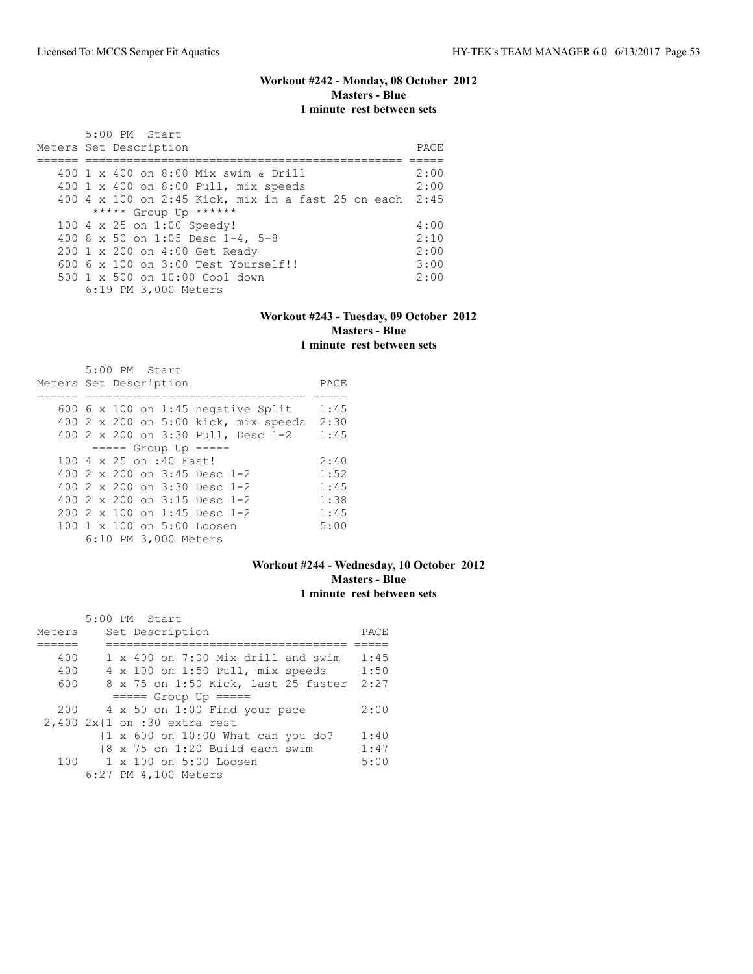# **Workout #242 - Monday, 08 October 2012 Masters - Blue 1 minute rest between sets**

| 5:00 PM Start<br>Meters Set Description                 | PACE. |
|---------------------------------------------------------|-------|
| 400 1 x 400 on 8:00 Mix swim & Drill                    | 2:00  |
| 400 1 x 400 on 8:00 Pull, mix speeds                    | 2:00  |
| 400 4 x 100 on 2:45 Kick, mix in a fast 25 on each 2:45 |       |
| ***** Group Up ******                                   |       |
| 100 4 x 25 on 1:00 Speedy!                              | 4:00  |
| 400 8 x 50 on 1:05 Desc 1-4, 5-8                        | 2:10  |
| 200 1 x 200 on 4:00 Get Ready                           | 2:00  |
| $6006 \times 100$ on $3:00$ Test Yourself!!             | 3:00  |
| 500 1 x 500 on 10:00 Cool down                          | 2:00  |
| 6:19 PM 3,000 Meters                                    |       |

#### **Workout #243 - Tuesday, 09 October 2012 Masters - Blue 1 minute rest between sets**

| $5:00$ PM Start                           |      |
|-------------------------------------------|------|
| Meters Set Description                    | PACE |
|                                           |      |
| 600 $6 \times 100$ on 1:45 negative Split | 1:45 |
| 400 2 x 200 on 5:00 kick, mix speeds      | 2:30 |
| 400 2 x 200 on 3:30 Pull, Desc 1-2        | 1:45 |
| $--- -$ Group Up $---$                    |      |
| 100 4 x 25 on :40 Fast!                   | 2:40 |
| 400 $2 \times 200$ on $3:45$ Desc 1-2     | 1:52 |
| 400 $2 \times 200$ on $3:30$ Desc 1-2     | 1:45 |
| 400 $2 \times 200$ on $3:15$ Desc 1-2     | 1:38 |
| $2002 \times 100$ on 1:45 Desc 1-2        | 1:45 |
| $100 \t 1 \t x \t 100$ on $5:00$ Loosen   | 5:00 |
| 6:10 PM 3,000 Meters                      |      |

# **Workout #244 - Wednesday, 10 October 2012 Masters - Blue 1 minute rest between sets**

|        | 5:00 PM Start                                                 |      |
|--------|---------------------------------------------------------------|------|
| Meters | Set Description                                               | PACE |
|        |                                                               |      |
| 400    | $1 \times 400$ on 7:00 Mix drill and swim                     | 1:45 |
| 400    | 4 x 100 on 1:50 Pull, mix speeds                              | 1:50 |
| 600    | 8 x 75 on 1:50 Kick, last 25 faster                           | 2:27 |
|        | $====$ Group Up $====$                                        |      |
| 200    | 4 x 50 on 1:00 Find your pace                                 | 2:00 |
|        | $2,400 2x\{1 on : 30 extra rest$                              |      |
|        | $\{1 \times 600 \text{ on } 10:00 \text{ What can you do?}\}$ | 1:40 |
|        | $\{8 \times 75 \text{ on } 1:20 \text{ Build each swim}\}$    | 1:47 |
| 100    | 1 x 100 on 5:00 Loosen                                        | 5:00 |
|        | 6:27 PM 4,100 Meters                                          |      |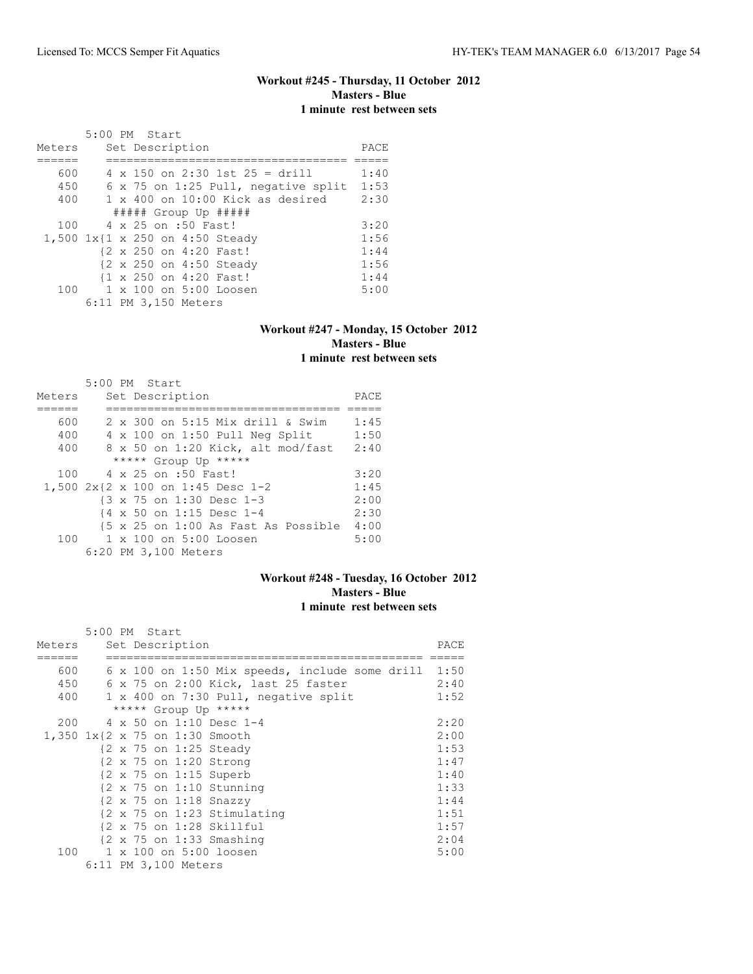# **Workout #245 - Thursday, 11 October 2012 Masters - Blue 1 minute rest between sets**

|        | 5:00 PM Start                             |      |
|--------|-------------------------------------------|------|
| Meters | Set Description                           | PACE |
|        |                                           |      |
| 600    | $4 \times 150$ on 2:30 1st 25 = drill     | 1:40 |
| 450    | 6 x 75 on 1:25 Pull, negative split       | 1:53 |
| 400    | $1 \times 400$ on $10:00$ Kick as desired | 2:30 |
|        | $\#$ #### Group Up $\#$ ####              |      |
| 100    | 4 x 25 on :50 Fast!                       | 3:20 |
|        | 1,500 1x{1 x 250 on 4:50 Steady           | 1:56 |
|        | {2 x 250 on 4:20 Fast!                    | 1:44 |
|        | {2 x 250 on 4:50 Steady                   | 1:56 |
|        | {1 x 250 on 4:20 Fast!                    | 1:44 |
| 100    | 1 x 100 on 5:00 Loosen                    | 5:00 |
|        | 6:11 PM 3,150 Meters                      |      |

## **Workout #247 - Monday, 15 October 2012 Masters - Blue 1 minute rest between sets**

|        | 5:00 PM Start                       |      |
|--------|-------------------------------------|------|
| Meters | Set Description                     | PACE |
|        |                                     |      |
| 600    | 2 x 300 on 5:15 Mix drill & Swim    | 1:45 |
| 400    | 4 x 100 on 1:50 Pull Neg Split      | 1:50 |
| 400    | 8 x 50 on 1:20 Kick, alt mod/fast   | 2:40 |
|        | ***** Group Up *****                |      |
| 100    | 4 x 25 on :50 Fast!                 | 3:20 |
|        | 1,500 2x{2 x 100 on 1:45 Desc 1-2   | 1:45 |
|        | {3 x 75 on 1:30 Desc 1-3            | 2:00 |
|        | {4 x 50 on 1:15 Desc 1-4            | 2:30 |
|        | {5 x 25 on 1:00 As Fast As Possible | 4:00 |
| 100    | 1 x 100 on 5:00 Loosen              | 5:00 |
|        | 6:20 PM 3,100 Meters                |      |

## **Workout #248 - Tuesday, 16 October 2012 Masters - Blue 1 minute rest between sets**

|        | 5:00 PM Start |  |                      |                                                        |      |
|--------|---------------|--|----------------------|--------------------------------------------------------|------|
| Meters |               |  | Set Description      |                                                        | PACE |
|        |               |  |                      |                                                        |      |
| 600    |               |  |                      | 6 x 100 on 1:50 Mix speeds, include some drill         | 1:50 |
| 450    | 6             |  |                      | x 75 on 2:00 Kick, last 25 faster                      | 2:40 |
| 400    |               |  |                      | 1 x 400 on 7:30 Pull, negative split                   | 1:52 |
|        |               |  |                      | ***** Group Up *****                                   |      |
| 200    |               |  |                      | 4 x 50 on 1:10 Desc 1-4                                | 2:20 |
|        |               |  |                      | 1,350 1x{2 x 75 on 1:30 Smooth                         | 2:00 |
|        |               |  |                      | {2 x 75 on 1:25 Steady                                 | 1:53 |
|        |               |  |                      | {2 x 75 on 1:20 Strong                                 | 1:47 |
|        |               |  |                      | $\{2 \times 75 \text{ on } 1:15 \text{ Superb}\}$      | 1:40 |
|        |               |  |                      | $\{2 \times 75 \text{ on } 1:10 \text{ Stunning}\}$    | 1:33 |
|        |               |  |                      | $\{2 \times 75 \text{ on } 1:18 \text{ Snazzy}\}$      | 1:44 |
|        |               |  |                      | $\{2 \times 75 \text{ on } 1:23 \text{ Stimulating}\}$ | 1:51 |
|        |               |  |                      | $\{2 \times 75 \text{ on } 1:28 \text{ Skillful}\}$    | 1:57 |
|        |               |  |                      | $\{2 \times 75 \text{ on } 1:33 \text{ Smashing}\}$    | 2:04 |
| 100    |               |  |                      | 1 x 100 on 5:00 loosen                                 | 5:00 |
|        |               |  | 6:11 PM 3,100 Meters |                                                        |      |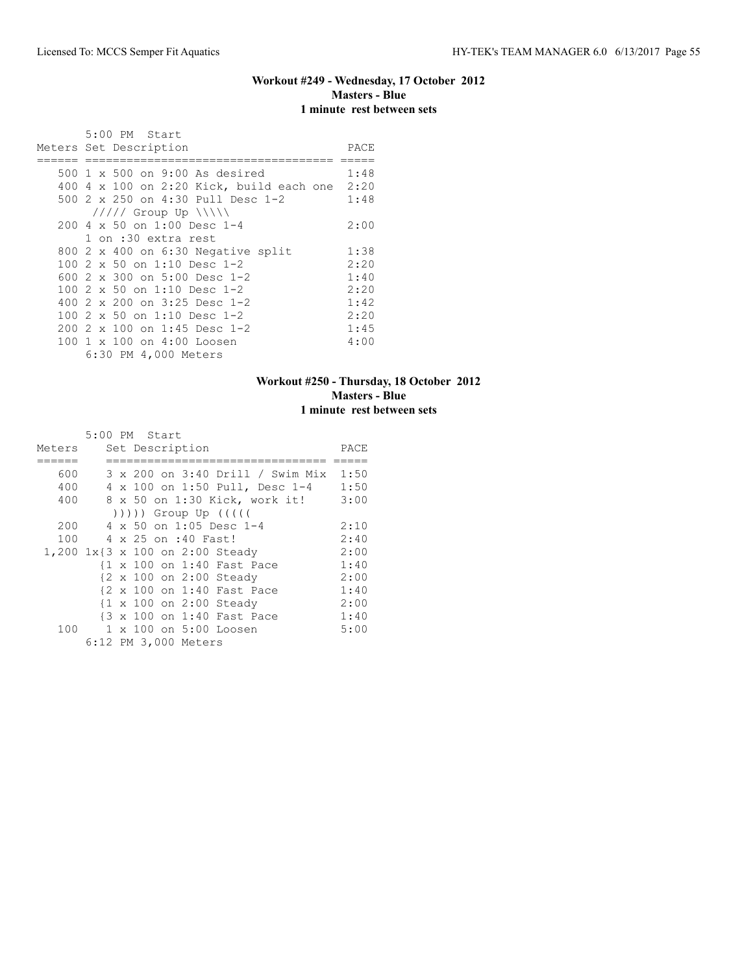# **Workout #249 - Wednesday, 17 October 2012 Masters - Blue 1 minute rest between sets**

| 5:00 PM Start<br>Meters Set Description    | PACE |
|--------------------------------------------|------|
|                                            |      |
| 500 1 x 500 on 9:00 As desired             | 1:48 |
| $400$ 4 x 100 on 2:20 Kick, build each one | 2:20 |
| 500 2 x 250 on 4:30 Pull Desc 1-2          | 1:48 |
| $11111$ Group Up $11111$                   |      |
| $200.4 \times 50$ on 1:00 Desc 1-4         | 2:00 |
| 1 on :30 extra rest                        |      |
| 800 2 x 400 on 6:30 Negative split         | 1:38 |
| 100 $2 \times 50$ on 1:10 Desc 1-2         | 2:20 |
| 600 2 x 300 on 5:00 Desc 1-2               | 1:40 |
| 100 $2 \times 50$ on 1:10 Desc 1-2         | 2:20 |
| 400 $2 \times 200$ on $3:25$ Desc 1-2      | 1:42 |
| 100 2 x 50 on 1:10 Desc 1-2                | 2:20 |
| 200 2 x 100 on 1:45 Desc 1-2               | 1:45 |
| 100 1 x 100 on 4:00 Loosen                 | 4:00 |
| 6:30 PM 4,000 Meters                       |      |

# **Workout #250 - Thursday, 18 October 2012 Masters - Blue 1 minute rest between sets**

|        | 5:00 PM Start |  |                      |                                 |                                  |      |
|--------|---------------|--|----------------------|---------------------------------|----------------------------------|------|
| Meters |               |  | Set Description      |                                 |                                  | PACE |
|        |               |  |                      |                                 |                                  |      |
| 600    |               |  |                      |                                 | 3 x 200 on 3:40 Drill / Swim Mix | 1:50 |
| 400    |               |  |                      |                                 | 4 x 100 on 1:50 Pull, Desc 1-4   | 1:50 |
| 400    |               |  |                      | 8 x 50 on 1:30 Kick, work it!   |                                  | 3:00 |
|        |               |  |                      | ))))) Group Up (((((            |                                  |      |
| 200    |               |  |                      | 4 x 50 on 1:05 Desc 1-4         |                                  | 2:10 |
| 100    |               |  | 4 x 25 on :40 Fast!  |                                 |                                  | 2:40 |
|        |               |  |                      | 1,200 1x{3 x 100 on 2:00 Steady |                                  | 2:00 |
|        |               |  |                      | {1 x 100 on 1:40 Fast Pace      |                                  | 1:40 |
|        |               |  |                      | {2 x 100 on 2:00 Steady         |                                  | 2:00 |
|        |               |  |                      | {2 x 100 on 1:40 Fast Pace      |                                  | 1:40 |
|        |               |  |                      | {1 x 100 on 2:00 Steady         |                                  | 2:00 |
|        |               |  |                      | {3 x 100 on 1:40 Fast Pace      |                                  | 1:40 |
| 100    |               |  |                      | 1 x 100 on 5:00 Loosen          |                                  | 5:00 |
|        |               |  | 6:12 PM 3,000 Meters |                                 |                                  |      |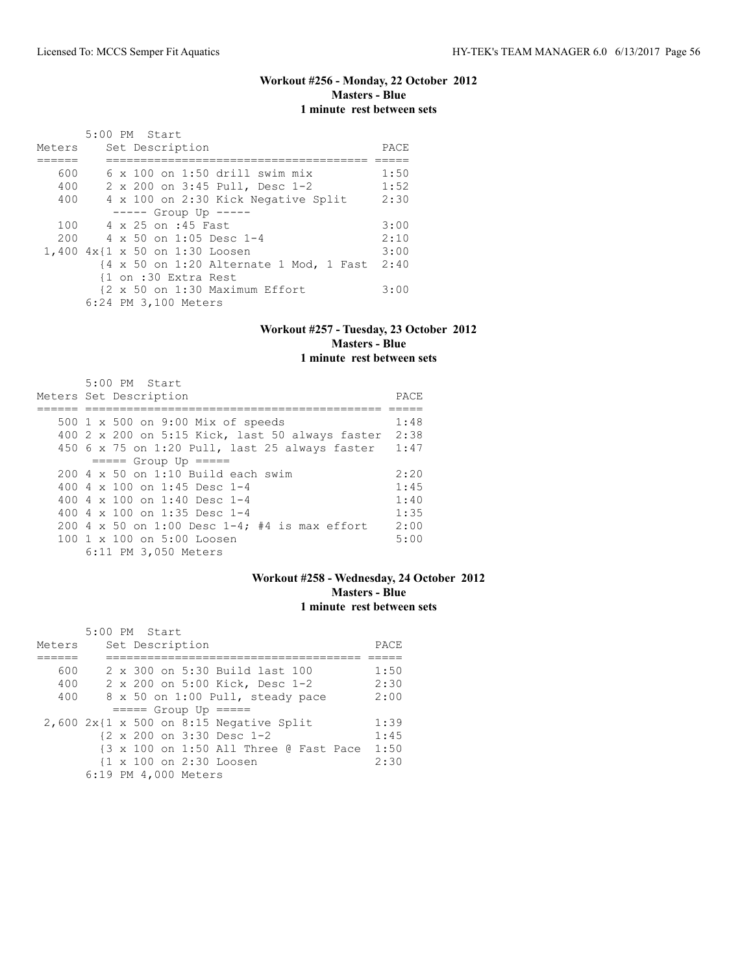# **Workout #256 - Monday, 22 October 2012 Masters - Blue 1 minute rest between sets**

|        | 5:00 PM Start                                                                        |      |
|--------|--------------------------------------------------------------------------------------|------|
| Meters | Set Description                                                                      | PACE |
|        |                                                                                      |      |
| 600    | $6 \times 100$ on 1:50 drill swim mix                                                | 1:50 |
| 400    | 2 x 200 on 3:45 Pull, Desc 1-2                                                       | 1:52 |
| 400    | 4 x 100 on 2:30 Kick Negative Split                                                  | 2:30 |
|        | $--- $ Group Up $---$                                                                |      |
| 100    | 4 x 25 on :45 Fast                                                                   | 3:00 |
| 200    | 4 x 50 on 1:05 Desc 1-4                                                              | 2:10 |
|        | 1,400 4x{1 x 50 on 1:30 Loosen                                                       | 3:00 |
|        | $\{4 \times 50 \text{ on } 1:20 \text{ Alternative } 1 \text{ Mod}, 1 \text{ Fast }$ | 2:40 |
|        | {1 on :30 Extra Rest                                                                 |      |
|        | {2 x 50 on 1:30 Maximum Effort                                                       | 3:00 |
|        | 6:24 PM 3,100 Meters                                                                 |      |

## **Workout #257 - Tuesday, 23 October 2012 Masters - Blue 1 minute rest between sets**

| $5:00$ PM Start                                       |      |
|-------------------------------------------------------|------|
| Meters Set Description                                | PACE |
|                                                       |      |
| 500 1 x 500 on 9:00 Mix of speeds                     | 1:48 |
| 400 2 x 200 on 5:15 Kick, last 50 always faster       | 2:38 |
| 450 $6 \times 75$ on 1:20 Pull, last 25 always faster | 1:47 |
| $== == $ Group Up $== == $                            |      |
| $200.4 \times 50$ on 1:10 Build each swim             | 2:20 |
| 400 4 $\times$ 100 on 1:45 Desc 1-4                   | 1:45 |
| 400 4 $\times$ 100 on 1:40 Desc 1-4                   | 1:40 |
| 400 4 $\times$ 100 on 1:35 Desc 1-4                   | 1:35 |
| 200 4 x 50 on 1:00 Desc 1-4; #4 is max effort         | 2:00 |
| 100 1 x 100 on 5:00 Loosen                            | 5:00 |
| 6:11 PM 3,050 Meters                                  |      |

## **Workout #258 - Wednesday, 24 October 2012 Masters - Blue 1 minute rest between sets**

|        |  | 5:00 PM Start          |                                           |      |
|--------|--|------------------------|-------------------------------------------|------|
| Meters |  | Set Description        |                                           | PACE |
|        |  |                        |                                           |      |
| 600    |  |                        | 2 x 300 on 5:30 Build last 100            | 1:50 |
| 400    |  |                        | 2 x 200 on 5:00 Kick, Desc 1-2            | 2:30 |
| 400    |  |                        | 8 x 50 on 1:00 Pull, steady pace          | 2:00 |
|        |  | $====$ Group Up $====$ |                                           |      |
|        |  |                        | $2,600$ 2x{1 x 500 on 8:15 Negative Split | 1:39 |
|        |  |                        | {2 x 200 on 3:30 Desc 1-2                 | 1:45 |
|        |  |                        | {3 x 100 on 1:50 All Three @ Fast Pace    | 1:50 |
|        |  |                        | {1 x 100 on 2:30 Loosen                   | 2:30 |
|        |  | 6:19 PM 4,000 Meters   |                                           |      |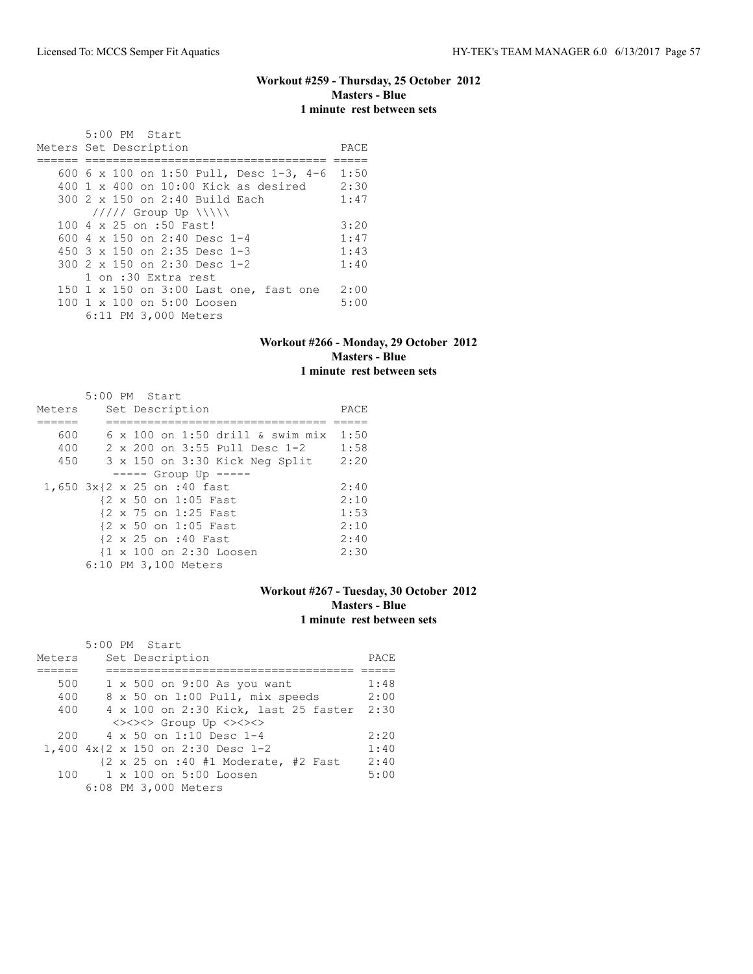## **Workout #259 - Thursday, 25 October 2012 Masters - Blue 1 minute rest between sets**

 5:00 PM Start Meters Set Description **PACE** ====== =================================== ===== 600 6 x 100 on 1:50 Pull, Desc 1-3, 4-6 1:50 400 1 x 400 on 10:00 Kick as desired 2:30 300 2 x 150 on 2:40 Build Each 1:47 ///// Group Up \\\\\ 100 4 x 25 on :50 Fast! 3:20<br>600 4 x 150 on 2:40 Desc 1-4 1:47 600 4 x 150 on 2:40 Desc 1-4 1:47<br>450 3 x 150 on 2:35 Desc 1-3 1:43 450 3 x 150 on 2:35 Desc 1-3 1:43<br>300 2 x 150 on 2:30 Desc 1-2 1:40 300 2 x 150 on 2:30 Desc 1-2 1 on :30 Extra rest 150 1 x 150 on 3:00 Last one, fast one 2:00<br>100 1 x 100 on 5:00 Loosen 5:00 100 1 x 100 on 5:00 Loosen 6:11 PM 3,000 Meters

#### **Workout #266 - Monday, 29 October 2012 Masters - Blue 1 minute rest between sets**

|        | 5:00 PM Start                           |      |
|--------|-----------------------------------------|------|
| Meters | Set Description                         | PACE |
|        |                                         |      |
| 600    | $6 \times 100$ on 1:50 drill & swim mix | 1:50 |
| 400    | 2 x 200 on 3:55 Pull Desc 1-2           | 1:58 |
| 450    | 3 x 150 on 3:30 Kick Neg Split          | 2:20 |
|        | $--- $ Group Up $---$                   |      |
|        | 1,650 3x{2 x 25 on :40 fast             | 2:40 |
|        | {2 x 50 on 1:05 Fast                    | 2:10 |
|        | {2 x 75 on 1:25 Fast                    | 1:53 |
|        | {2 x 50 on 1:05 Fast                    | 2:10 |
|        | {2 x 25 on :40 Fast                     | 2:40 |
|        | {1 x 100 on 2:30 Loosen                 | 2:30 |
|        | 6:10 PM 3,100 Meters                    |      |

# **Workout #267 - Tuesday, 30 October 2012 Masters - Blue 1 minute rest between sets**

|        | 5:00 PM Start                                                           |      |
|--------|-------------------------------------------------------------------------|------|
| Meters | Set Description                                                         | PACE |
|        |                                                                         |      |
| 500    | 1 x 500 on 9:00 As you want                                             | 1:48 |
| 400    | 8 x 50 on 1:00 Pull, mix speeds                                         | 2:00 |
| 400    | 4 x 100 on 2:30 Kick, last 25 faster                                    | 2:30 |
|        | <><><> Group Up <><><>                                                  |      |
| 200    | $4 \times 50$ on 1:10 Desc 1-4                                          | 2:20 |
|        | 1,400 4x{2 x 150 on 2:30 Desc 1-2                                       | 1:40 |
|        | $\{2 \times 25 \text{ on } : 40 \text{ #1} \text{ Moderate, #2 Fast}\}$ | 2:40 |
| 100    | 1 x 100 on 5:00 Loosen                                                  | 5:00 |
|        | 6:08 PM 3,000 Meters                                                    |      |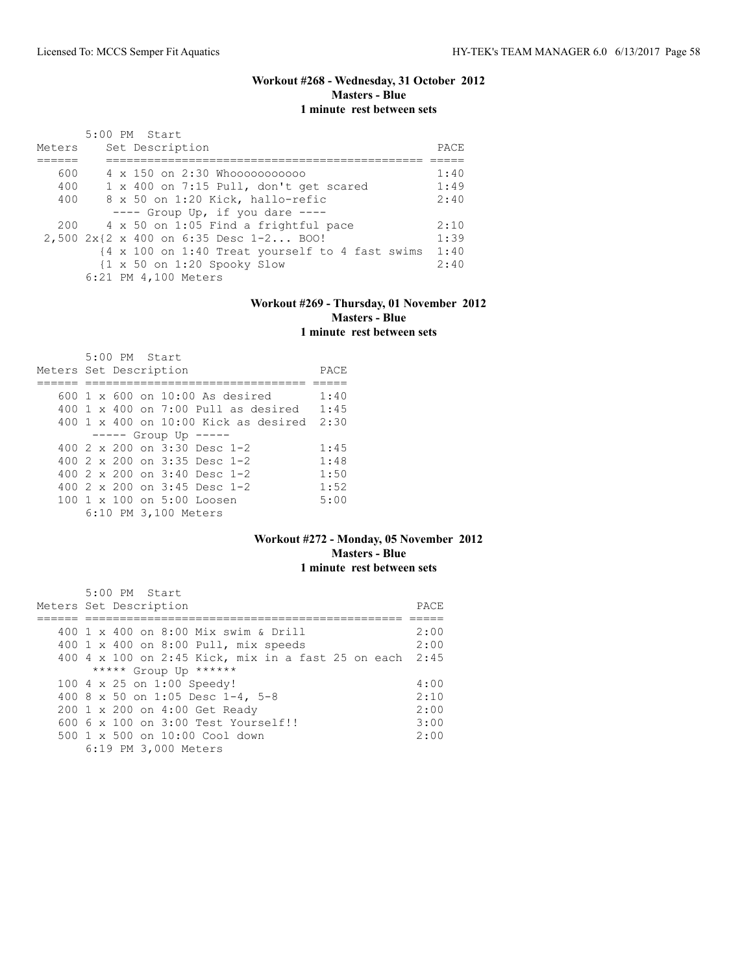# **Workout #268 - Wednesday, 31 October 2012 Masters - Blue 1 minute rest between sets**

| Meters |  | 5:00 PM Start<br>Set Description                             | PACE |
|--------|--|--------------------------------------------------------------|------|
| 600    |  | 4 x 150 on 2:30 Whooooooooooo                                | 1:40 |
| 400    |  | 1 x 400 on 7:15 Pull, don't get scared                       | 1:49 |
| 400    |  | 8 x 50 on 1:20 Kick, hallo-refic                             | 2:40 |
|        |  | $---$ Group Up, if you dare $---$                            |      |
|        |  | 200 4 x 50 on 1:05 Find a frightful pace                     | 2:10 |
|        |  | 2,500 2x{2 x 400 on 6:35 Desc 1-2 BOO!                       | 1:39 |
|        |  | {4 x 100 on 1:40 Treat yourself to 4 fast swims              | 1:40 |
|        |  | $\{1 \times 50 \text{ on } 1:20 \text{ Spooky} \text{ Slow}$ | 2:40 |
|        |  | 6:21 PM 4,100 Meters                                         |      |

# **Workout #269 - Thursday, 01 November 2012 Masters - Blue 1 minute rest between sets**

| Meters Set Description |  | $5:00$ PM Start |                                              |  |                                                                 | PACE |
|------------------------|--|-----------------|----------------------------------------------|--|-----------------------------------------------------------------|------|
|                        |  |                 | $600 \text{ 1 x } 600$ on $10:00$ As desired |  |                                                                 | 1:40 |
|                        |  |                 |                                              |  | $400\,$ 1 x $400\,$ on 7:00 Pull as desired                     | 1:45 |
|                        |  |                 |                                              |  | $400 \text{ 1 x } 400 \text{ on } 10:00$ Kick as desired $2:30$ |      |
|                        |  |                 | $--- -$ Group Up $--- -$                     |  |                                                                 |      |
|                        |  |                 | 400 $2 \times 200$ on $3:30$ Desc 1-2        |  |                                                                 | 1:45 |
|                        |  |                 | 400 $2 \times 200$ on 3:35 Desc 1-2          |  |                                                                 | 1:48 |
|                        |  |                 | 400 $2 \times 200$ on $3:40$ Desc 1-2        |  |                                                                 | 1:50 |
|                        |  |                 | 400 $2 \times 200$ on $3:45$ Desc 1-2        |  |                                                                 | 1:52 |
|                        |  |                 | 100 1 x 100 on 5:00 Loosen                   |  |                                                                 | 5:00 |
|                        |  |                 | 6:10 PM 3,100 Meters                         |  |                                                                 |      |

#### **Workout #272 - Monday, 05 November 2012 Masters - Blue 1 minute rest between sets**

| 5:00 PM Start                                           |      |
|---------------------------------------------------------|------|
| Meters Set Description                                  | PACE |
|                                                         |      |
| 400 1 x 400 on 8:00 Mix swim & Drill                    | 2:00 |
| 400 1 x 400 on 8:00 Pull, mix speeds                    | 2:00 |
| 400 4 x 100 on 2:45 Kick, mix in a fast 25 on each 2:45 |      |
| ***** Group Up ******                                   |      |
| 100 4 x 25 on 1:00 Speedy!                              | 4:00 |
| 400 8 x 50 on 1:05 Desc 1-4, 5-8                        | 2:10 |
| 200 1 x 200 on 4:00 Get Ready                           | 2:00 |
| 600 6 x 100 on 3:00 Test Yourself!!                     | 3:00 |
| $500 \t 1 \t x \t 500$ on $10:00$ Cool down             | 2:00 |
| 6:19 PM 3,000 Meters                                    |      |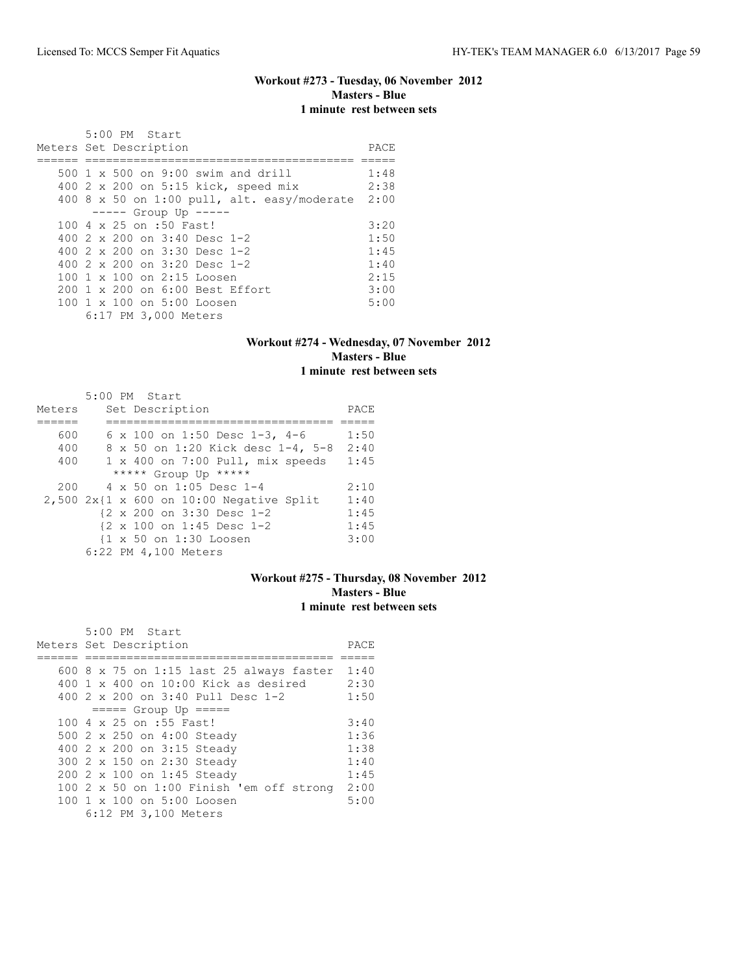# **Workout #273 - Tuesday, 06 November 2012 Masters - Blue 1 minute rest between sets**

|                        | $5:00$ PM Start            |                                             |      |
|------------------------|----------------------------|---------------------------------------------|------|
| Meters Set Description |                            |                                             | PACE |
|                        |                            |                                             |      |
|                        |                            | 500 1 x 500 on 9:00 swim and drill          | 1:48 |
|                        |                            | 400 2 x 200 on 5:15 kick, speed mix         | 2:38 |
|                        |                            | 400 8 x 50 on 1:00 pull, alt. easy/moderate | 2:00 |
|                        | $--- $ Group Up $---$      |                                             |      |
|                        | 100 4 x 25 on :50 Fast!    |                                             | 3:20 |
|                        |                            | 400 $2 \times 200$ on $3:40$ Desc 1-2       | 1:50 |
|                        |                            | 400 2 x 200 on 3:30 Desc 1-2                | 1:45 |
|                        |                            | 400 $2 \times 200$ on $3:20$ Desc 1-2       | 1:40 |
|                        | 100 1 x 100 on 2:15 Loosen |                                             | 2:15 |
|                        |                            | $200 \t1 x 200$ on $6:00$ Best Effort       | 3:00 |
|                        | 100 1 x 100 on 5:00 Loosen |                                             | 5:00 |
|                        | 6:17 PM 3,000 Meters       |                                             |      |

#### **Workout #274 - Wednesday, 07 November 2012 Masters - Blue 1 minute rest between sets**

|        |  | 5:00 PM Start                              |      |
|--------|--|--------------------------------------------|------|
| Meters |  | Set Description                            | PACE |
|        |  |                                            |      |
| 600    |  | 6 x 100 on 1:50 Desc 1-3, 4-6              | 1:50 |
| 400    |  | 8 x 50 on 1:20 Kick desc 1-4, 5-8          | 2:40 |
| 400    |  | $1 \times 400$ on 7:00 Pull, mix speeds    | 1:45 |
|        |  | ***** Group Up *****                       |      |
| 200    |  | 4 x 50 on 1:05 Desc 1-4                    | 2:10 |
|        |  | $2,500$ 2x{1 x 600 on 10:00 Negative Split | 1:40 |
|        |  | {2 x 200 on 3:30 Desc 1-2                  | 1:45 |
|        |  | {2 x 100 on 1:45 Desc 1-2                  | 1:45 |
|        |  | {1 x 50 on 1:30 Loosen                     | 3:00 |
|        |  | 6:22 PM 4,100 Meters                       |      |

# **Workout #275 - Thursday, 08 November 2012 Masters - Blue 1 minute rest between sets**

| 5:00 PM Start                            |      |
|------------------------------------------|------|
| Meters Set Description                   | PACE |
|                                          |      |
| 600 8 x 75 on 1:15 last 25 always faster | 1:40 |
| 400 1 x 400 on 10:00 Kick as desired     | 2:30 |
| 400 2 x 200 on 3:40 Pull Desc 1-2        | 1:50 |
| $== == $ Group Up $== == $               |      |
| 100 4 x 25 on :55 Fast!                  | 3:40 |
| 500 2 x 250 on 4:00 Steady               | 1:36 |
| 400 2 x 200 on 3:15 Steady               | 1:38 |
| 300 2 x 150 on 2:30 Steady               | 1:40 |
| 200 2 x 100 on 1:45 Steady               | 1:45 |
| 100 2 x 50 on 1:00 Finish 'em off strong | 2:00 |
| 100 1 x 100 on 5:00 Loosen               | 5:00 |
| 6:12 PM 3,100 Meters                     |      |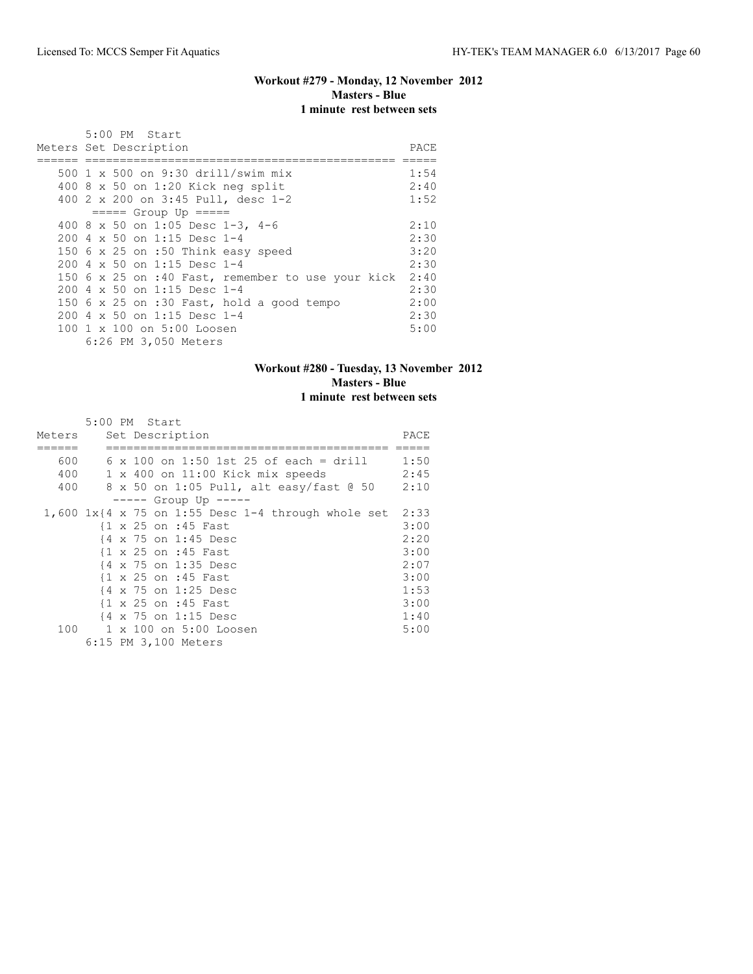## **Workout #279 - Monday, 12 November 2012 Masters - Blue 1 minute rest between sets**

| 5:00 PM Start                                     |      |  |  |  |  |  |  |  |  |  |
|---------------------------------------------------|------|--|--|--|--|--|--|--|--|--|
| Meters Set Description<br>PACE                    |      |  |  |  |  |  |  |  |  |  |
|                                                   |      |  |  |  |  |  |  |  |  |  |
| 500 1 x 500 on 9:30 drill/swim mix                | 1:54 |  |  |  |  |  |  |  |  |  |
| 400 $8 \times 50$ on 1:20 Kick neg split          | 2:40 |  |  |  |  |  |  |  |  |  |
| 400 2 x 200 on 3:45 Pull, desc 1-2                | 1:52 |  |  |  |  |  |  |  |  |  |
| $== == $ Group Up $== == $                        |      |  |  |  |  |  |  |  |  |  |
| 400 8 x 50 on 1:05 Desc 1-3, 4-6                  | 2:10 |  |  |  |  |  |  |  |  |  |
| 200 4 x 50 on 1:15 Desc 1-4                       | 2:30 |  |  |  |  |  |  |  |  |  |
| 150 6 x 25 on :50 Think easy speed                | 3:20 |  |  |  |  |  |  |  |  |  |
| 200 4 x 50 on 1:15 Desc 1-4                       | 2:30 |  |  |  |  |  |  |  |  |  |
| 150 6 x 25 on :40 Fast, remember to use your kick | 2:40 |  |  |  |  |  |  |  |  |  |
| 200 4 x 50 on 1:15 Desc 1-4                       | 2:30 |  |  |  |  |  |  |  |  |  |
| 150 6 x 25 on :30 Fast, hold a good tempo         | 2:00 |  |  |  |  |  |  |  |  |  |
| 200 4 x 50 on 1:15 Desc 1-4                       | 2:30 |  |  |  |  |  |  |  |  |  |
| 100 1 x 100 on 5:00 Loosen                        | 5:00 |  |  |  |  |  |  |  |  |  |
| 6:26 PM 3,050 Meters                              |      |  |  |  |  |  |  |  |  |  |

# **Workout #280 - Tuesday, 13 November 2012 Masters - Blue 1 minute rest between sets**

|        | $5:00$ PM Start                                       |      |
|--------|-------------------------------------------------------|------|
| Meters | Set Description                                       | PACE |
|        |                                                       |      |
| 600    | $6 \times 100$ on 1:50 1st 25 of each = drill         | 1:50 |
| 400    | 1 x 400 on 11:00 Kick mix speeds                      | 2:45 |
| 400    | 8 x 50 on 1:05 Pull, alt easy/fast @ 50               | 2:10 |
|        | ----- Group Up -----                                  |      |
|        | 1,600 $1x$ {4 x 75 on 1:55 Desc 1-4 through whole set | 2:33 |
|        | {1 x 25 on :45 Fast                                   | 3:00 |
|        | {4 x 75 on 1:45 Desc                                  | 2:20 |
|        | {1 x 25 on :45 Fast                                   | 3:00 |
|        | {4 x 75 on 1:35 Desc                                  | 2:07 |
|        | $\{1 \times 25 \text{ on } : 45 \text{ Fast}\}$       | 3:00 |
|        | {4 x 75 on 1:25 Desc                                  | 1:53 |
|        | {1 x 25 on :45 Fast                                   | 3:00 |
|        | {4 x 75 on 1:15 Desc                                  | 1:40 |
| 100    | 1 x 100 on 5:00 Loosen                                | 5:00 |
|        | 6:15 PM 3,100 Meters                                  |      |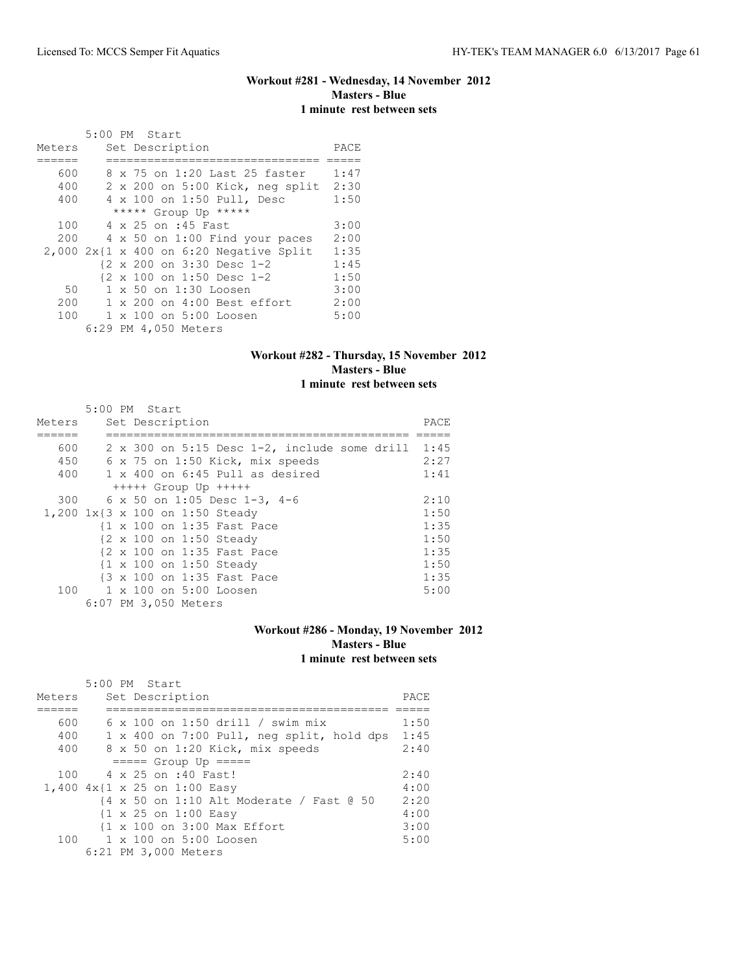# **Workout #281 - Wednesday, 14 November 2012 Masters - Blue 1 minute rest between sets**

|        | 5:00 PM Start                               |      |
|--------|---------------------------------------------|------|
| Meters | Set Description                             | PACE |
|        |                                             |      |
| 600    | 8 x 75 on 1:20 Last 25 faster               | 1:47 |
| 400    | 2 x 200 on 5:00 Kick, neg split             | 2:30 |
| 400    | 4 x 100 on 1:50 Pull, Desc                  | 1:50 |
|        | ***** Group Up *****                        |      |
| 100    | 4 x 25 on :45 Fast                          | 3:00 |
| 200    | 4 x 50 on 1:00 Find your paces              | 2:00 |
|        | $2,000$ $2x1x$ 400 on $6:20$ Negative Split | 1:35 |
|        | {2 x 200 on 3:30 Desc 1-2                   | 1:45 |
|        | {2 x 100 on 1:50 Desc 1-2                   | 1:50 |
| 50     | 1 x 50 on 1:30 Loosen                       | 3:00 |
| 200    | 1 x 200 on 4:00 Best effort                 | 2:00 |
| 100    | 1 x 100 on 5:00 Loosen                      | 5:00 |
|        | 6:29 PM 4,050 Meters                        |      |

# **Workout #282 - Thursday, 15 November 2012 Masters - Blue 1 minute rest between sets**

|        |  | 5:00 PM Start                                          |      |
|--------|--|--------------------------------------------------------|------|
| Meters |  | Set Description                                        | PACE |
|        |  |                                                        |      |
| 600    |  | 2 x 300 on 5:15 Desc $1-2$ , include some drill $1:45$ |      |
| 450    |  | 6 x 75 on 1:50 Kick, mix speeds                        | 2:27 |
| 400    |  | $1 \times 400$ on 6:45 Pull as desired                 | 1:41 |
|        |  | $++++$ Group Up $++++$                                 |      |
|        |  | 300 6 x 50 on 1:05 Desc 1-3, 4-6                       | 2:10 |
|        |  | 1,200 1x{3 x 100 on 1:50 Steady                        | 1:50 |
|        |  | {1 x 100 on 1:35 Fast Pace                             | 1:35 |
|        |  | {2 x 100 on 1:50 Steady                                | 1:50 |
|        |  | {2 x 100 on 1:35 Fast Pace                             | 1:35 |
|        |  | {1 x 100 on 1:50 Steady                                | 1:50 |
|        |  | {3 x 100 on 1:35 Fast Pace                             | 1:35 |
|        |  | 100 1 x 100 on 5:00 Loosen                             | 5:00 |
|        |  | 6:07 PM 3,050 Meters                                   |      |

# **Workout #286 - Monday, 19 November 2012 Masters - Blue 1 minute rest between sets**

|        | $5:00$ PM Start                                 |      |  |  |  |  |  |  |  |  |  |
|--------|-------------------------------------------------|------|--|--|--|--|--|--|--|--|--|
| Meters | Set Description                                 |      |  |  |  |  |  |  |  |  |  |
|        |                                                 |      |  |  |  |  |  |  |  |  |  |
| 600    | $6 \times 100$ on 1:50 drill / swim mix         | 1:50 |  |  |  |  |  |  |  |  |  |
| 400    | 1 x 400 on 7:00 Pull, neg split, hold dps       | 1:45 |  |  |  |  |  |  |  |  |  |
| 400    | 8 x 50 on 1:20 Kick, mix speeds                 | 2:40 |  |  |  |  |  |  |  |  |  |
|        | $====$ Group Up $====$                          |      |  |  |  |  |  |  |  |  |  |
| 100    | 4 x 25 on :40 Fast!                             | 2:40 |  |  |  |  |  |  |  |  |  |
|        | 1,400 4x{1 x 25 on 1:00 Easy                    | 4:00 |  |  |  |  |  |  |  |  |  |
|        | {4 x 50 on 1:10 Alt Moderate / Fast @ 50        | 2:20 |  |  |  |  |  |  |  |  |  |
|        | $\{1 \times 25 \text{ on } 1:00 \text{ Easy}\}$ | 4:00 |  |  |  |  |  |  |  |  |  |
|        | {1 x 100 on 3:00 Max Effort                     | 3:00 |  |  |  |  |  |  |  |  |  |
| 100    | $1 \times 100$ on $5:00$ Loosen                 | 5:00 |  |  |  |  |  |  |  |  |  |
|        | 6:21 PM 3,000 Meters                            |      |  |  |  |  |  |  |  |  |  |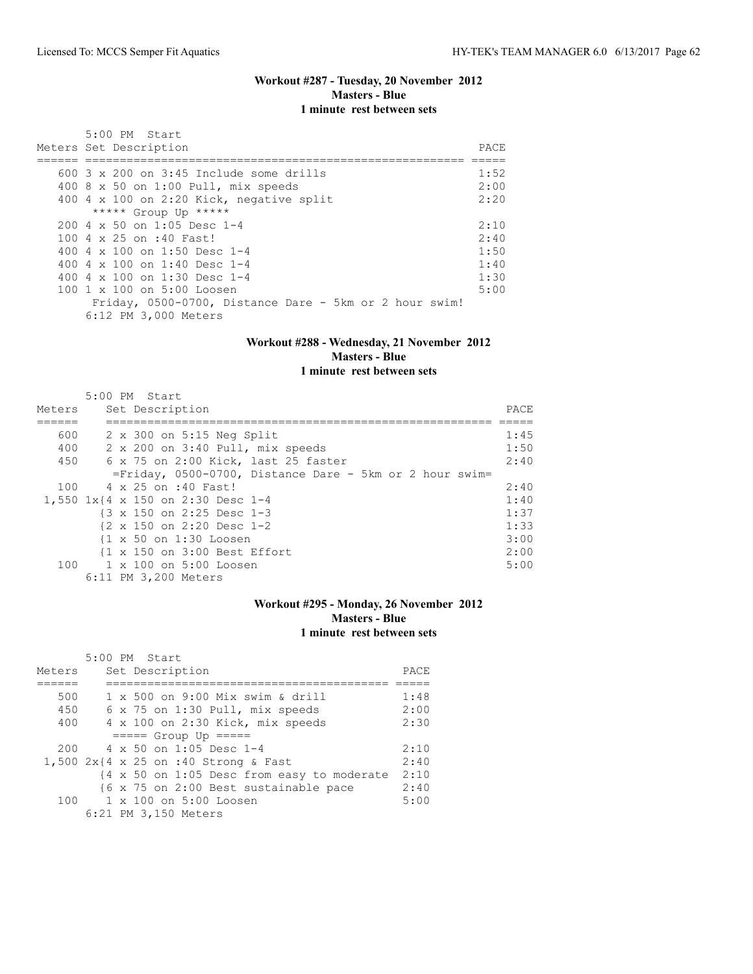#### **Workout #287 - Tuesday, 20 November 2012 Masters - Blue 1 minute rest between sets**

 5:00 PM Start Meters Set Description **PACE** ====== ======================================================= ===== 600 3 x 200 on 3:45 Include some drills 1:52 400 8 x 50 on 1:00 Pull, mix speeds 2:00 400 4 x 100 on 2:20 Kick, negative split 2:20 \*\*\*\*\* Group Up \*\*\*\*\* 200 4 x 50 on 1:05 Desc 1-4 2:10<br>100 4 x 25 on :40 Fast! 2:40 100 4 x 25 on :40 Fast! 2:40<br>400 4 x 100 on 1:50 Desc 1-4 1:50 400 4 x 100 on 1:50 Desc 1-4 1:50<br>400 4 x 100 on 1:40 Desc 1-4 1:40 400 4 x 100 on 1:40 Desc 1-4 1:40<br>400 4 x 100 on 1:30 Desc 1-4 1:30 400 4 x 100 on 1:30 Desc 1-4 1:30<br>100 1 x 100 on 5:00 Loosen 5:00 5:00 100 1 x 100 on 5:00 Loosen Friday, 0500-0700, Distance Dare - 5km or 2 hour swim! 6:12 PM 3,000 Meters

#### **Workout #288 - Wednesday, 21 November 2012 Masters - Blue 1 minute rest between sets**

|        | 5:00 PM Start                                              |      |
|--------|------------------------------------------------------------|------|
| Meters | Set Description                                            | PACE |
|        |                                                            |      |
| 600    | $2 \times 300$ on $5:15$ Neg Split                         | 1:45 |
| 400    | 2 x 200 on 3:40 Pull, mix speeds                           | 1:50 |
| 450    | 6 x 75 on 2:00 Kick, last 25 faster                        | 2:40 |
|        | $=$ Friday, 0500-0700, Distance Dare - 5km or 2 hour swim= |      |
| 100    | 4 x 25 on :40 Fast!                                        | 2:40 |
|        | 1,550 1x{4 x 150 on 2:30 Desc 1-4                          | 1:40 |
|        | $\{3 \times 150 \text{ on } 2:25 \text{ Desc } 1-3$        | 1:37 |
|        | $\{2 \times 150 \text{ on } 2:20 \text{ Desc } 1-2\}$      | 1:33 |
|        | {1 x 50 on 1:30 Loosen                                     | 3:00 |
|        | {1 x 150 on 3:00 Best Effort                               | 2:00 |
|        | 100 1 x 100 on 5:00 Loosen                                 | 5:00 |
|        | 6:11 PM 3,200 Meters                                       |      |

#### **Workout #295 - Monday, 26 November 2012 Masters - Blue 1 minute rest between sets**

|        |  | 5:00 PM Start                              |      |
|--------|--|--------------------------------------------|------|
| Meters |  | Set Description                            | PACE |
|        |  |                                            |      |
| 500    |  | $1 \times 500$ on 9:00 Mix swim & drill    | 1:48 |
| 450    |  | 6 x 75 on 1:30 Pull, mix speeds            | 2:00 |
| 400    |  | 4 x 100 on 2:30 Kick, mix speeds           | 2:30 |
|        |  | $====$ Group Up $====$                     |      |
| 200    |  | $4 \times 50$ on 1:05 Desc 1-4             | 2:10 |
|        |  | 1,500 $2x$ {4 x 25 on :40 Strong & Fast    | 2:40 |
|        |  | {4 x 50 on 1:05 Desc from easy to moderate | 2:10 |
|        |  | {6 x 75 on 2:00 Best sustainable pace      | 2:40 |
|        |  | $100 \t 1 \times 100$ on $5:00$ Loosen     | 5:00 |
|        |  | 6:21 PM 3,150 Meters                       |      |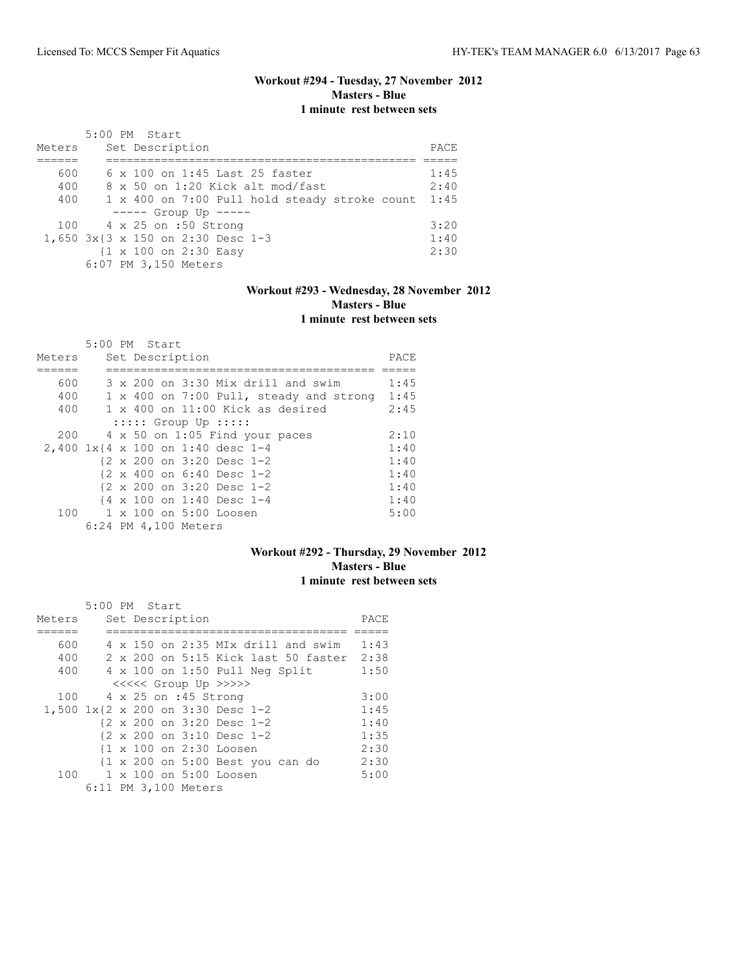## **Workout #294 - Tuesday, 27 November 2012 Masters - Blue 1 minute rest between sets**

| Meters | 5:00 PM Start<br>Set Description              | PACE |
|--------|-----------------------------------------------|------|
|        |                                               |      |
| 600    | 6 x 100 on 1:45 Last 25 faster                | 1:45 |
| 400    | 8 x 50 on 1:20 Kick alt mod/fast              | 2:40 |
| 400    | 1 x 400 on 7:00 Pull hold steady stroke count | 1:45 |
|        | $--- $ Group Up $---$                         |      |
|        | 100 4 x 25 on :50 Strong                      | 3:20 |
|        | 1,650 3x{3 x 150 on 2:30 Desc 1-3             | 1:40 |
|        | {1 x 100 on 2:30 Easy                         | 2:30 |
|        | 6:07 PM 3,150 Meters                          |      |

# **Workout #293 - Wednesday, 28 November 2012 Masters - Blue 1 minute rest between sets**

|        | 5:00 PM Start |  |                                                       |      |
|--------|---------------|--|-------------------------------------------------------|------|
| Meters |               |  | Set Description                                       | PACE |
|        |               |  |                                                       |      |
| 600    |               |  | 3 x 200 on 3:30 Mix drill and swim                    | 1:45 |
| 400    |               |  | 1 x 400 on 7:00 Pull, steady and strong               | 1:45 |
| 400    |               |  | $1 \times 400$ on $11:00$ Kick as desired             | 2:45 |
|        |               |  | $:::::$ Group Up $:::::$                              |      |
| 200    |               |  | 4 x 50 on 1:05 Find your paces                        | 2:10 |
|        |               |  | 2,400 1x{4 x 100 on 1:40 desc 1-4                     | 1:40 |
|        |               |  | {2 x 200 on 3:20 Desc 1-2                             | 1:40 |
|        |               |  | $\{2 \times 400 \text{ on } 6:40 \text{ Desc } 1-2\}$ | 1:40 |
|        |               |  | $\{2 \times 200 \text{ on } 3:20 \text{ Desc } 1-2\}$ | 1:40 |
|        |               |  | {4 x 100 on 1:40 Desc 1-4                             | 1:40 |
|        |               |  | 100 1 x 100 on 5:00 Loosen                            | 5:00 |
|        |               |  | 6:24 PM 4,100 Meters                                  |      |

## **Workout #292 - Thursday, 29 November 2012 Masters - Blue 1 minute rest between sets**

|        | 5:00 PM Start |  |                      |                                     |      |
|--------|---------------|--|----------------------|-------------------------------------|------|
| Meters |               |  | Set Description      |                                     | PACE |
|        |               |  |                      |                                     |      |
| 600    |               |  |                      | 4 x 150 on 2:35 MIx drill and swim  | 1:43 |
| 400    |               |  |                      | 2 x 200 on 5:15 Kick last 50 faster | 2:38 |
| 400    |               |  |                      | 4 x 100 on 1:50 Pull Neg Split      | 1:50 |
|        |               |  |                      | <<<<<< Group Up >>>>>               |      |
| 100    |               |  | 4 x 25 on :45 Strong |                                     | 3:00 |
|        |               |  |                      | 1,500 1x{2 x 200 on 3:30 Desc 1-2   | 1:45 |
|        |               |  |                      | {2 x 200 on 3:20 Desc 1-2           | 1:40 |
|        |               |  |                      | {2 x 200 on 3:10 Desc 1-2           | 1:35 |
|        |               |  |                      | {1 x 100 on 2:30 Loosen             | 2:30 |
|        |               |  |                      | {1 x 200 on 5:00 Best you can do    | 2:30 |
| 100    |               |  |                      | 1 x 100 on 5:00 Loosen              | 5:00 |
|        |               |  | 6:11 PM 3,100 Meters |                                     |      |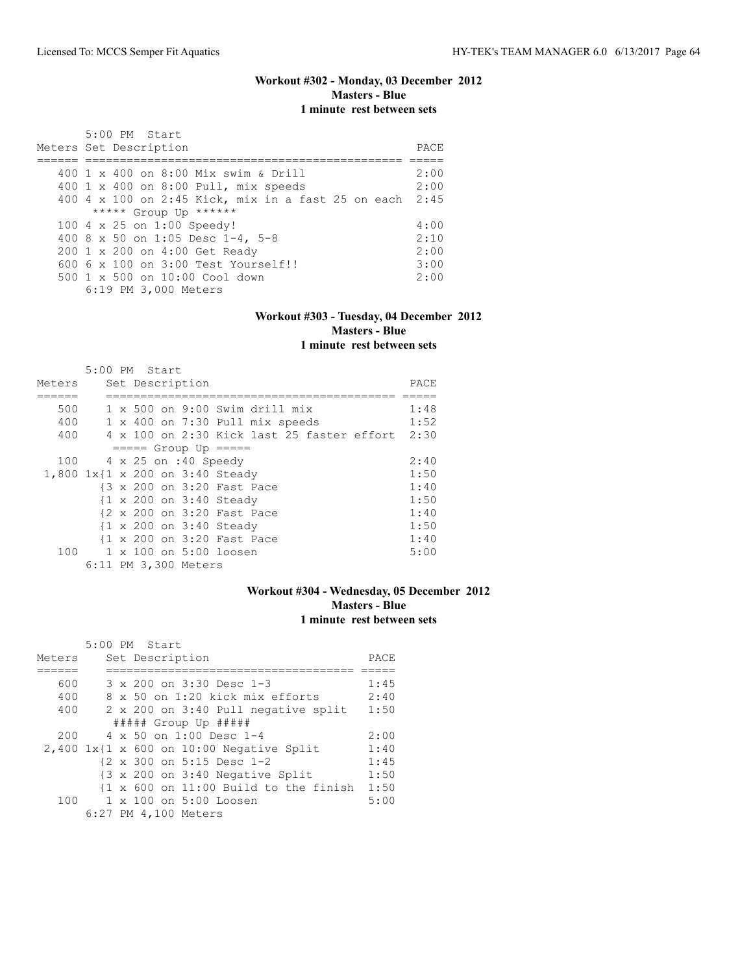## **Workout #302 - Monday, 03 December 2012 Masters - Blue 1 minute rest between sets**

| 5:00 PM Start<br>Meters Set Description                 | PACE |
|---------------------------------------------------------|------|
| 400 1 x 400 on 8:00 Mix swim & Drill                    | 2:00 |
| 400 1 x 400 on 8:00 Pull, mix speeds                    | 2:00 |
| 400 4 x 100 on 2:45 Kick, mix in a fast 25 on each 2:45 |      |
| ***** Group Up ******                                   |      |
| 100 4 x 25 on 1:00 Speedy!                              | 4:00 |
| 400 8 x 50 on 1:05 Desc 1-4, 5-8                        | 2:10 |
| 200 1 x 200 on 4:00 Get Ready                           | 2:00 |
| $6006 \times 100$ on $3:00$ Test Yourself!!             | 3:00 |
| 500 1 x 500 on 10:00 Cool down                          | 2:00 |
| 6:19 PM 3,000 Meters                                    |      |

#### **Workout #303 - Tuesday, 04 December 2012 Masters - Blue 1 minute rest between sets**

|        | 5:00 PM Start |  |                      |                                                 |      |
|--------|---------------|--|----------------------|-------------------------------------------------|------|
| Meters |               |  | Set Description      |                                                 | PACE |
|        |               |  |                      |                                                 |      |
| 500    |               |  |                      | $1 \times 500$ on 9:00 Swim drill mix           | 1:48 |
| 400    |               |  |                      | 1 x 400 on 7:30 Pull mix speeds                 | 1:52 |
| 400    |               |  |                      | 4 x 100 on 2:30 Kick last 25 faster effort 2:30 |      |
|        |               |  |                      | $== == $ Group Up $== == $                      |      |
| 100    |               |  | 4 x 25 on :40 Speedy |                                                 | 2:40 |
|        |               |  |                      | 1,800 1x{1 x 200 on 3:40 Steady                 | 1:50 |
|        |               |  |                      | {3 x 200 on 3:20 Fast Pace                      | 1:40 |
|        |               |  |                      | {1 x 200 on 3:40 Steady                         | 1:50 |
|        |               |  |                      | {2 x 200 on 3:20 Fast Pace                      | 1:40 |
|        |               |  |                      | {1 x 200 on 3:40 Steady                         | 1:50 |
|        |               |  |                      | {1 x 200 on 3:20 Fast Pace                      | 1:40 |
| 100    |               |  |                      | 1 x 100 on 5:00 loosen                          | 5:00 |
|        |               |  | 6:11 PM 3,300 Meters |                                                 |      |

## **Workout #304 - Wednesday, 05 December 2012 Masters - Blue 1 minute rest between sets**

|        | 5:00 PM Start                                                    |      |
|--------|------------------------------------------------------------------|------|
| Meters | Set Description                                                  | PACE |
|        |                                                                  |      |
| 600    | 3 x 200 on 3:30 Desc 1-3                                         | 1:45 |
| 400    | $8 \times 50$ on 1:20 kick mix efforts                           | 2:40 |
| 400    | 2 x 200 on 3:40 Pull negative split                              | 1:50 |
|        | $\#$ #### Group Up $\#$ ####                                     |      |
| 200    | $4 \times 50$ on 1:00 Desc 1-4                                   | 2:00 |
|        | $2,400$ 1x{1 x 600 on 10:00 Negative Split                       | 1:40 |
|        | {2 x 300 on 5:15 Desc 1-2                                        | 1:45 |
|        | {3 x 200 on 3:40 Negative Split                                  | 1:50 |
|        | $\{1 \times 600 \text{ on } 11:00 \text{ Build to the finish}\}$ | 1:50 |
| 100    | 1 x 100 on 5:00 Loosen                                           | 5:00 |
|        | 6:27 PM 4,100 Meters                                             |      |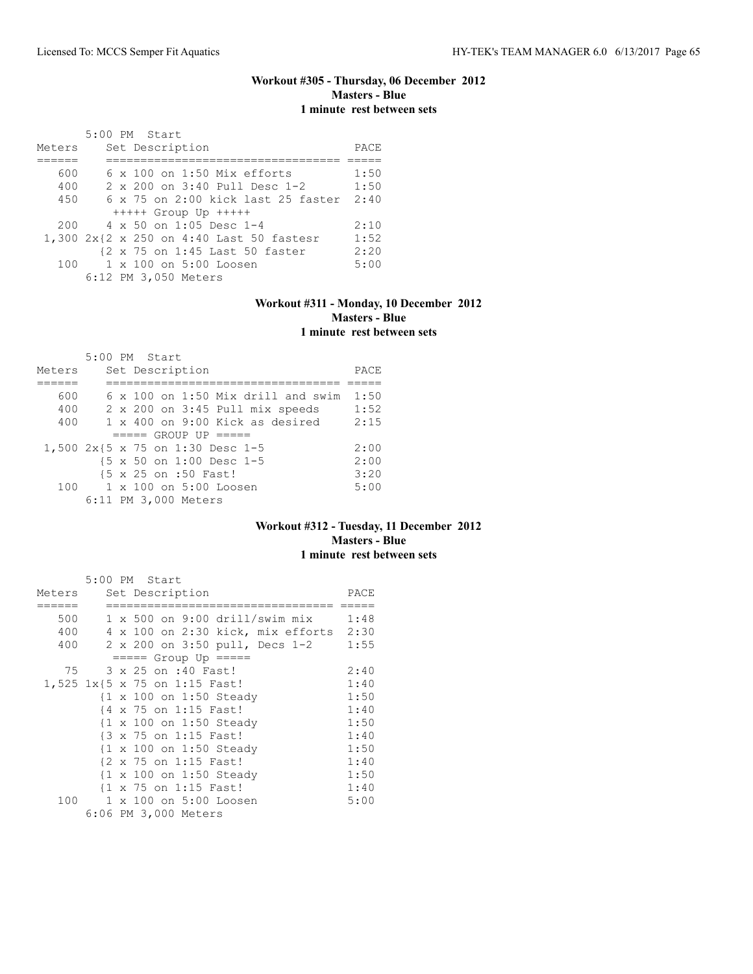# **Workout #305 - Thursday, 06 December 2012 Masters - Blue 1 minute rest between sets**

|        |  | 5:00 PM Start |                      |                                    |                                          |      |
|--------|--|---------------|----------------------|------------------------------------|------------------------------------------|------|
| Meters |  |               | Set Description      |                                    |                                          | PACE |
|        |  |               |                      |                                    |                                          |      |
| 600    |  |               |                      | $6 \times 100$ on 1:50 Mix efforts |                                          | 1:50 |
| 400    |  |               |                      | 2 x 200 on 3:40 Pull Desc 1-2      |                                          | 1:50 |
| 450    |  |               |                      |                                    | 6 x 75 on 2:00 kick last 25 faster 2:40  |      |
|        |  |               |                      | $++++$ Group Up $++++$             |                                          |      |
| 200    |  |               |                      | $4 \times 50$ on 1:05 Desc 1-4     |                                          | 2:10 |
|        |  |               |                      |                                    | 1,300 2x{2 x 250 on 4:40 Last 50 fastesr | 1:52 |
|        |  |               |                      | {2 x 75 on 1:45 Last 50 faster     |                                          | 2:20 |
| 100    |  |               |                      | $1 \times 100$ on $5:00$ Loosen    |                                          | 5:00 |
|        |  |               | 6:12 PM 3,050 Meters |                                    |                                          |      |

#### **Workout #311 - Monday, 10 December 2012 Masters - Blue 1 minute rest between sets**

|                                  | 5:00 PM Start |  |                      |                                           |  |      |
|----------------------------------|---------------|--|----------------------|-------------------------------------------|--|------|
| Meters                           |               |  | Set Description      |                                           |  | PACE |
|                                  |               |  |                      |                                           |  |      |
| 600                              |               |  |                      | $6 \times 100$ on 1:50 Mix drill and swim |  | 1:50 |
| 400                              |               |  |                      | 2 x 200 on 3:45 Pull mix speeds           |  | 1:52 |
| 400                              |               |  |                      | $1 \times 400$ on 9:00 Kick as desired    |  | 2:15 |
|                                  |               |  |                      | $====$ GROUP UP $====$                    |  |      |
| 1,500 2x{5 x 75 on 1:30 Desc 1-5 |               |  |                      |                                           |  | 2:00 |
|                                  |               |  |                      | {5 x 50 on 1:00 Desc 1-5                  |  | 2:00 |
|                                  |               |  | {5 x 25 on :50 Fast! |                                           |  | 3:20 |
|                                  |               |  |                      | $100 \t 1 \times 100$ on $5:00$ Loosen    |  | 5:00 |
|                                  |               |  | 6:11 PM 3,000 Meters |                                           |  |      |

## **Workout #312 - Tuesday, 11 December 2012 Masters - Blue 1 minute rest between sets**

|        |  | 5:00 PM Start                          |      |
|--------|--|----------------------------------------|------|
| Meters |  | Set Description                        | PACE |
|        |  |                                        |      |
| 500    |  | 1 x 500 on 9:00 drill/swim mix 1:48    |      |
| 400    |  | 4 x 100 on 2:30 kick, mix efforts 2:30 |      |
| 400    |  | 2 x 200 on 3:50 pull, Decs 1-2         | 1:55 |
|        |  | $== == $ Group Up $== == $             |      |
| 75     |  | 3 x 25 on :40 Fast!                    | 2:40 |
|        |  | 1,525 1x{5 x 75 on 1:15 Fast!          | 1:40 |
|        |  | {1 x 100 on 1:50 Steady                | 1:50 |
|        |  | {4 x 75 on 1:15 Fast!                  | 1:40 |
|        |  | {1 x 100 on 1:50 Steady                | 1:50 |
|        |  | {3 x 75 on 1:15 Fast!                  | 1:40 |
|        |  | {1 x 100 on 1:50 Steady                | 1:50 |
|        |  | {2 x 75 on 1:15 Fast!                  | 1:40 |
|        |  | {1 x 100 on 1:50 Steady                | 1:50 |
|        |  | {1 x 75 on 1:15 Fast!                  | 1:40 |
| 100    |  | 1 x 100 on 5:00 Loosen                 | 5:00 |
|        |  | 6:06 PM 3,000 Meters                   |      |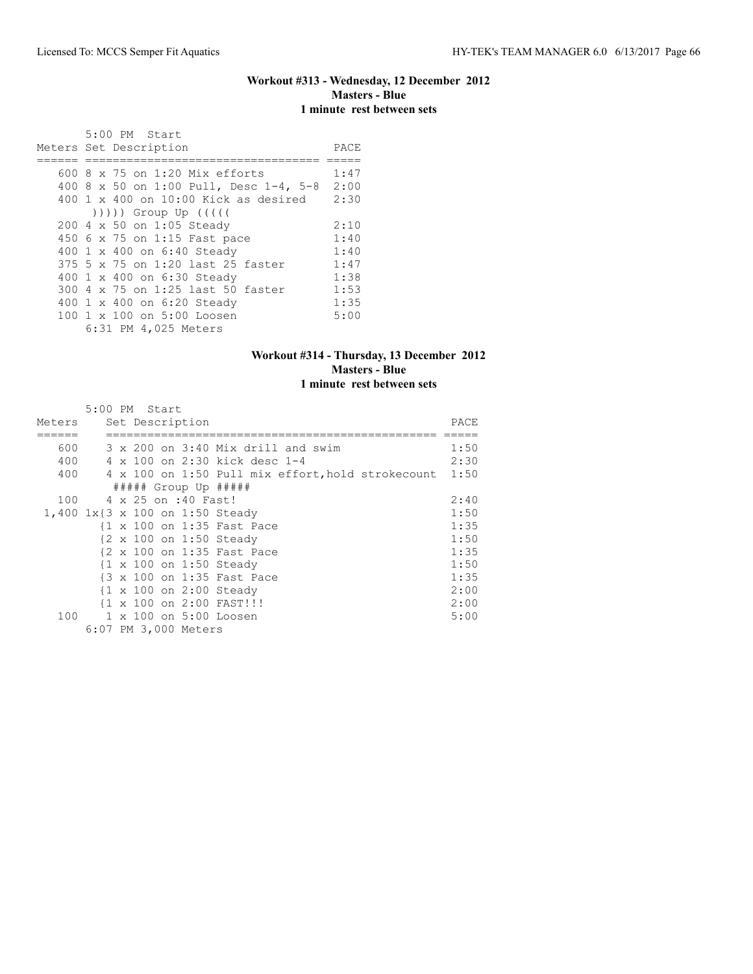## **Workout #313 - Wednesday, 12 December 2012 Masters - Blue 1 minute rest between sets**

| 5:00 PM Start                                                                                                                                                                                                                |      |
|------------------------------------------------------------------------------------------------------------------------------------------------------------------------------------------------------------------------------|------|
| Meters Set Description                                                                                                                                                                                                       | PACE |
|                                                                                                                                                                                                                              |      |
| 600 8 x 75 on 1:20 Mix efforts                                                                                                                                                                                               | 1:47 |
| 400 8 x 50 on 1:00 Pull, Desc 1-4, 5-8                                                                                                                                                                                       | 2:00 |
| $400$ 1 x $400$ on $10:00$ Kick as desired                                                                                                                                                                                   | 2:30 |
| $($ $($ $($ $($ $($ $($ $))$ $)$ $)$ $($ $)$ $($ $)$ $($ $)$ $($ $)$ $($ $)$ $($ $)$ $($ $)$ $($ $)$ $($ $)$ $($ $)$ $($ $)$ $($ $)$ $($ $)$ $($ $)$ $($ $)$ $($ $)$ $($ $)$ $($ $)$ $($ $)$ $($ $)$ $($ $)$ $($ $)$ $($ $)$ |      |
| 200 4 x 50 on 1:05 Steady                                                                                                                                                                                                    | 2:10 |
| 450 6 x 75 on 1:15 Fast pace                                                                                                                                                                                                 | 1:40 |
| 400 1 x 400 on 6:40 Steady                                                                                                                                                                                                   | 1:40 |
| 375 5 x 75 on 1:20 last 25 faster                                                                                                                                                                                            | 1:47 |
| 400 1 x 400 on 6:30 Steady                                                                                                                                                                                                   | 1:38 |
| 300 4 x 75 on 1:25 last 50 faster                                                                                                                                                                                            | 1:53 |
| 400 1 x 400 on 6:20 Steady                                                                                                                                                                                                   | 1:35 |
| 100 1 x 100 on 5:00 Loosen                                                                                                                                                                                                   | 5:00 |
| 6:31 PM 4,025 Meters                                                                                                                                                                                                         |      |

# **Workout #314 - Thursday, 13 December 2012 Masters - Blue 1 minute rest between sets**

|        | 5:00 PM Start |  |                      |                                                        |      |
|--------|---------------|--|----------------------|--------------------------------------------------------|------|
| Meters |               |  | Set Description      |                                                        | PACE |
|        |               |  |                      |                                                        |      |
| 600    |               |  |                      | 3 x 200 on 3:40 Mix drill and swim                     | 1:50 |
| 400    |               |  |                      | 4 x 100 on 2:30 kick desc 1-4                          | 2:30 |
| 400    |               |  |                      | 4 x 100 on 1:50 Pull mix effort, hold strokecount 1:50 |      |
|        |               |  |                      | $\#$ #### Group Up #####                               |      |
| 100    |               |  | 4 x 25 on :40 Fast!  |                                                        | 2:40 |
|        |               |  |                      | 1,400 1x{3 x 100 on 1:50 Steady                        | 1:50 |
|        |               |  |                      | {1 x 100 on 1:35 Fast Pace                             | 1:35 |
|        |               |  |                      | {2 x 100 on 1:50 Steady                                | 1:50 |
|        |               |  |                      | {2 x 100 on 1:35 Fast Pace                             | 1:35 |
|        |               |  |                      | {1 x 100 on 1:50 Steady                                | 1:50 |
|        |               |  |                      | {3 x 100 on 1:35 Fast Pace                             | 1:35 |
|        |               |  |                      | $\{1 \times 100 \text{ on } 2:00 \text{ Steady}\}$     | 2:00 |
|        |               |  |                      | $\{1 \times 100 \text{ on } 2:00 \text{ FAST}!\}$      | 2:00 |
| 100    |               |  |                      | 1 x 100 on 5:00 Loosen                                 | 5:00 |
|        |               |  | 6:07 PM 3,000 Meters |                                                        |      |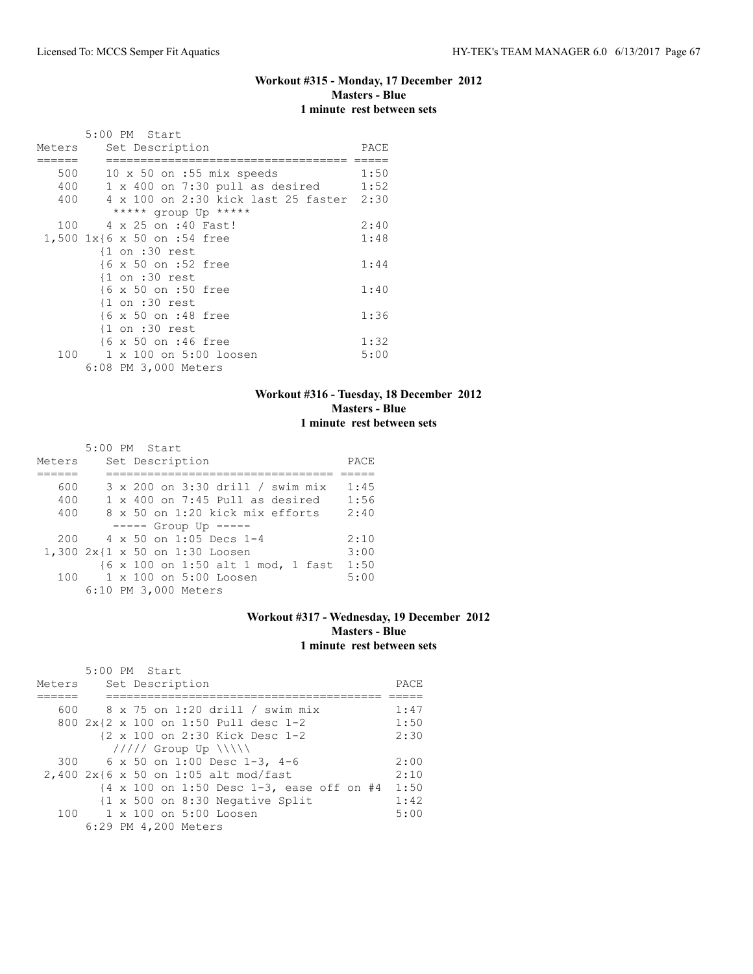# **Workout #315 - Monday, 17 December 2012 Masters - Blue 1 minute rest between sets**

|        | 5:00 PM Start                            |      |
|--------|------------------------------------------|------|
| Meters | Set Description                          | PACE |
|        |                                          |      |
| 500    | $10 \times 50$ on :55 mix speeds         | 1:50 |
| 400    | $1 \times 400$ on 7:30 pull as desired   | 1:52 |
| 400    | 4 x 100 on 2:30 kick last 25 faster 2:30 |      |
|        | ***** group Up *****                     |      |
| 100    | 4 x 25 on :40 Fast!                      | 2:40 |
|        | 1,500 1x{6 x 50 on :54 free              | 1:48 |
|        | $\{1$ on :30 rest                        |      |
|        | {6 x 50 on :52 free                      | 1:44 |
|        | $\{1$ on :30 rest                        |      |
|        | {6 x 50 on :50 free                      | 1:40 |
|        | $\{1$ on :30 rest                        |      |
|        | {6 x 50 on :48 free                      | 1:36 |
|        | $\{1$ on :30 rest                        |      |
|        | {6 x 50 on :46 free                      | 1:32 |
| 100    | 1 x 100 on 5:00 loosen                   | 5:00 |
|        | 6:08 PM 3,000 Meters                     |      |

## **Workout #316 - Tuesday, 18 December 2012 Masters - Blue 1 minute rest between sets**

|        | 5:00 PM Start                            |      |
|--------|------------------------------------------|------|
| Meters | Set Description                          | PACE |
|        |                                          |      |
| 600    | 3 x 200 on 3:30 drill / swim mix         | 1:45 |
| 400    | $1 \times 400$ on $7:45$ Pull as desired | 1:56 |
| 400    | 8 x 50 on 1:20 kick mix efforts          | 2:40 |
|        | $--- $ Group Up $---$                    |      |
| 200    | $4 \times 50$ on 1:05 Decs 1-4           | 2:10 |
|        | 1,300 2x{1 x 50 on 1:30 Loosen           | 3:00 |
|        | {6 x 100 on 1:50 alt 1 mod, 1 fast       | 1:50 |
| 100    | $1 \times 100$ on $5:00$ Loosen          | 5:00 |
|        | 6:10 PM 3,000 Meters                     |      |

#### **Workout #317 - Wednesday, 19 December 2012 Masters - Blue 1 minute rest between sets**

|        | $5:00$ PM Start                                                                 |      |
|--------|---------------------------------------------------------------------------------|------|
| Meters | Set Description                                                                 | PACE |
|        |                                                                                 |      |
|        | 600 8 x 75 on 1:20 drill / swim mix                                             | 1:47 |
|        | 800 2x{2 x 100 on 1:50 Pull desc 1-2                                            | 1:50 |
|        | {2 x 100 on 2:30 Kick Desc 1-2                                                  | 2:30 |
|        | $11111$ Group Up $\{\{\}\}\$                                                    |      |
|        | 300 6 x 50 on 1:00 Desc 1-3, 4-6                                                | 2:00 |
|        | $2,400$ 2x{6 x 50 on 1:05 alt mod/fast                                          | 2:10 |
|        | $\{4 \times 100 \text{ on } 1:50 \text{ Desc } 1-3, \text{ ease off on } #4 \}$ | 1:50 |
|        | $\{1 \times 500$ on 8:30 Negative Split                                         | 1:42 |
|        | 100 1 x 100 on 5:00 Loosen                                                      | 5:00 |
|        | 6:29 PM 4,200 Meters                                                            |      |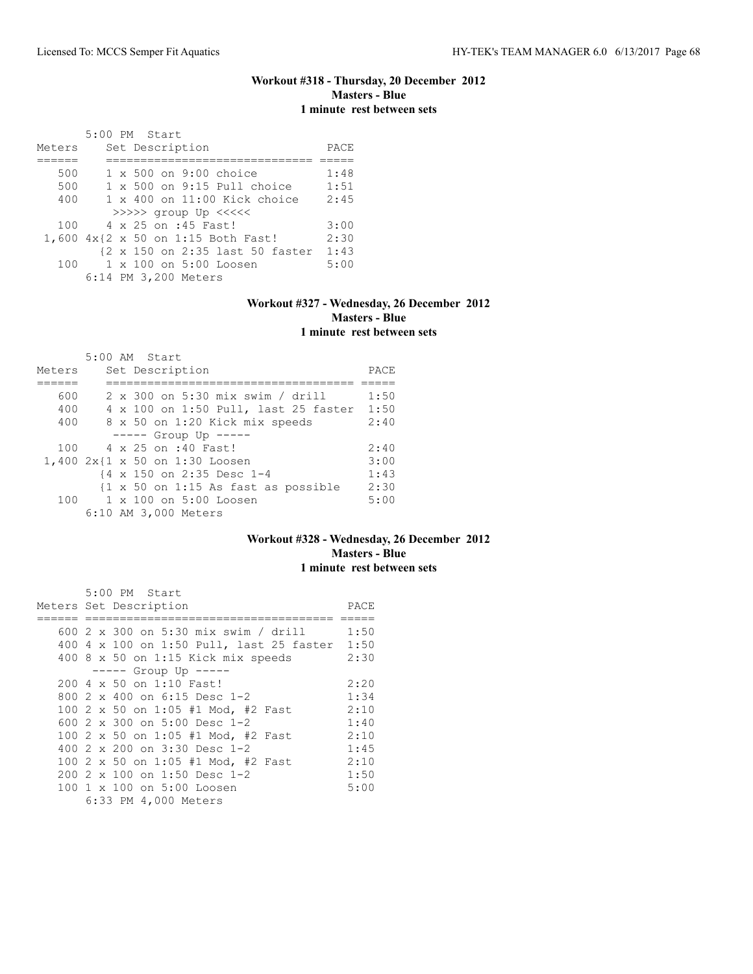## **Workout #318 - Thursday, 20 December 2012 Masters - Blue 1 minute rest between sets**

|        | 5:00 PM Start                         |      |
|--------|---------------------------------------|------|
| Meters | Set Description                       | PACE |
|        |                                       |      |
| 500    | 1 x 500 on 9:00 choice                | 1:48 |
| 500    | $1 \times 500$ on 9:15 Pull choice    | 1:51 |
| 400    | $1 \times 400$ on $11:00$ Kick choice | 2:45 |
|        | $>>>>$ group Up $<<<<$                |      |
| 100    | 4 x 25 on :45 Fast!                   | 3:00 |
|        | 1,600 4x{2 x 50 on 1:15 Both Fast!    | 2:30 |
|        | {2 x 150 on 2:35 last 50 faster       | 1:43 |
| 100 -  | 1 x 100 on 5:00 Loosen                | 5:00 |
|        | 6:14 PM 3,200 Meters                  |      |

# **Workout #327 - Wednesday, 26 December 2012 Masters - Blue 1 minute rest between sets**

|        |  | 5:00 AM Start                                                  |      |
|--------|--|----------------------------------------------------------------|------|
| Meters |  | Set Description                                                | PACE |
|        |  |                                                                |      |
| 600    |  | 2 x 300 on 5:30 mix swim / drill                               | 1:50 |
| 400    |  | 4 x 100 on 1:50 Pull, last 25 faster                           | 1:50 |
| 400    |  | 8 x 50 on 1:20 Kick mix speeds                                 | 2:40 |
|        |  | $--- $ Group Up $---$                                          |      |
| 100    |  | 4 x 25 on :40 Fast!                                            | 2:40 |
|        |  | 1,400 2x{1 x 50 on 1:30 Loosen                                 | 3:00 |
|        |  | {4 x 150 on 2:35 Desc 1-4                                      | 1:43 |
|        |  | $\{1 \times 50 \text{ on } 1:15 \text{ As fast as possible}\}$ | 2:30 |
|        |  | 100 1 x 100 on 5:00 Loosen                                     | 5:00 |
|        |  | 6:10 AM 3,000 Meters                                           |      |

## **Workout #328 - Wednesday, 26 December 2012 Masters - Blue 1 minute rest between sets**

|  | 5:00 PM Start                                 |      |
|--|-----------------------------------------------|------|
|  | Meters Set Description                        | PACE |
|  |                                               |      |
|  | 600 2 x 300 on 5:30 mix swim / drill          | 1:50 |
|  | 400 4 x 100 on 1:50 Pull, last 25 faster 1:50 |      |
|  | 400 $8 \times 50$ on 1:15 Kick mix speeds     | 2:30 |
|  | $--- $ Group Up $---$                         |      |
|  | 200 4 x 50 on 1:10 Fast!                      | 2:20 |
|  | 800 2 x 400 on 6:15 Desc 1-2                  | 1:34 |
|  | 100 2 x 50 on 1:05 #1 Mod, #2 Fast            | 2:10 |
|  | 600 2 x 300 on 5:00 Desc 1-2                  | 1:40 |
|  | 100 2 x 50 on 1:05 #1 Mod, #2 Fast            | 2:10 |
|  | 400 2 x 200 on 3:30 Desc 1-2                  | 1:45 |
|  | 100 2 x 50 on 1:05 #1 Mod, #2 Fast            | 2:10 |
|  | 200 2 x 100 on 1:50 Desc 1-2                  | 1:50 |
|  | 100 1 x 100 on 5:00 Loosen                    | 5:00 |
|  | 6:33 PM 4,000 Meters                          |      |